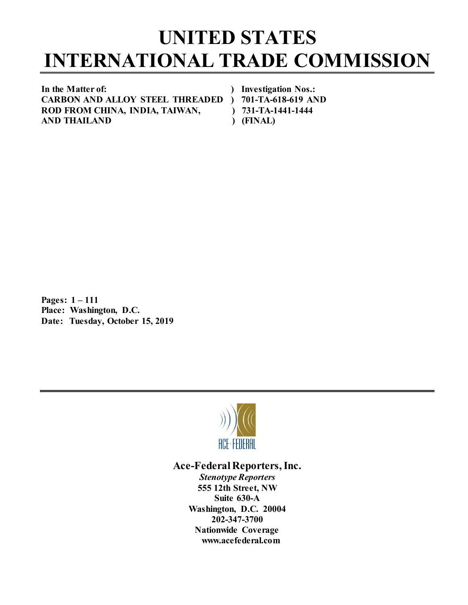## **UNITED STATES INTERNATIONAL TRADE COMMISSION**

**In the Matter of: ) Investigation Nos.: CARBON AND ALLOY STEEL THREADED ) 701-TA-618-619 AND ROD FROM CHINA, INDIA, TAIWAN, ) 731-TA-1441-1444 AND THAILAND ) (FINAL)**

**Pages: 1 – 111 Place: Washington, D.C. Date: Tuesday, October 15, 2019**



## **Ace-Federal Reporters, Inc.**

*Stenotype Reporters* **555 12th Street, NW Suite 630-A Washington, D.C. 20004 202-347-3700 Nationwide Coverage www.acefederal.com**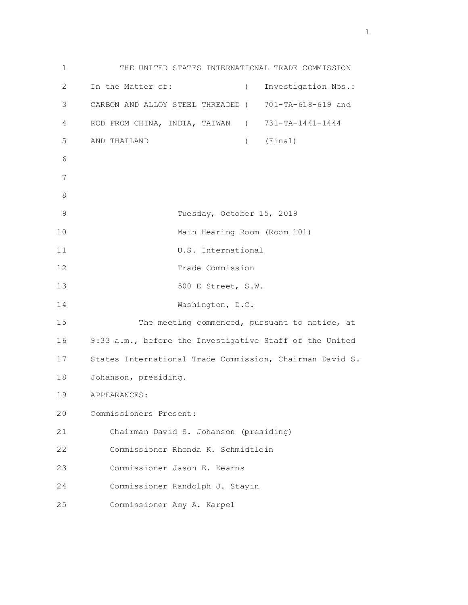1 THE UNITED STATES INTERNATIONAL TRADE COMMISSION 2 In the Matter of: ) Investigation Nos.: 3 CARBON AND ALLOY STEEL THREADED ) 701-TA-618-619 and 4 ROD FROM CHINA, INDIA, TAIWAN ) 731-TA-1441-1444 5 AND THAILAND ) (Final) 6 7 8 9 Tuesday, October 15, 2019 10 Main Hearing Room (Room 101) 11 U.S. International 12 Trade Commission 13 500 E Street, S.W. 14 Washington, D.C. 15 The meeting commenced, pursuant to notice, at 16 9:33 a.m., before the Investigative Staff of the United 17 States International Trade Commission, Chairman David S. 18 Johanson, presiding. 19 APPEARANCES: 20 Commissioners Present: 21 Chairman David S. Johanson (presiding) 22 Commissioner Rhonda K. Schmidtlein 23 Commissioner Jason E. Kearns 24 Commissioner Randolph J. Stayin 25 Commissioner Amy A. Karpel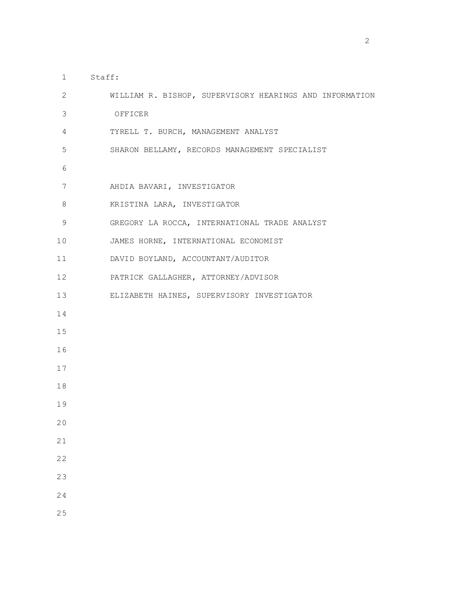- 1 Staff:
- 2 WILLIAM R. BISHOP, SUPERVISORY HEARINGS AND INFORMATION 3 OFFICER 4 TYRELL T. BURCH, MANAGEMENT ANALYST 5 SHARON BELLAMY, RECORDS MANAGEMENT SPECIALIST 6 7 AHDIA BAVARI, INVESTIGATOR 8 KRISTINA LARA, INVESTIGATOR 9 GREGORY LA ROCCA, INTERNATIONAL TRADE ANALYST 10 JAMES HORNE, INTERNATIONAL ECONOMIST 11 DAVID BOYLAND, ACCOUNTANT/AUDITOR 12 PATRICK GALLAGHER, ATTORNEY/ADVISOR 13 ELIZABETH HAINES, SUPERVISORY INVESTIGATOR 14 15 16 17 18 19 20 21 22 23 24
	- 25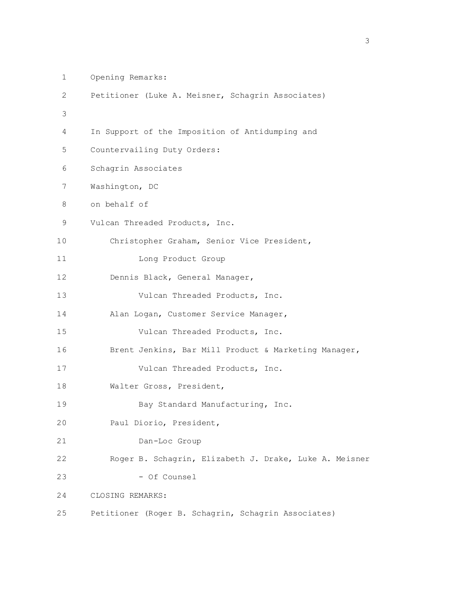```
 1 Opening Remarks: 
         2 Petitioner (Luke A. Meisner, Schagrin Associates) 
3 
         4 In Support of the Imposition of Antidumping and 
         5 Countervailing Duty Orders: 
         6 Schagrin Associates 
         7 Washington, DC 
         8 on behalf of 
         9 Vulcan Threaded Products, Inc. 
        10 Christopher Graham, Senior Vice President, 
        11 Long Product Group 
        12 Dennis Black, General Manager, 
       13 Vulcan Threaded Products, Inc.
        14 Alan Logan, Customer Service Manager, 
        15 Vulcan Threaded Products, Inc. 
        16 Brent Jenkins, Bar Mill Product & Marketing Manager, 
        17 Vulcan Threaded Products, Inc. 
       18 Walter Gross, President,
       19 Bay Standard Manufacturing, Inc.
        20 Paul Diorio, President, 
        21 Dan-Loc Group 
        22 Roger B. Schagrin, Elizabeth J. Drake, Luke A. Meisner 
       23 - Of Counsel
        24 CLOSING REMARKS: 
        25 Petitioner (Roger B. Schagrin, Schagrin Associates)
```
<u>3</u>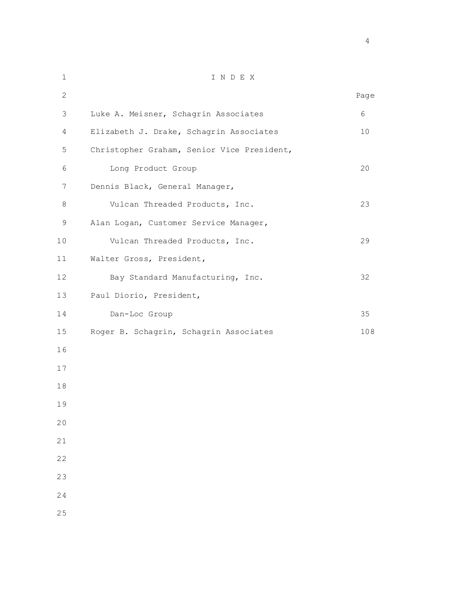| $1\,$        | INDEX                                      |      |
|--------------|--------------------------------------------|------|
| $\mathbf{2}$ |                                            | Page |
| 3            | Luke A. Meisner, Schagrin Associates       | 6    |
| 4            | Elizabeth J. Drake, Schagrin Associates    | 10   |
| 5            | Christopher Graham, Senior Vice President, |      |
| 6            | Long Product Group                         | 20   |
| 7            | Dennis Black, General Manager,             |      |
| 8            | Vulcan Threaded Products, Inc.             | 23   |
| 9            | Alan Logan, Customer Service Manager,      |      |
| 10           | Vulcan Threaded Products, Inc.             | 29   |
| 11           | Walter Gross, President,                   |      |
| 12           | Bay Standard Manufacturing, Inc.           | 32   |
| 13           | Paul Diorio, President,                    |      |
| 14           | Dan-Loc Group                              | 35   |
| 15           | Roger B. Schagrin, Schagrin Associates     | 108  |
| 16           |                                            |      |
| 17           |                                            |      |
| 18           |                                            |      |
| 19           |                                            |      |
| 20           |                                            |      |
| 21           |                                            |      |
| 22           |                                            |      |
| 23           |                                            |      |
| 24           |                                            |      |
| 25           |                                            |      |
|              |                                            |      |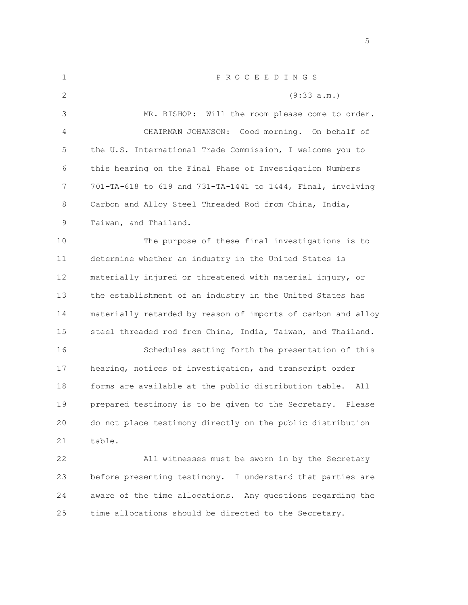| 1            | PROCEEDINGS                                                  |
|--------------|--------------------------------------------------------------|
| $\mathbf{2}$ | (9:33 a.m.)                                                  |
| 3            | MR. BISHOP: Will the room please come to order.              |
| 4            | CHAIRMAN JOHANSON: Good morning. On behalf of                |
| 5            | the U.S. International Trade Commission, I welcome you to    |
| 6            | this hearing on the Final Phase of Investigation Numbers     |
| 7            | 701-TA-618 to 619 and 731-TA-1441 to 1444, Final, involving  |
| 8            | Carbon and Alloy Steel Threaded Rod from China, India,       |
| 9            | Taiwan, and Thailand.                                        |
| 10           | The purpose of these final investigations is to              |
| 11           | determine whether an industry in the United States is        |
| 12           | materially injured or threatened with material injury, or    |
| 13           | the establishment of an industry in the United States has    |
| 14           | materially retarded by reason of imports of carbon and alloy |
| 15           | steel threaded rod from China, India, Taiwan, and Thailand.  |
| 16           | Schedules setting forth the presentation of this             |
| 17           | hearing, notices of investigation, and transcript order      |
| 18           | forms are available at the public distribution table. All    |
| 19           | prepared testimony is to be given to the Secretary. Please   |
| 20           | do not place testimony directly on the public distribution   |
| 21           | table.                                                       |
| 22           | All witnesses must be sworn in by the Secretary              |
| 23           | before presenting testimony. I understand that parties are   |
| 24           | aware of the time allocations. Any questions regarding the   |
| 25           | time allocations should be directed to the Secretary.        |
|              |                                                              |

the state of the state of the state of the state of the state of the state of the state of the state of the state of the state of the state of the state of the state of the state of the state of the state of the state of t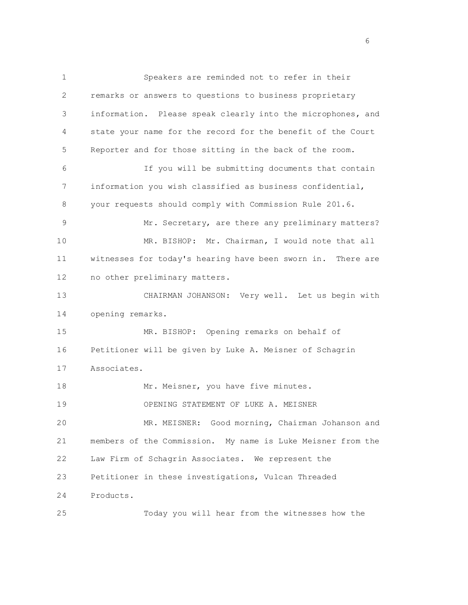1 Speakers are reminded not to refer in their 2 remarks or answers to questions to business proprietary 3 information. Please speak clearly into the microphones, and 4 state your name for the record for the benefit of the Court 5 Reporter and for those sitting in the back of the room. 6 If you will be submitting documents that contain 7 information you wish classified as business confidential, 8 your requests should comply with Commission Rule 201.6. 9 Mr. Secretary, are there any preliminary matters? 10 MR. BISHOP: Mr. Chairman, I would note that all 11 witnesses for today's hearing have been sworn in. There are 12 no other preliminary matters. 13 CHAIRMAN JOHANSON: Very well. Let us begin with 14 opening remarks. 15 MR. BISHOP: Opening remarks on behalf of 16 Petitioner will be given by Luke A. Meisner of Schagrin 17 Associates. 18 Mr. Meisner, you have five minutes. 19 OPENING STATEMENT OF LUKE A. MEISNER 20 MR. MEISNER: Good morning, Chairman Johanson and 21 members of the Commission. My name is Luke Meisner from the 22 Law Firm of Schagrin Associates. We represent the 23 Petitioner in these investigations, Vulcan Threaded 24 Products. 25 Today you will hear from the witnesses how the

en de la construction de la construction de la construction de la construction de la construction de la constr<br>La construction de la construction de la construction de la construction de la construction de la construction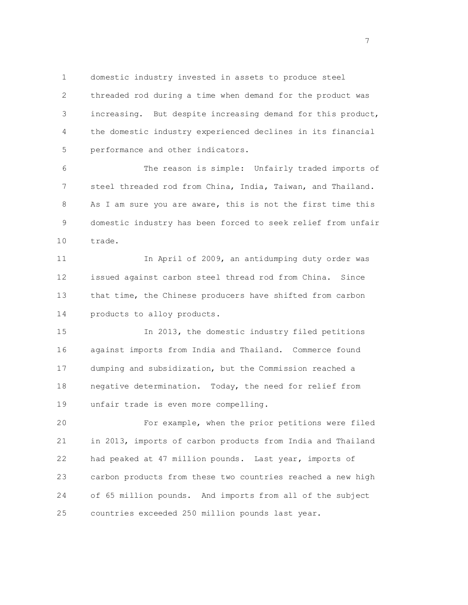1 domestic industry invested in assets to produce steel 2 threaded rod during a time when demand for the product was 3 increasing. But despite increasing demand for this product, 4 the domestic industry experienced declines in its financial 5 performance and other indicators.

 6 The reason is simple: Unfairly traded imports of 7 steel threaded rod from China, India, Taiwan, and Thailand. 8 As I am sure you are aware, this is not the first time this 9 domestic industry has been forced to seek relief from unfair 10 trade.

 11 In April of 2009, an antidumping duty order was 12 issued against carbon steel thread rod from China. Since 13 that time, the Chinese producers have shifted from carbon 14 products to alloy products.

 15 In 2013, the domestic industry filed petitions 16 against imports from India and Thailand. Commerce found 17 dumping and subsidization, but the Commission reached a 18 negative determination. Today, the need for relief from 19 unfair trade is even more compelling.

 20 For example, when the prior petitions were filed 21 in 2013, imports of carbon products from India and Thailand 22 had peaked at 47 million pounds. Last year, imports of 23 carbon products from these two countries reached a new high 24 of 65 million pounds. And imports from all of the subject 25 countries exceeded 250 million pounds last year.

<u>7</u> The contract of the contract of the contract of the contract of the contract of the contract of the contract of the contract of the contract of the contract of the contract of the contract of the contract of the contra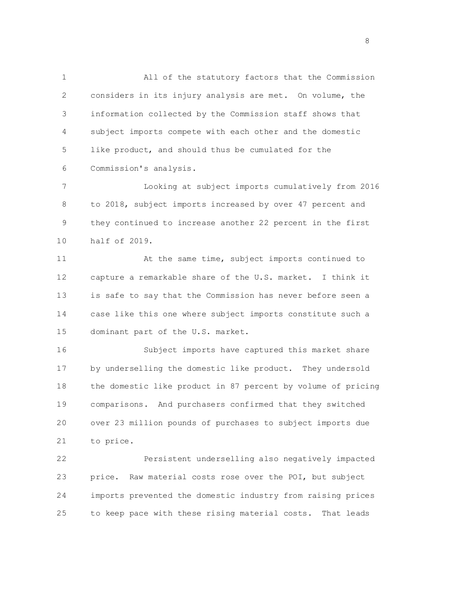1 All of the statutory factors that the Commission 2 considers in its injury analysis are met. On volume, the 3 information collected by the Commission staff shows that 4 subject imports compete with each other and the domestic 5 like product, and should thus be cumulated for the 6 Commission's analysis.

 7 Looking at subject imports cumulatively from 2016 8 to 2018, subject imports increased by over 47 percent and 9 they continued to increase another 22 percent in the first 10 half of 2019.

 11 At the same time, subject imports continued to 12 capture a remarkable share of the U.S. market. I think it 13 is safe to say that the Commission has never before seen a 14 case like this one where subject imports constitute such a 15 dominant part of the U.S. market.

 16 Subject imports have captured this market share 17 by underselling the domestic like product. They undersold 18 the domestic like product in 87 percent by volume of pricing 19 comparisons. And purchasers confirmed that they switched 20 over 23 million pounds of purchases to subject imports due 21 to price.

 22 Persistent underselling also negatively impacted 23 price. Raw material costs rose over the POI, but subject 24 imports prevented the domestic industry from raising prices 25 to keep pace with these rising material costs. That leads

e a seu a construír a construír a construír a construír a construír a construír a construír a seu a construír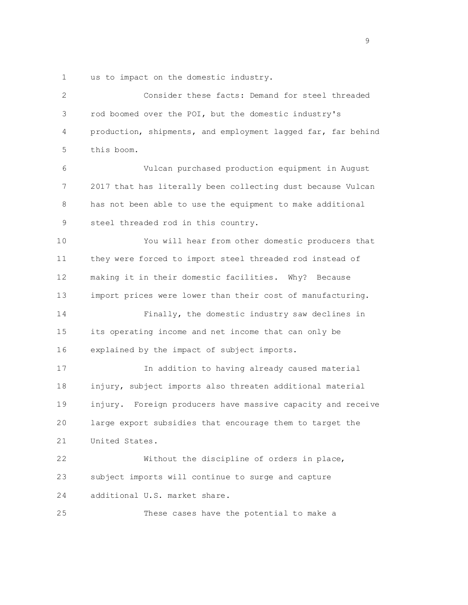1 us to impact on the domestic industry.

| $\mathbf{2}$ | Consider these facts: Demand for steel threaded              |
|--------------|--------------------------------------------------------------|
| 3            | rod boomed over the POI, but the domestic industry's         |
| 4            | production, shipments, and employment lagged far, far behind |
| 5            | this boom.                                                   |
| 6            | Vulcan purchased production equipment in August              |
| 7            | 2017 that has literally been collecting dust because Vulcan  |
| 8            | has not been able to use the equipment to make additional    |
| 9            | steel threaded rod in this country.                          |
| 10           | You will hear from other domestic producers that             |
| 11           | they were forced to import steel threaded rod instead of     |
| 12           | making it in their domestic facilities. Why? Because         |
| 13           | import prices were lower than their cost of manufacturing.   |
| 14           | Finally, the domestic industry saw declines in               |
| 15           | its operating income and net income that can only be         |
| 16           | explained by the impact of subject imports.                  |
| 17           | In addition to having already caused material                |
| 18           | injury, subject imports also threaten additional material    |
| 19           | injury. Foreign producers have massive capacity and receive  |
| 20           | large export subsidies that encourage them to target the     |
| 21           | United States.                                               |
| 22           | Without the discipline of orders in place,                   |
| 23           | subject imports will continue to surge and capture           |
| 24           | additional U.S. market share.                                |
| 25           | These cases have the potential to make a                     |

en de la construction de la construction de la construction de la construction de la construction de la constr<br>19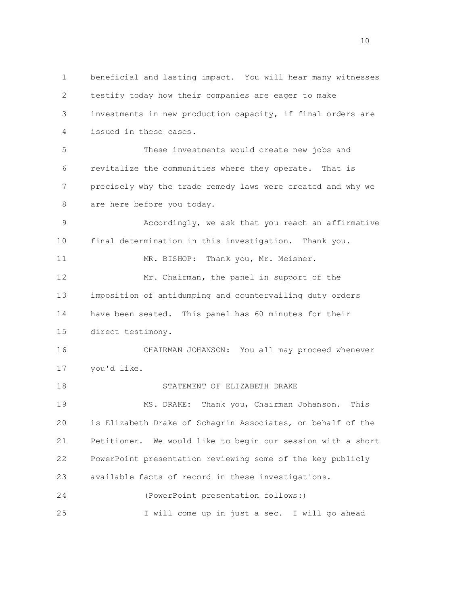1 beneficial and lasting impact. You will hear many witnesses 2 testify today how their companies are eager to make 3 investments in new production capacity, if final orders are 4 issued in these cases. 5 These investments would create new jobs and 6 revitalize the communities where they operate. That is 7 precisely why the trade remedy laws were created and why we 8 are here before you today. 9 Accordingly, we ask that you reach an affirmative 10 final determination in this investigation. Thank you. 11 MR. BISHOP: Thank you, Mr. Meisner. 12 Mr. Chairman, the panel in support of the 13 imposition of antidumping and countervailing duty orders 14 have been seated. This panel has 60 minutes for their 15 direct testimony. 16 CHAIRMAN JOHANSON: You all may proceed whenever 17 you'd like. 18 STATEMENT OF ELIZABETH DRAKE 19 MS. DRAKE: Thank you, Chairman Johanson. This 20 is Elizabeth Drake of Schagrin Associates, on behalf of the 21 Petitioner. We would like to begin our session with a short 22 PowerPoint presentation reviewing some of the key publicly 23 available facts of record in these investigations. 24 (PowerPoint presentation follows:) 25 I will come up in just a sec. I will go ahead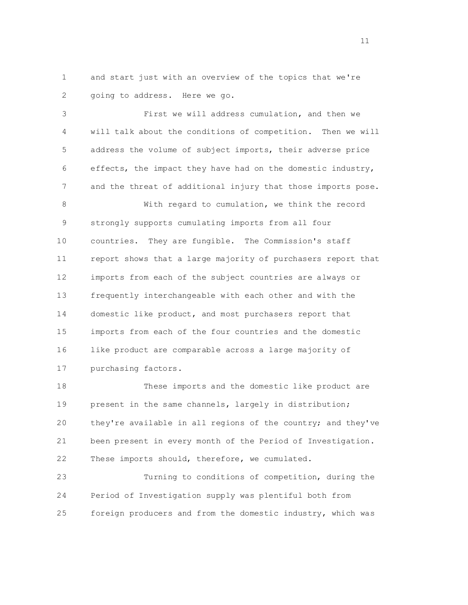1 and start just with an overview of the topics that we're 2 going to address. Here we go.

 3 First we will address cumulation, and then we 4 will talk about the conditions of competition. Then we will 5 address the volume of subject imports, their adverse price 6 effects, the impact they have had on the domestic industry, 7 and the threat of additional injury that those imports pose.

 8 With regard to cumulation, we think the record 9 strongly supports cumulating imports from all four 10 countries. They are fungible. The Commission's staff 11 report shows that a large majority of purchasers report that 12 imports from each of the subject countries are always or 13 frequently interchangeable with each other and with the 14 domestic like product, and most purchasers report that 15 imports from each of the four countries and the domestic 16 like product are comparable across a large majority of 17 purchasing factors.

 18 These imports and the domestic like product are 19 present in the same channels, largely in distribution; 20 they're available in all regions of the country; and they've 21 been present in every month of the Period of Investigation. 22 These imports should, therefore, we cumulated.

 23 Turning to conditions of competition, during the 24 Period of Investigation supply was plentiful both from 25 foreign producers and from the domestic industry, which was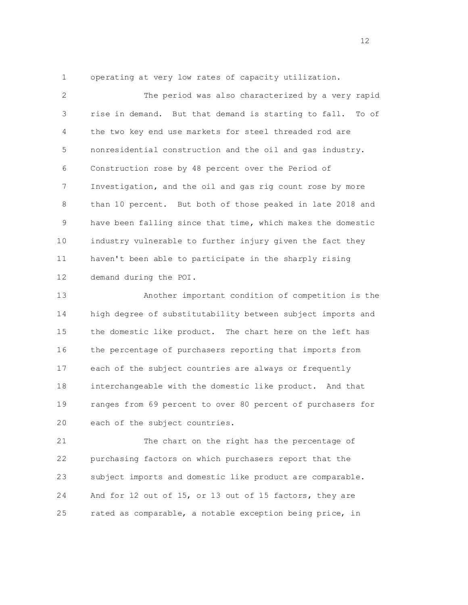1 operating at very low rates of capacity utilization.

 2 The period was also characterized by a very rapid 3 rise in demand. But that demand is starting to fall. To of 4 the two key end use markets for steel threaded rod are 5 nonresidential construction and the oil and gas industry. 6 Construction rose by 48 percent over the Period of 7 Investigation, and the oil and gas rig count rose by more 8 than 10 percent. But both of those peaked in late 2018 and 9 have been falling since that time, which makes the domestic 10 industry vulnerable to further injury given the fact they 11 haven't been able to participate in the sharply rising 12 demand during the POI.

 13 Another important condition of competition is the 14 high degree of substitutability between subject imports and 15 the domestic like product. The chart here on the left has 16 the percentage of purchasers reporting that imports from 17 each of the subject countries are always or frequently 18 interchangeable with the domestic like product. And that 19 ranges from 69 percent to over 80 percent of purchasers for 20 each of the subject countries.

 21 The chart on the right has the percentage of 22 purchasing factors on which purchasers report that the 23 subject imports and domestic like product are comparable. 24 And for 12 out of 15, or 13 out of 15 factors, they are 25 rated as comparable, a notable exception being price, in

 $\frac{12}{2}$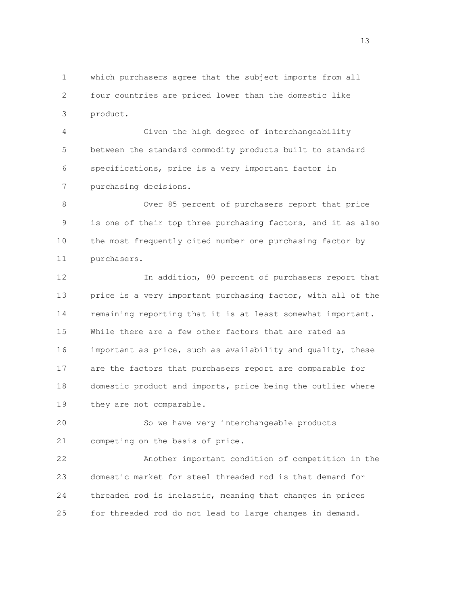1 which purchasers agree that the subject imports from all 2 four countries are priced lower than the domestic like 3 product.

 4 Given the high degree of interchangeability 5 between the standard commodity products built to standard 6 specifications, price is a very important factor in 7 purchasing decisions.

 8 Over 85 percent of purchasers report that price 9 is one of their top three purchasing factors, and it as also 10 the most frequently cited number one purchasing factor by 11 purchasers.

12 In addition, 80 percent of purchasers report that 13 price is a very important purchasing factor, with all of the 14 remaining reporting that it is at least somewhat important. 15 While there are a few other factors that are rated as 16 important as price, such as availability and quality, these 17 are the factors that purchasers report are comparable for 18 domestic product and imports, price being the outlier where 19 they are not comparable.

 20 So we have very interchangeable products 21 competing on the basis of price.

 22 Another important condition of competition in the 23 domestic market for steel threaded rod is that demand for 24 threaded rod is inelastic, meaning that changes in prices 25 for threaded rod do not lead to large changes in demand.

na matsay na katalog as na katalog as na katalog as na katalog as na katalog as na katalog as na katalog as na<br>Tagairta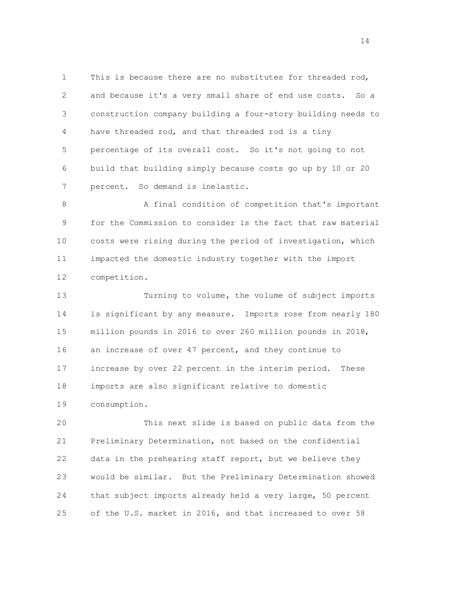1 This is because there are no substitutes for threaded rod, 2 and because it's a very small share of end use costs. So a 3 construction company building a four-story building needs to 4 have threaded rod, and that threaded rod is a tiny 5 percentage of its overall cost. So it's not going to not 6 build that building simply because costs go up by 10 or 20 7 percent. So demand is inelastic.

 8 A final condition of competition that's important 9 for the Commission to consider is the fact that raw material 10 costs were rising during the period of investigation, which 11 impacted the domestic industry together with the import 12 competition.

 13 Turning to volume, the volume of subject imports 14 is significant by any measure. Imports rose from nearly 180 15 million pounds in 2016 to over 260 million pounds in 2018, 16 an increase of over 47 percent, and they continue to 17 increase by over 22 percent in the interim period. These 18 imports are also significant relative to domestic 19 consumption.

 20 This next slide is based on public data from the 21 Preliminary Determination, not based on the confidential 22 data in the prehearing staff report, but we believe they 23 would be similar. But the Preliminary Determination showed 24 that subject imports already held a very large, 50 percent 25 of the U.S. market in 2016, and that increased to over 58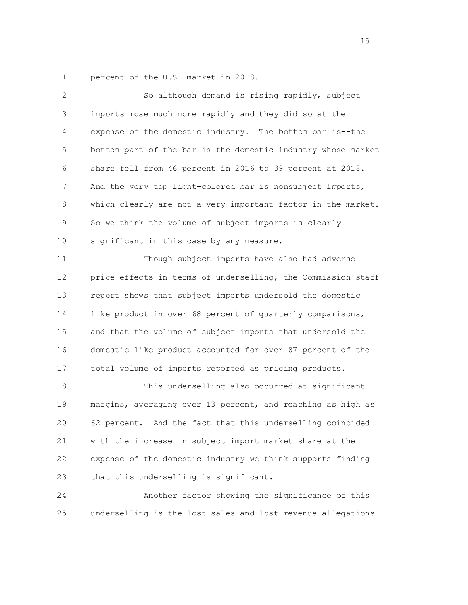1 percent of the U.S. market in 2018.

| 2  | So although demand is rising rapidly, subject                |
|----|--------------------------------------------------------------|
| 3  | imports rose much more rapidly and they did so at the        |
| 4  | expense of the domestic industry. The bottom bar is--the     |
| 5  | bottom part of the bar is the domestic industry whose market |
| 6  | share fell from 46 percent in 2016 to 39 percent at 2018.    |
| 7  | And the very top light-colored bar is nonsubject imports,    |
| 8  | which clearly are not a very important factor in the market. |
| 9  | So we think the volume of subject imports is clearly         |
| 10 | significant in this case by any measure.                     |
| 11 | Though subject imports have also had adverse                 |
| 12 | price effects in terms of underselling, the Commission staff |
| 13 | report shows that subject imports undersold the domestic     |
| 14 | like product in over 68 percent of quarterly comparisons,    |
| 15 | and that the volume of subject imports that undersold the    |
| 16 | domestic like product accounted for over 87 percent of the   |
| 17 | total volume of imports reported as pricing products.        |
| 18 | This underselling also occurred at significant               |
| 19 | margins, averaging over 13 percent, and reaching as high as  |
| 20 | 62 percent. And the fact that this underselling coincided    |
| 21 | with the increase in subject import market share at the      |
| 22 | expense of the domestic industry we think supports finding   |
| 23 | that this underselling is significant.                       |
| 24 | Another factor showing the significance of this              |
|    |                                                              |

25 underselling is the lost sales and lost revenue allegations

15 and 15 and 15 and 15 and 15 and 15 and 15 and 15 and 15 and 15 and 15 and 15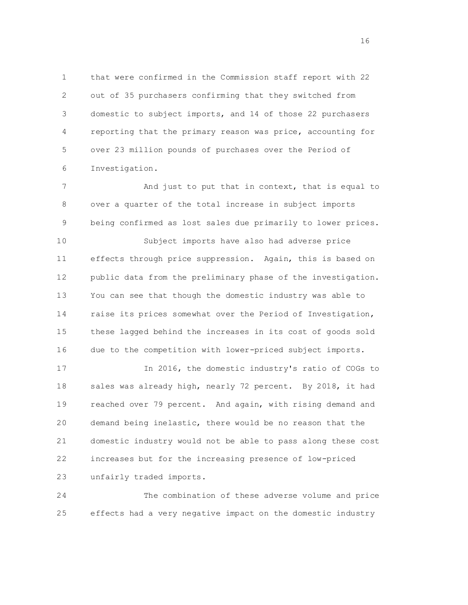1 that were confirmed in the Commission staff report with 22 2 out of 35 purchasers confirming that they switched from 3 domestic to subject imports, and 14 of those 22 purchasers 4 reporting that the primary reason was price, accounting for 5 over 23 million pounds of purchases over the Period of 6 Investigation.

7 And just to put that in context, that is equal to 8 over a quarter of the total increase in subject imports 9 being confirmed as lost sales due primarily to lower prices.

 10 Subject imports have also had adverse price 11 effects through price suppression. Again, this is based on 12 public data from the preliminary phase of the investigation. 13 You can see that though the domestic industry was able to 14 raise its prices somewhat over the Period of Investigation, 15 these lagged behind the increases in its cost of goods sold 16 due to the competition with lower-priced subject imports.

 17 In 2016, the domestic industry's ratio of COGs to 18 sales was already high, nearly 72 percent. By 2018, it had 19 reached over 79 percent. And again, with rising demand and 20 demand being inelastic, there would be no reason that the 21 domestic industry would not be able to pass along these cost 22 increases but for the increasing presence of low-priced 23 unfairly traded imports.

 24 The combination of these adverse volume and price 25 effects had a very negative impact on the domestic industry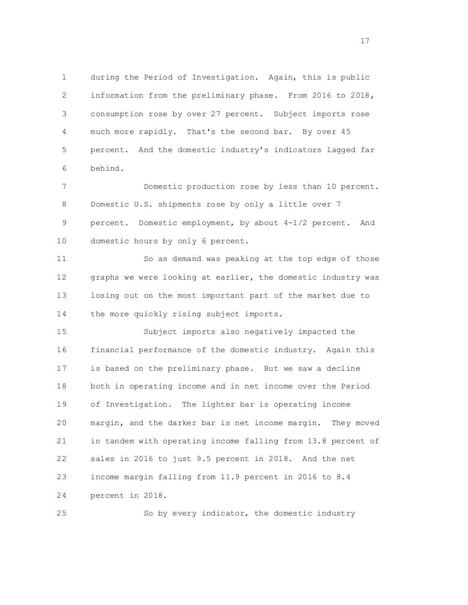1 during the Period of Investigation. Again, this is public 2 information from the preliminary phase. From 2016 to 2018, 3 consumption rose by over 27 percent. Subject imports rose 4 much more rapidly. That's the second bar. By over 45 5 percent. And the domestic industry's indicators lagged far 6 behind.

 7 Domestic production rose by less than 10 percent. 8 Domestic U.S. shipments rose by only a little over 7 9 percent. Domestic employment, by about 4-1/2 percent. And 10 domestic hours by only 6 percent.

 11 So as demand was peaking at the top edge of those 12 graphs we were looking at earlier, the domestic industry was 13 losing out on the most important part of the market due to 14 the more quickly rising subject imports.

 15 Subject imports also negatively impacted the 16 financial performance of the domestic industry. Again this 17 is based on the preliminary phase. But we saw a decline 18 both in operating income and in net income over the Period 19 of Investigation. The lighter bar is operating income 20 margin, and the darker bar is net income margin. They moved 21 in tandem with operating income falling from 13.8 percent of 22 sales in 2016 to just 9.5 percent in 2018. And the net 23 income margin falling from 11.9 percent in 2016 to 8.4 24 percent in 2018.

25 So by every indicator, the domestic industry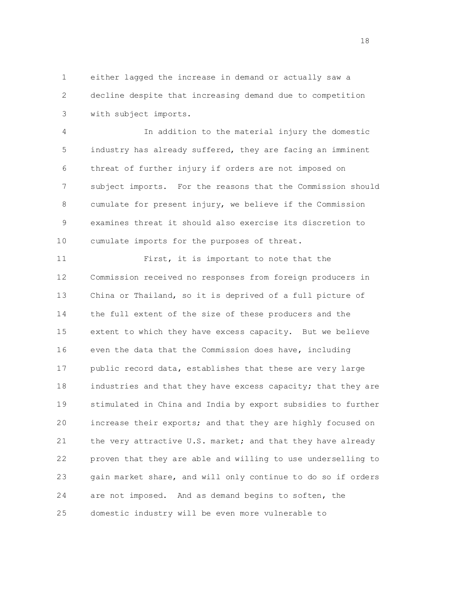1 either lagged the increase in demand or actually saw a 2 decline despite that increasing demand due to competition 3 with subject imports.

 4 In addition to the material injury the domestic 5 industry has already suffered, they are facing an imminent 6 threat of further injury if orders are not imposed on 7 subject imports. For the reasons that the Commission should 8 cumulate for present injury, we believe if the Commission 9 examines threat it should also exercise its discretion to 10 cumulate imports for the purposes of threat.

 11 First, it is important to note that the 12 Commission received no responses from foreign producers in 13 China or Thailand, so it is deprived of a full picture of 14 the full extent of the size of these producers and the 15 extent to which they have excess capacity. But we believe 16 even the data that the Commission does have, including 17 public record data, establishes that these are very large 18 industries and that they have excess capacity; that they are 19 stimulated in China and India by export subsidies to further 20 increase their exports; and that they are highly focused on 21 the very attractive U.S. market; and that they have already 22 proven that they are able and willing to use underselling to 23 gain market share, and will only continue to do so if orders 24 are not imposed. And as demand begins to soften, the 25 domestic industry will be even more vulnerable to

 $18<sup>18</sup>$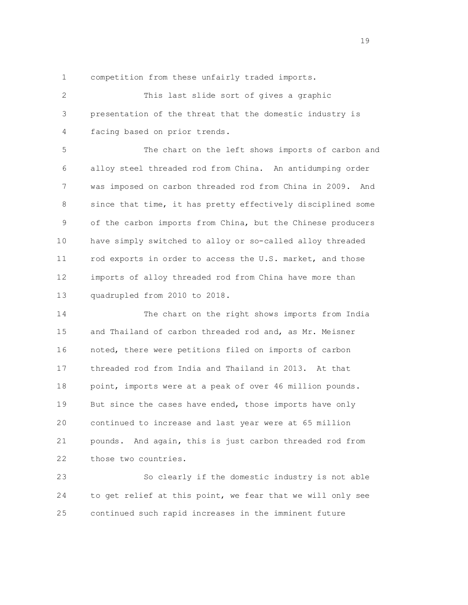1 competition from these unfairly traded imports.

 2 This last slide sort of gives a graphic 3 presentation of the threat that the domestic industry is 4 facing based on prior trends.

 5 The chart on the left shows imports of carbon and 6 alloy steel threaded rod from China. An antidumping order 7 was imposed on carbon threaded rod from China in 2009. And 8 since that time, it has pretty effectively disciplined some 9 of the carbon imports from China, but the Chinese producers 10 have simply switched to alloy or so-called alloy threaded 11 rod exports in order to access the U.S. market, and those 12 imports of alloy threaded rod from China have more than 13 quadrupled from 2010 to 2018.

 14 The chart on the right shows imports from India 15 and Thailand of carbon threaded rod and, as Mr. Meisner 16 noted, there were petitions filed on imports of carbon 17 threaded rod from India and Thailand in 2013. At that 18 point, imports were at a peak of over 46 million pounds. 19 But since the cases have ended, those imports have only 20 continued to increase and last year were at 65 million 21 pounds. And again, this is just carbon threaded rod from 22 those two countries.

 23 So clearly if the domestic industry is not able 24 to get relief at this point, we fear that we will only see 25 continued such rapid increases in the imminent future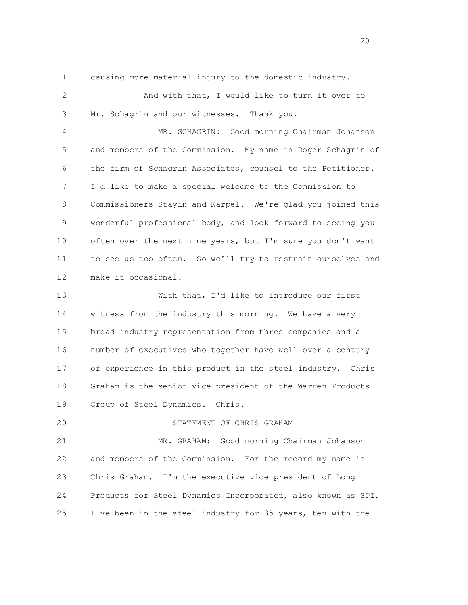1 causing more material injury to the domestic industry.

| 2  | And with that, I would like to turn it over to               |
|----|--------------------------------------------------------------|
| 3  | Mr. Schagrin and our witnesses. Thank you.                   |
| 4  | MR. SCHAGRIN: Good morning Chairman Johanson                 |
| 5  | and members of the Commission. My name is Roger Schagrin of  |
| 6  | the firm of Schagrin Associates, counsel to the Petitioner.  |
| 7  | I'd like to make a special welcome to the Commission to      |
| 8  | Commissioners Stayin and Karpel. We're glad you joined this  |
| 9  | wonderful professional body, and look forward to seeing you  |
| 10 | often over the next nine years, but I'm sure you don't want  |
| 11 | to see us too often. So we'll try to restrain ourselves and  |
| 12 | make it occasional.                                          |
| 13 | With that, I'd like to introduce our first                   |
| 14 | witness from the industry this morning. We have a very       |
| 15 | broad industry representation from three companies and a     |
| 16 | number of executives who together have well over a century   |
| 17 | of experience in this product in the steel industry. Chris   |
| 18 | Graham is the senior vice president of the Warren Products   |
| 19 | Group of Steel Dynamics. Chris.                              |
| 20 | STATEMENT OF CHRIS GRAHAM                                    |
| 21 | MR. GRAHAM: Good morning Chairman Johanson                   |
| 22 | and members of the Commission. For the record my name is     |
| 23 | Chris Graham. I'm the executive vice president of Long       |
| 24 | Products for Steel Dynamics Incorporated, also known as SDI. |

25 I've been in the steel industry for 35 years, ten with the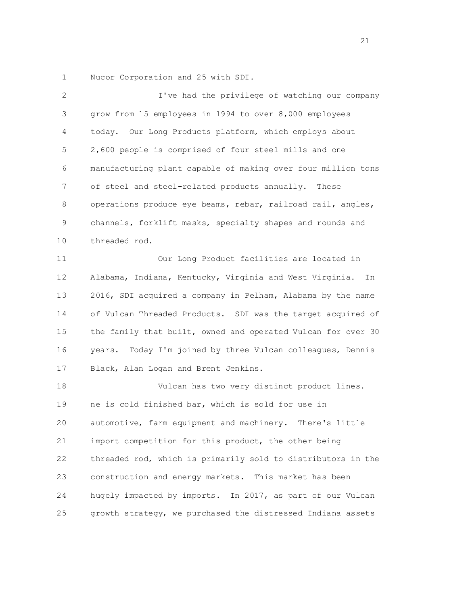1 Nucor Corporation and 25 with SDI.

| 2  | I've had the privilege of watching our company                |
|----|---------------------------------------------------------------|
| 3  | grow from 15 employees in 1994 to over 8,000 employees        |
| 4  | today. Our Long Products platform, which employs about        |
| 5  | 2,600 people is comprised of four steel mills and one         |
| 6  | manufacturing plant capable of making over four million tons  |
| 7  | of steel and steel-related products annually. These           |
| 8  | operations produce eye beams, rebar, railroad rail, angles,   |
| 9  | channels, forklift masks, specialty shapes and rounds and     |
| 10 | threaded rod.                                                 |
| 11 | Our Long Product facilities are located in                    |
| 12 | Alabama, Indiana, Kentucky, Virginia and West Virginia.<br>In |
| 13 | 2016, SDI acquired a company in Pelham, Alabama by the name   |
| 14 | of Vulcan Threaded Products. SDI was the target acquired of   |
| 15 | the family that built, owned and operated Vulcan for over 30  |
| 16 | years. Today I'm joined by three Vulcan colleagues, Dennis    |
| 17 | Black, Alan Logan and Brent Jenkins.                          |
| 18 | Vulcan has two very distinct product lines.                   |
| 19 | ne is cold finished bar, which is sold for use in             |
| 20 | automotive, farm equipment and machinery.<br>There's little   |
| 21 | import competition for this product, the other being          |
| 22 | threaded rod, which is primarily sold to distributors in the  |
| 23 | construction and energy markets. This market has been         |
| 24 | hugely impacted by imports. In 2017, as part of our Vulcan    |
| 25 | growth strategy, we purchased the distressed Indiana assets   |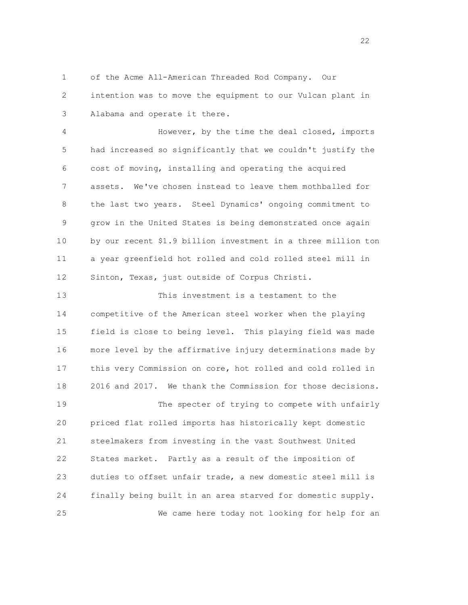1 of the Acme All-American Threaded Rod Company. Our

 2 intention was to move the equipment to our Vulcan plant in 3 Alabama and operate it there.

 4 However, by the time the deal closed, imports 5 had increased so significantly that we couldn't justify the 6 cost of moving, installing and operating the acquired 7 assets. We've chosen instead to leave them mothballed for 8 the last two years. Steel Dynamics' ongoing commitment to 9 grow in the United States is being demonstrated once again 10 by our recent \$1.9 billion investment in a three million ton 11 a year greenfield hot rolled and cold rolled steel mill in 12 Sinton, Texas, just outside of Corpus Christi.

 13 This investment is a testament to the 14 competitive of the American steel worker when the playing 15 field is close to being level. This playing field was made 16 more level by the affirmative injury determinations made by 17 this very Commission on core, hot rolled and cold rolled in 18 2016 and 2017. We thank the Commission for those decisions. 19 The specter of trying to compete with unfairly 20 priced flat rolled imports has historically kept domestic 21 steelmakers from investing in the vast Southwest United 22 States market. Partly as a result of the imposition of 23 duties to offset unfair trade, a new domestic steel mill is 24 finally being built in an area starved for domestic supply. 25 We came here today not looking for help for an

22<br>22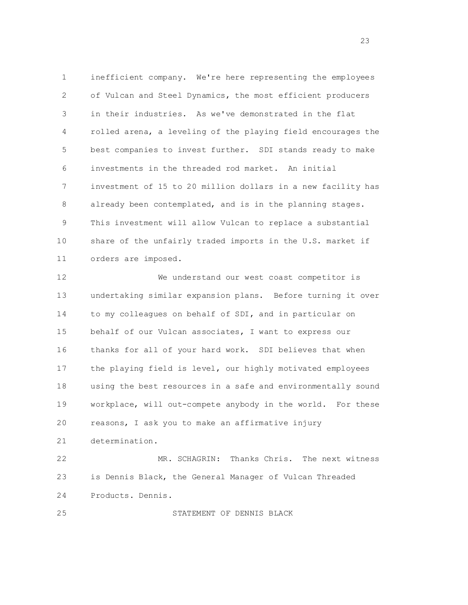1 inefficient company. We're here representing the employees 2 of Vulcan and Steel Dynamics, the most efficient producers 3 in their industries. As we've demonstrated in the flat 4 rolled arena, a leveling of the playing field encourages the 5 best companies to invest further. SDI stands ready to make 6 investments in the threaded rod market. An initial 7 investment of 15 to 20 million dollars in a new facility has 8 already been contemplated, and is in the planning stages. 9 This investment will allow Vulcan to replace a substantial 10 share of the unfairly traded imports in the U.S. market if 11 orders are imposed.

 12 We understand our west coast competitor is 13 undertaking similar expansion plans. Before turning it over 14 to my colleagues on behalf of SDI, and in particular on 15 behalf of our Vulcan associates, I want to express our 16 thanks for all of your hard work. SDI believes that when 17 the playing field is level, our highly motivated employees 18 using the best resources in a safe and environmentally sound 19 workplace, will out-compete anybody in the world. For these 20 reasons, I ask you to make an affirmative injury 21 determination.

 22 MR. SCHAGRIN: Thanks Chris. The next witness 23 is Dennis Black, the General Manager of Vulcan Threaded 24 Products. Dennis.

25 STATEMENT OF DENNIS BLACK

en andere de la provincia de la provincia de la provincia de la provincia de la provincia de la provincia de l<br>23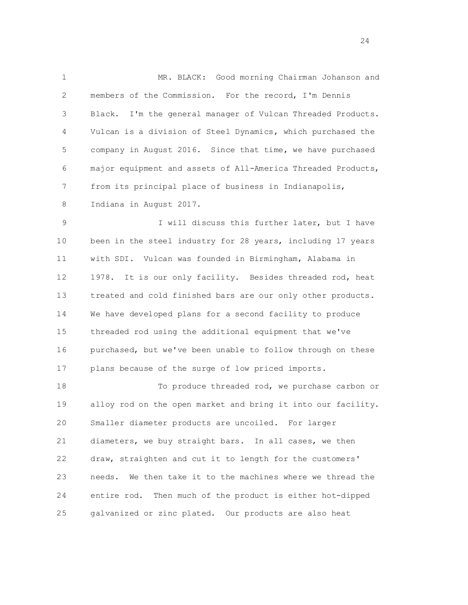1 MR. BLACK: Good morning Chairman Johanson and 2 members of the Commission. For the record, I'm Dennis 3 Black. I'm the general manager of Vulcan Threaded Products. 4 Vulcan is a division of Steel Dynamics, which purchased the 5 company in August 2016. Since that time, we have purchased 6 major equipment and assets of All-America Threaded Products, 7 from its principal place of business in Indianapolis, 8 Indiana in August 2017.

 9 I will discuss this further later, but I have 10 been in the steel industry for 28 years, including 17 years 11 with SDI. Vulcan was founded in Birmingham, Alabama in 12 1978. It is our only facility. Besides threaded rod, heat 13 treated and cold finished bars are our only other products. 14 We have developed plans for a second facility to produce 15 threaded rod using the additional equipment that we've 16 purchased, but we've been unable to follow through on these 17 plans because of the surge of low priced imports.

 18 To produce threaded rod, we purchase carbon or 19 alloy rod on the open market and bring it into our facility. 20 Smaller diameter products are uncoiled. For larger 21 diameters, we buy straight bars. In all cases, we then 22 draw, straighten and cut it to length for the customers' 23 needs. We then take it to the machines where we thread the 24 entire rod. Then much of the product is either hot-dipped 25 galvanized or zinc plated. Our products are also heat

 $\overline{24}$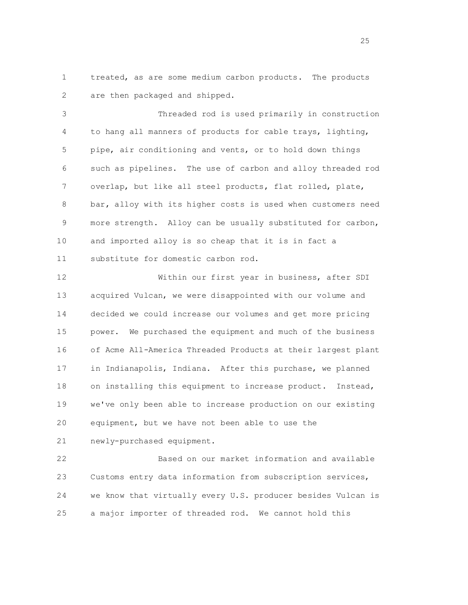1 treated, as are some medium carbon products. The products 2 are then packaged and shipped.

 3 Threaded rod is used primarily in construction 4 to hang all manners of products for cable trays, lighting, 5 pipe, air conditioning and vents, or to hold down things 6 such as pipelines. The use of carbon and alloy threaded rod 7 overlap, but like all steel products, flat rolled, plate, 8 bar, alloy with its higher costs is used when customers need 9 more strength. Alloy can be usually substituted for carbon, 10 and imported alloy is so cheap that it is in fact a 11 substitute for domestic carbon rod.

 12 Within our first year in business, after SDI 13 acquired Vulcan, we were disappointed with our volume and 14 decided we could increase our volumes and get more pricing 15 power. We purchased the equipment and much of the business 16 of Acme All-America Threaded Products at their largest plant 17 in Indianapolis, Indiana. After this purchase, we planned 18 on installing this equipment to increase product. Instead, 19 we've only been able to increase production on our existing 20 equipment, but we have not been able to use the

21 newly-purchased equipment.

 22 Based on our market information and available 23 Customs entry data information from subscription services, 24 we know that virtually every U.S. producer besides Vulcan is 25 a major importer of threaded rod. We cannot hold this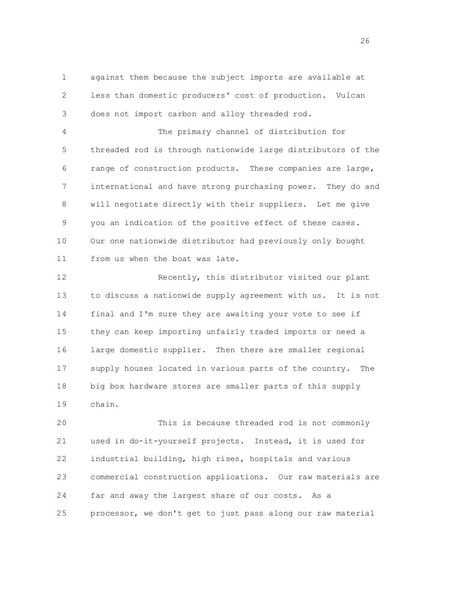1 against them because the subject imports are available at 2 less than domestic producers' cost of production. Vulcan 3 does not import carbon and alloy threaded rod.

 4 The primary channel of distribution for 5 threaded rod is through nationwide large distributors of the 6 range of construction products. These companies are large, 7 international and have strong purchasing power. They do and 8 will negotiate directly with their suppliers. Let me give 9 you an indication of the positive effect of these cases. 10 Our one nationwide distributor had previously only bought 11 from us when the boat was late.

 12 Recently, this distributor visited our plant 13 to discuss a nationwide supply agreement with us. It is not 14 final and I'm sure they are awaiting your vote to see if 15 they can keep importing unfairly traded imports or need a 16 large domestic supplier. Then there are smaller regional 17 supply houses located in various parts of the country. The 18 big box hardware stores are smaller parts of this supply 19 chain.

 20 This is because threaded rod is not commonly 21 used in do-it-yourself projects. Instead, it is used for 22 industrial building, high rises, hospitals and various 23 commercial construction applications. Our raw materials are 24 far and away the largest share of our costs. As a 25 processor, we don't get to just pass along our raw material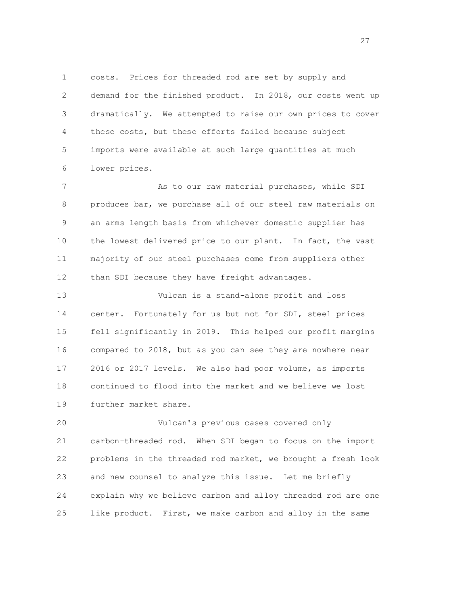1 costs. Prices for threaded rod are set by supply and 2 demand for the finished product. In 2018, our costs went up 3 dramatically. We attempted to raise our own prices to cover 4 these costs, but these efforts failed because subject 5 imports were available at such large quantities at much 6 lower prices.

 7 As to our raw material purchases, while SDI 8 produces bar, we purchase all of our steel raw materials on 9 an arms length basis from whichever domestic supplier has 10 the lowest delivered price to our plant. In fact, the vast 11 majority of our steel purchases come from suppliers other 12 than SDI because they have freight advantages.

 13 Vulcan is a stand-alone profit and loss 14 center. Fortunately for us but not for SDI, steel prices 15 fell significantly in 2019. This helped our profit margins 16 compared to 2018, but as you can see they are nowhere near 17 2016 or 2017 levels. We also had poor volume, as imports 18 continued to flood into the market and we believe we lost 19 further market share.

 20 Vulcan's previous cases covered only 21 carbon-threaded rod. When SDI began to focus on the import 22 problems in the threaded rod market, we brought a fresh look 23 and new counsel to analyze this issue. Let me briefly 24 explain why we believe carbon and alloy threaded rod are one 25 like product. First, we make carbon and alloy in the same

27 and 27 and 27 and 27 and 27 and 27 and 27 and 27 and 27 and 27 and 27 and 27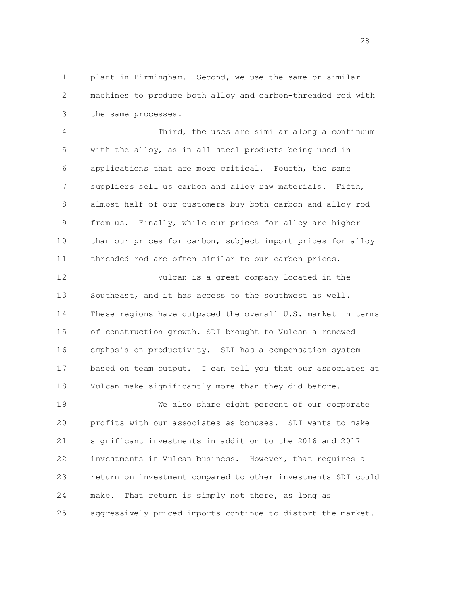1 plant in Birmingham. Second, we use the same or similar 2 machines to produce both alloy and carbon-threaded rod with 3 the same processes.

 4 Third, the uses are similar along a continuum 5 with the alloy, as in all steel products being used in 6 applications that are more critical. Fourth, the same 7 suppliers sell us carbon and alloy raw materials. Fifth, 8 almost half of our customers buy both carbon and alloy rod 9 from us. Finally, while our prices for alloy are higher 10 than our prices for carbon, subject import prices for alloy 11 threaded rod are often similar to our carbon prices.

 12 Vulcan is a great company located in the 13 Southeast, and it has access to the southwest as well. 14 These regions have outpaced the overall U.S. market in terms 15 of construction growth. SDI brought to Vulcan a renewed 16 emphasis on productivity. SDI has a compensation system 17 based on team output. I can tell you that our associates at 18 Vulcan make significantly more than they did before.

 19 We also share eight percent of our corporate 20 profits with our associates as bonuses. SDI wants to make 21 significant investments in addition to the 2016 and 2017 22 investments in Vulcan business. However, that requires a 23 return on investment compared to other investments SDI could 24 make. That return is simply not there, as long as 25 aggressively priced imports continue to distort the market.

en andere en de la provincia de la provincia de la provincia de la provincia de la provincia de la provincia d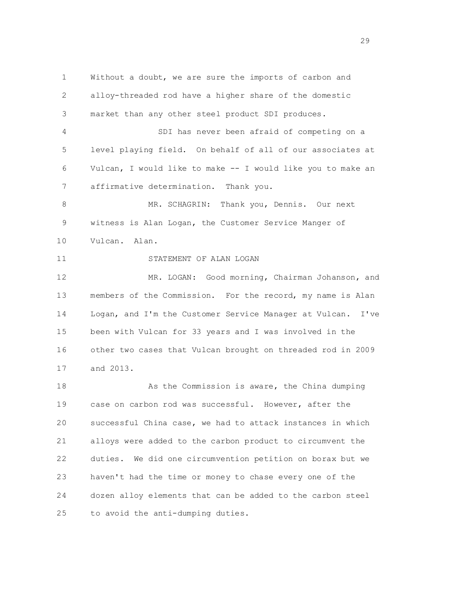1 Without a doubt, we are sure the imports of carbon and 2 alloy-threaded rod have a higher share of the domestic 3 market than any other steel product SDI produces. 4 SDI has never been afraid of competing on a 5 level playing field. On behalf of all of our associates at 6 Vulcan, I would like to make -- I would like you to make an 7 affirmative determination. Thank you. 8 MR. SCHAGRIN: Thank you, Dennis. Our next 9 witness is Alan Logan, the Customer Service Manger of 10 Vulcan. Alan. 11 STATEMENT OF ALAN LOGAN 12 MR. LOGAN: Good morning, Chairman Johanson, and 13 members of the Commission. For the record, my name is Alan 14 Logan, and I'm the Customer Service Manager at Vulcan. I've 15 been with Vulcan for 33 years and I was involved in the 16 other two cases that Vulcan brought on threaded rod in 2009 17 and 2013. 18 As the Commission is aware, the China dumping 19 case on carbon rod was successful. However, after the 20 successful China case, we had to attack instances in which 21 alloys were added to the carbon product to circumvent the 22 duties. We did one circumvention petition on borax but we 23 haven't had the time or money to chase every one of the 24 dozen alloy elements that can be added to the carbon steel 25 to avoid the anti-dumping duties.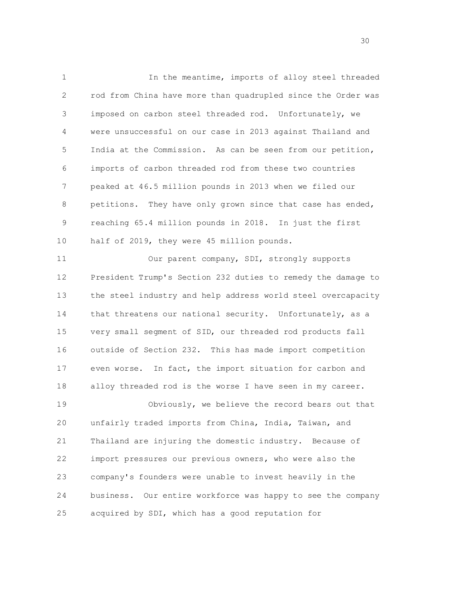1 In the meantime, imports of alloy steel threaded 2 rod from China have more than quadrupled since the Order was 3 imposed on carbon steel threaded rod. Unfortunately, we 4 were unsuccessful on our case in 2013 against Thailand and 5 India at the Commission. As can be seen from our petition, 6 imports of carbon threaded rod from these two countries 7 peaked at 46.5 million pounds in 2013 when we filed our 8 petitions. They have only grown since that case has ended, 9 reaching 65.4 million pounds in 2018. In just the first 10 half of 2019, they were 45 million pounds.

 11 Our parent company, SDI, strongly supports 12 President Trump's Section 232 duties to remedy the damage to 13 the steel industry and help address world steel overcapacity 14 that threatens our national security. Unfortunately, as a 15 very small segment of SID, our threaded rod products fall 16 outside of Section 232. This has made import competition 17 even worse. In fact, the import situation for carbon and 18 alloy threaded rod is the worse I have seen in my career. 19 Obviously, we believe the record bears out that

 20 unfairly traded imports from China, India, Taiwan, and 21 Thailand are injuring the domestic industry. Because of 22 import pressures our previous owners, who were also the 23 company's founders were unable to invest heavily in the 24 business. Our entire workforce was happy to see the company 25 acquired by SDI, which has a good reputation for

 $30<sup>2</sup>$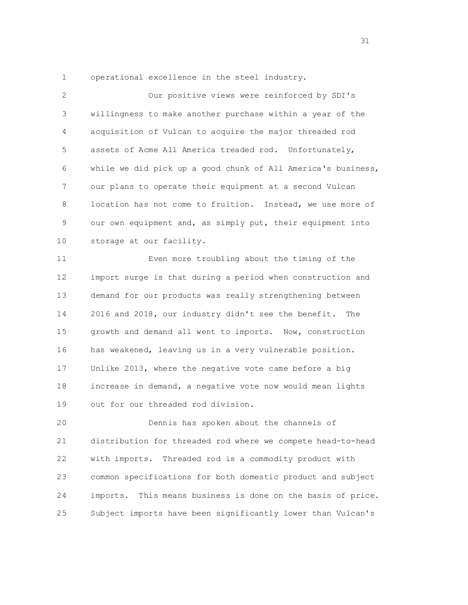1 operational excellence in the steel industry.

| 2  | Our positive views were reinforced by SDI's                    |
|----|----------------------------------------------------------------|
| 3  | willingness to make another purchase within a year of the      |
| 4  | acquisition of Vulcan to acquire the major threaded rod        |
| 5  | assets of Acme All America treaded rod. Unfortunately,         |
| 6  | while we did pick up a good chunk of All America's business,   |
| 7  | our plans to operate their equipment at a second Vulcan        |
| 8  | location has not come to fruition. Instead, we use more of     |
| 9  | our own equipment and, as simply put, their equipment into     |
| 10 | storage at our facility.                                       |
| 11 | Even more troubling about the timing of the                    |
| 12 | import surge is that during a period when construction and     |
| 13 | demand for our products was really strengthening between       |
| 14 | 2016 and 2018, our industry didn't see the benefit.<br>The     |
| 15 | growth and demand all went to imports. Now, construction       |
| 16 | has weakened, leaving us in a very vulnerable position.        |
| 17 | Unlike 2013, where the negative vote came before a big         |
| 18 | increase in demand, a negative vote now would mean lights      |
| 19 | out for our threaded rod division.                             |
| 20 | Dennis has spoken about the channels of                        |
| 21 | distribution for threaded rod where we compete head-to-head    |
| 22 | Threaded rod is a commodity product with<br>with imports.      |
| 23 | common specifications for both domestic product and subject    |
| 24 | This means business is done on the basis of price.<br>imports. |
| 25 | Subject imports have been significantly lower than Vulcan's    |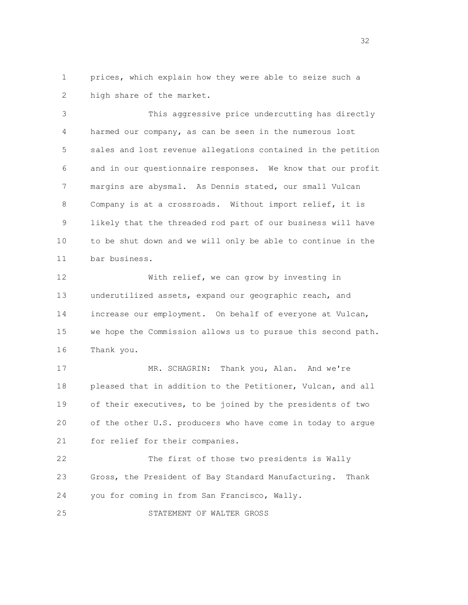1 prices, which explain how they were able to seize such a 2 high share of the market.

 3 This aggressive price undercutting has directly 4 harmed our company, as can be seen in the numerous lost 5 sales and lost revenue allegations contained in the petition 6 and in our questionnaire responses. We know that our profit 7 margins are abysmal. As Dennis stated, our small Vulcan 8 Company is at a crossroads. Without import relief, it is 9 likely that the threaded rod part of our business will have 10 to be shut down and we will only be able to continue in the 11 bar business.

12 With relief, we can grow by investing in 13 underutilized assets, expand our geographic reach, and 14 increase our employment. On behalf of everyone at Vulcan, 15 we hope the Commission allows us to pursue this second path. 16 Thank you.

17 MR. SCHAGRIN: Thank you, Alan. And we're 18 pleased that in addition to the Petitioner, Vulcan, and all 19 of their executives, to be joined by the presidents of two 20 of the other U.S. producers who have come in today to argue 21 for relief for their companies.

 22 The first of those two presidents is Wally 23 Gross, the President of Bay Standard Manufacturing. Thank 24 you for coming in from San Francisco, Wally.

25 STATEMENT OF WALTER GROSS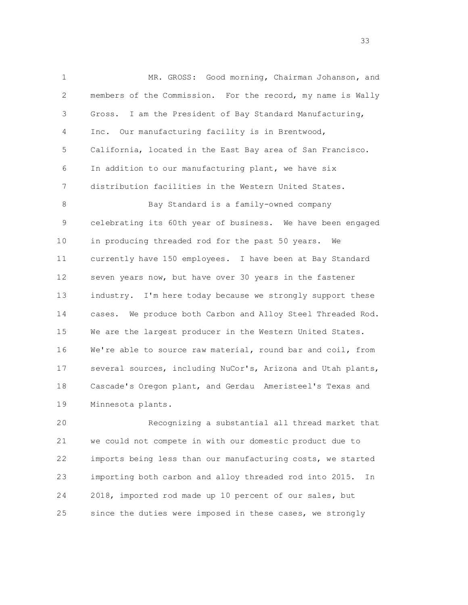1 MR. GROSS: Good morning, Chairman Johanson, and 2 members of the Commission. For the record, my name is Wally 3 Gross. I am the President of Bay Standard Manufacturing, 4 Inc. Our manufacturing facility is in Brentwood, 5 California, located in the East Bay area of San Francisco. 6 In addition to our manufacturing plant, we have six 7 distribution facilities in the Western United States. 8 Bay Standard is a family-owned company 9 celebrating its 60th year of business. We have been engaged 10 in producing threaded rod for the past 50 years. We 11 currently have 150 employees. I have been at Bay Standard 12 seven years now, but have over 30 years in the fastener 13 industry. I'm here today because we strongly support these 14 cases. We produce both Carbon and Alloy Steel Threaded Rod. 15 We are the largest producer in the Western United States. 16 We're able to source raw material, round bar and coil, from 17 several sources, including NuCor's, Arizona and Utah plants, 18 Cascade's Oregon plant, and Gerdau Ameristeel's Texas and 19 Minnesota plants.

 20 Recognizing a substantial all thread market that 21 we could not compete in with our domestic product due to 22 imports being less than our manufacturing costs, we started 23 importing both carbon and alloy threaded rod into 2015. In 24 2018, imported rod made up 10 percent of our sales, but 25 since the duties were imposed in these cases, we strongly

and the state of the state of the state of the state of the state of the state of the state of the state of th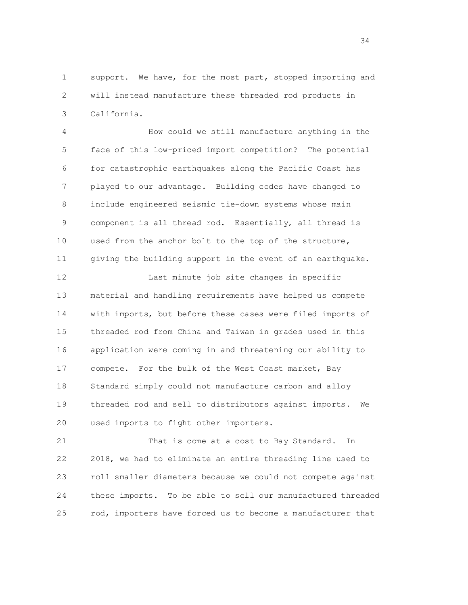1 support. We have, for the most part, stopped importing and 2 will instead manufacture these threaded rod products in 3 California.

 4 How could we still manufacture anything in the 5 face of this low-priced import competition? The potential 6 for catastrophic earthquakes along the Pacific Coast has 7 played to our advantage. Building codes have changed to 8 include engineered seismic tie-down systems whose main 9 component is all thread rod. Essentially, all thread is 10 used from the anchor bolt to the top of the structure, 11 giving the building support in the event of an earthquake.

 12 Last minute job site changes in specific 13 material and handling requirements have helped us compete 14 with imports, but before these cases were filed imports of 15 threaded rod from China and Taiwan in grades used in this 16 application were coming in and threatening our ability to 17 compete. For the bulk of the West Coast market, Bay 18 Standard simply could not manufacture carbon and alloy 19 threaded rod and sell to distributors against imports. We 20 used imports to fight other importers.

21 That is come at a cost to Bay Standard. In 22 2018, we had to eliminate an entire threading line used to 23 roll smaller diameters because we could not compete against 24 these imports. To be able to sell our manufactured threaded 25 rod, importers have forced us to become a manufacturer that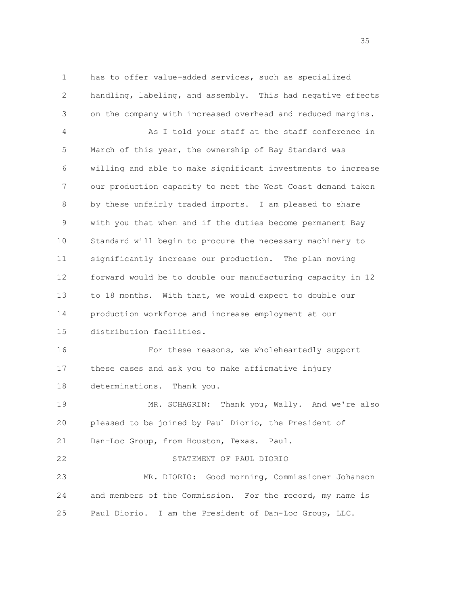1 has to offer value-added services, such as specialized 2 handling, labeling, and assembly. This had negative effects 3 on the company with increased overhead and reduced margins. 4 As I told your staff at the staff conference in 5 March of this year, the ownership of Bay Standard was 6 willing and able to make significant investments to increase 7 our production capacity to meet the West Coast demand taken 8 by these unfairly traded imports. I am pleased to share 9 with you that when and if the duties become permanent Bay 10 Standard will begin to procure the necessary machinery to 11 significantly increase our production. The plan moving 12 forward would be to double our manufacturing capacity in 12 13 to 18 months. With that, we would expect to double our 14 production workforce and increase employment at our 15 distribution facilities. 16 For these reasons, we wholeheartedly support 17 these cases and ask you to make affirmative injury 18 determinations. Thank you. 19 MR. SCHAGRIN: Thank you, Wally. And we're also 20 pleased to be joined by Paul Diorio, the President of 21 Dan-Loc Group, from Houston, Texas. Paul. 22 STATEMENT OF PAUL DIORIO 23 MR. DIORIO: Good morning, Commissioner Johanson 24 and members of the Commission. For the record, my name is 25 Paul Diorio. I am the President of Dan-Loc Group, LLC.

 $35<sub>35</sub>$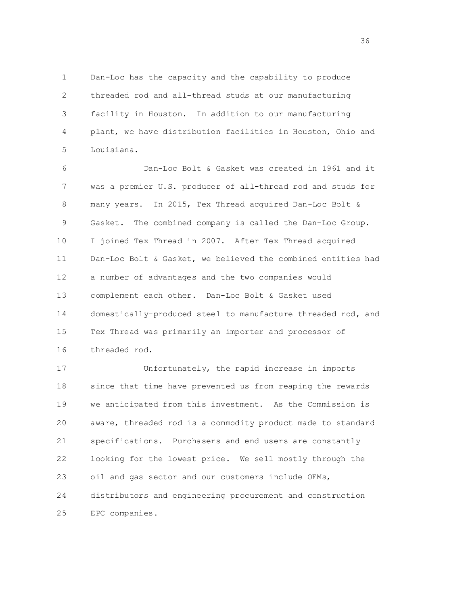1 Dan-Loc has the capacity and the capability to produce 2 threaded rod and all-thread studs at our manufacturing 3 facility in Houston. In addition to our manufacturing 4 plant, we have distribution facilities in Houston, Ohio and 5 Louisiana.

 6 Dan-Loc Bolt & Gasket was created in 1961 and it 7 was a premier U.S. producer of all-thread rod and studs for 8 many years. In 2015, Tex Thread acquired Dan-Loc Bolt & 9 Gasket. The combined company is called the Dan-Loc Group. 10 I joined Tex Thread in 2007. After Tex Thread acquired 11 Dan-Loc Bolt & Gasket, we believed the combined entities had 12 a number of advantages and the two companies would 13 complement each other. Dan-Loc Bolt & Gasket used 14 domestically-produced steel to manufacture threaded rod, and 15 Tex Thread was primarily an importer and processor of 16 threaded rod.

 17 Unfortunately, the rapid increase in imports 18 since that time have prevented us from reaping the rewards 19 we anticipated from this investment. As the Commission is 20 aware, threaded rod is a commodity product made to standard 21 specifications. Purchasers and end users are constantly 22 looking for the lowest price. We sell mostly through the 23 oil and gas sector and our customers include OEMs, 24 distributors and engineering procurement and construction 25 EPC companies.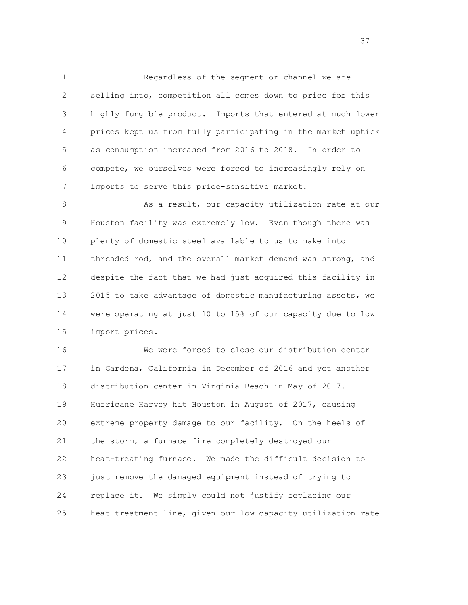1 Regardless of the segment or channel we are 2 selling into, competition all comes down to price for this 3 highly fungible product. Imports that entered at much lower 4 prices kept us from fully participating in the market uptick 5 as consumption increased from 2016 to 2018. In order to 6 compete, we ourselves were forced to increasingly rely on 7 imports to serve this price-sensitive market.

8 As a result, our capacity utilization rate at our 9 Houston facility was extremely low. Even though there was 10 plenty of domestic steel available to us to make into 11 threaded rod, and the overall market demand was strong, and 12 despite the fact that we had just acquired this facility in 13 2015 to take advantage of domestic manufacturing assets, we 14 were operating at just 10 to 15% of our capacity due to low 15 import prices.

 16 We were forced to close our distribution center 17 in Gardena, California in December of 2016 and yet another 18 distribution center in Virginia Beach in May of 2017. 19 Hurricane Harvey hit Houston in August of 2017, causing 20 extreme property damage to our facility. On the heels of 21 the storm, a furnace fire completely destroyed our 22 heat-treating furnace. We made the difficult decision to 23 just remove the damaged equipment instead of trying to 24 replace it. We simply could not justify replacing our 25 heat-treatment line, given our low-capacity utilization rate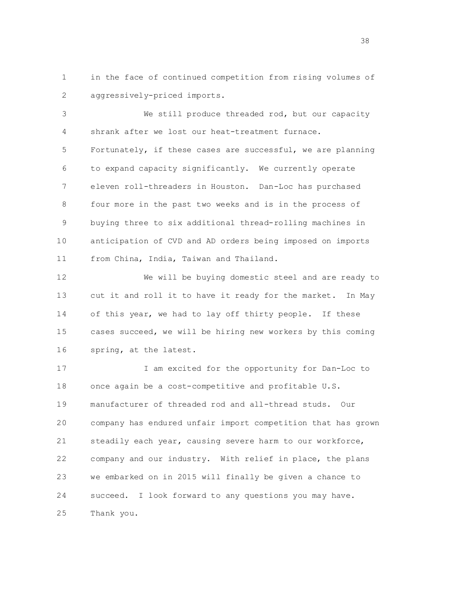1 in the face of continued competition from rising volumes of 2 aggressively-priced imports.

 3 We still produce threaded rod, but our capacity 4 shrank after we lost our heat-treatment furnace. 5 Fortunately, if these cases are successful, we are planning 6 to expand capacity significantly. We currently operate 7 eleven roll-threaders in Houston. Dan-Loc has purchased 8 four more in the past two weeks and is in the process of 9 buying three to six additional thread-rolling machines in 10 anticipation of CVD and AD orders being imposed on imports 11 from China, India, Taiwan and Thailand.

 12 We will be buying domestic steel and are ready to 13 cut it and roll it to have it ready for the market. In May 14 of this year, we had to lay off thirty people. If these 15 cases succeed, we will be hiring new workers by this coming 16 spring, at the latest.

 17 I am excited for the opportunity for Dan-Loc to 18 once again be a cost-competitive and profitable U.S. 19 manufacturer of threaded rod and all-thread studs. Our 20 company has endured unfair import competition that has grown 21 steadily each year, causing severe harm to our workforce, 22 company and our industry. With relief in place, the plans 23 we embarked on in 2015 will finally be given a chance to 24 succeed. I look forward to any questions you may have. 25 Thank you.

 $38\,$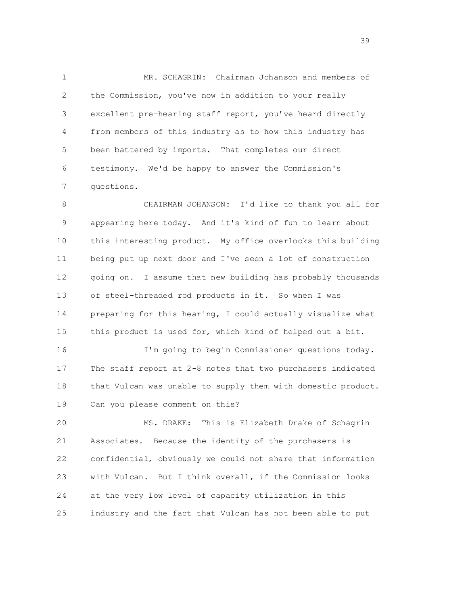1 MR. SCHAGRIN: Chairman Johanson and members of 2 the Commission, you've now in addition to your really 3 excellent pre-hearing staff report, you've heard directly 4 from members of this industry as to how this industry has 5 been battered by imports. That completes our direct 6 testimony. We'd be happy to answer the Commission's 7 questions.

 8 CHAIRMAN JOHANSON: I'd like to thank you all for 9 appearing here today. And it's kind of fun to learn about 10 this interesting product. My office overlooks this building 11 being put up next door and I've seen a lot of construction 12 going on. I assume that new building has probably thousands 13 of steel-threaded rod products in it. So when I was 14 preparing for this hearing, I could actually visualize what 15 this product is used for, which kind of helped out a bit.

 16 I'm going to begin Commissioner questions today. 17 The staff report at 2-8 notes that two purchasers indicated 18 that Vulcan was unable to supply them with domestic product. 19 Can you please comment on this?

 20 MS. DRAKE: This is Elizabeth Drake of Schagrin 21 Associates. Because the identity of the purchasers is 22 confidential, obviously we could not share that information 23 with Vulcan. But I think overall, if the Commission looks 24 at the very low level of capacity utilization in this 25 industry and the fact that Vulcan has not been able to put

 $39<sup>9</sup>$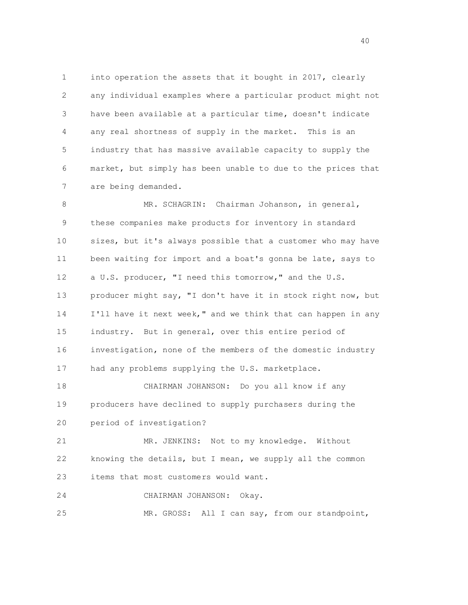1 into operation the assets that it bought in 2017, clearly 2 any individual examples where a particular product might not 3 have been available at a particular time, doesn't indicate 4 any real shortness of supply in the market. This is an 5 industry that has massive available capacity to supply the 6 market, but simply has been unable to due to the prices that 7 are being demanded.

8 MR. SCHAGRIN: Chairman Johanson, in general, 9 these companies make products for inventory in standard 10 sizes, but it's always possible that a customer who may have 11 been waiting for import and a boat's gonna be late, says to 12 a U.S. producer, "I need this tomorrow," and the U.S. 13 producer might say, "I don't have it in stock right now, but 14 I'll have it next week," and we think that can happen in any 15 industry. But in general, over this entire period of 16 investigation, none of the members of the domestic industry 17 had any problems supplying the U.S. marketplace. 18 CHAIRMAN JOHANSON: Do you all know if any

 19 producers have declined to supply purchasers during the 20 period of investigation?

 21 MR. JENKINS: Not to my knowledge. Without 22 knowing the details, but I mean, we supply all the common 23 items that most customers would want.

 24 CHAIRMAN JOHANSON: Okay. 25 MR. GROSS: All I can say, from our standpoint,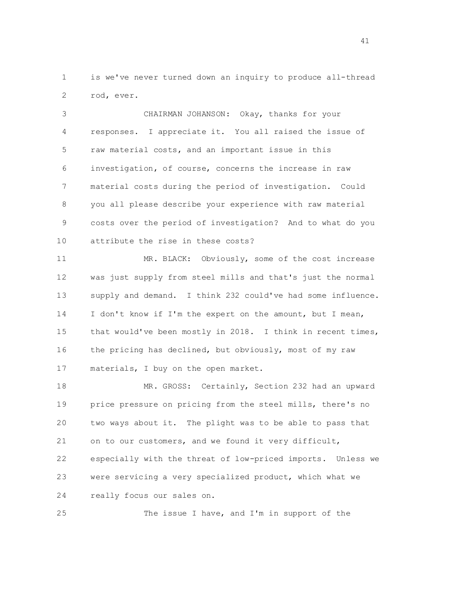1 is we've never turned down an inquiry to produce all-thread 2 rod, ever.

 3 CHAIRMAN JOHANSON: Okay, thanks for your 4 responses. I appreciate it. You all raised the issue of 5 raw material costs, and an important issue in this 6 investigation, of course, concerns the increase in raw 7 material costs during the period of investigation. Could 8 you all please describe your experience with raw material 9 costs over the period of investigation? And to what do you 10 attribute the rise in these costs?

 11 MR. BLACK: Obviously, some of the cost increase 12 was just supply from steel mills and that's just the normal 13 supply and demand. I think 232 could've had some influence. 14 I don't know if I'm the expert on the amount, but I mean, 15 that would've been mostly in 2018. I think in recent times, 16 the pricing has declined, but obviously, most of my raw 17 materials, I buy on the open market.

 18 MR. GROSS: Certainly, Section 232 had an upward 19 price pressure on pricing from the steel mills, there's no 20 two ways about it. The plight was to be able to pass that 21 on to our customers, and we found it very difficult, 22 especially with the threat of low-priced imports. Unless we 23 were servicing a very specialized product, which what we 24 really focus our sales on.

25 The issue I have, and I'm in support of the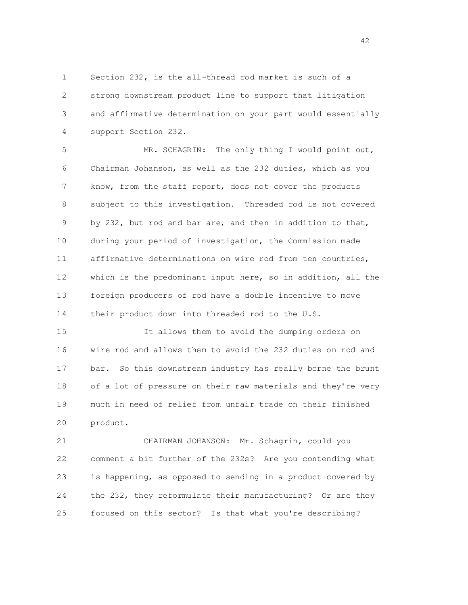1 Section 232, is the all-thread rod market is such of a 2 strong downstream product line to support that litigation 3 and affirmative determination on your part would essentially 4 support Section 232.

 5 MR. SCHAGRIN: The only thing I would point out, 6 Chairman Johanson, as well as the 232 duties, which as you 7 know, from the staff report, does not cover the products 8 subject to this investigation. Threaded rod is not covered 9 by 232, but rod and bar are, and then in addition to that, 10 during your period of investigation, the Commission made 11 affirmative determinations on wire rod from ten countries, 12 which is the predominant input here, so in addition, all the 13 foreign producers of rod have a double incentive to move 14 their product down into threaded rod to the U.S.

 15 It allows them to avoid the dumping orders on 16 wire rod and allows them to avoid the 232 duties on rod and 17 bar. So this downstream industry has really borne the brunt 18 of a lot of pressure on their raw materials and they're very 19 much in need of relief from unfair trade on their finished 20 product.

 21 CHAIRMAN JOHANSON: Mr. Schagrin, could you 22 comment a bit further of the 232s? Are you contending what 23 is happening, as opposed to sending in a product covered by 24 the 232, they reformulate their manufacturing? Or are they 25 focused on this sector? Is that what you're describing?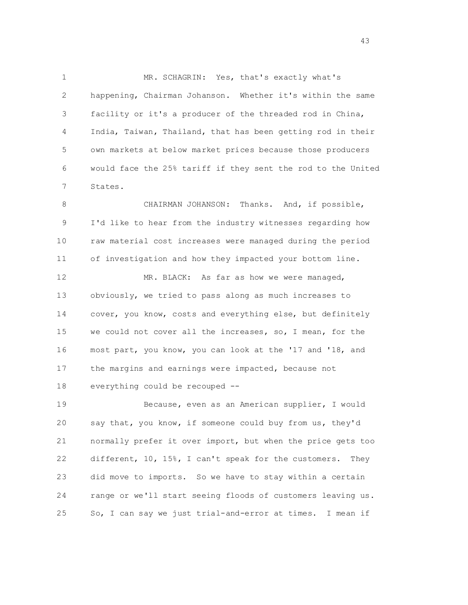1 MR. SCHAGRIN: Yes, that's exactly what's 2 happening, Chairman Johanson. Whether it's within the same 3 facility or it's a producer of the threaded rod in China, 4 India, Taiwan, Thailand, that has been getting rod in their 5 own markets at below market prices because those producers 6 would face the 25% tariff if they sent the rod to the United 7 States.

 8 CHAIRMAN JOHANSON: Thanks. And, if possible, 9 I'd like to hear from the industry witnesses regarding how 10 raw material cost increases were managed during the period 11 of investigation and how they impacted your bottom line.

12 MR. BLACK: As far as how we were managed, 13 obviously, we tried to pass along as much increases to 14 cover, you know, costs and everything else, but definitely 15 we could not cover all the increases, so, I mean, for the 16 most part, you know, you can look at the '17 and '18, and 17 the margins and earnings were impacted, because not 18 everything could be recouped --

 19 Because, even as an American supplier, I would 20 say that, you know, if someone could buy from us, they'd 21 normally prefer it over import, but when the price gets too 22 different, 10, 15%, I can't speak for the customers. They 23 did move to imports. So we have to stay within a certain 24 range or we'll start seeing floods of customers leaving us. 25 So, I can say we just trial-and-error at times. I mean if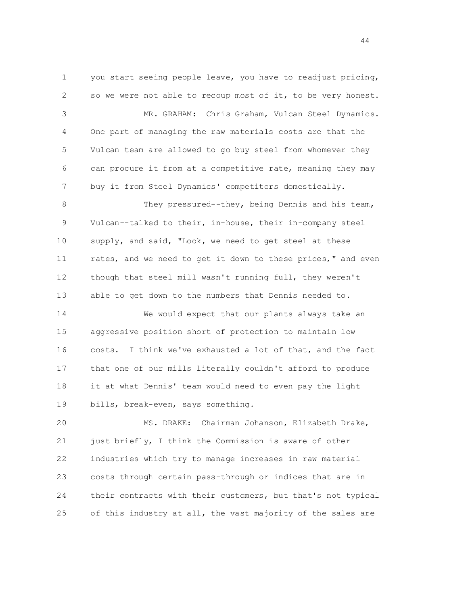1 you start seeing people leave, you have to readjust pricing, 2 so we were not able to recoup most of it, to be very honest. 3 MR. GRAHAM: Chris Graham, Vulcan Steel Dynamics. 4 One part of managing the raw materials costs are that the 5 Vulcan team are allowed to go buy steel from whomever they 6 can procure it from at a competitive rate, meaning they may 7 buy it from Steel Dynamics' competitors domestically. 8 They pressured--they, being Dennis and his team, 9 Vulcan--talked to their, in-house, their in-company steel 10 supply, and said, "Look, we need to get steel at these 11 rates, and we need to get it down to these prices," and even 12 though that steel mill wasn't running full, they weren't 13 able to get down to the numbers that Dennis needed to. 14 We would expect that our plants always take an 15 aggressive position short of protection to maintain low 16 costs. I think we've exhausted a lot of that, and the fact 17 that one of our mills literally couldn't afford to produce 18 it at what Dennis' team would need to even pay the light 19 bills, break-even, says something.

 20 MS. DRAKE: Chairman Johanson, Elizabeth Drake, 21 just briefly, I think the Commission is aware of other 22 industries which try to manage increases in raw material 23 costs through certain pass-through or indices that are in 24 their contracts with their customers, but that's not typical 25 of this industry at all, the vast majority of the sales are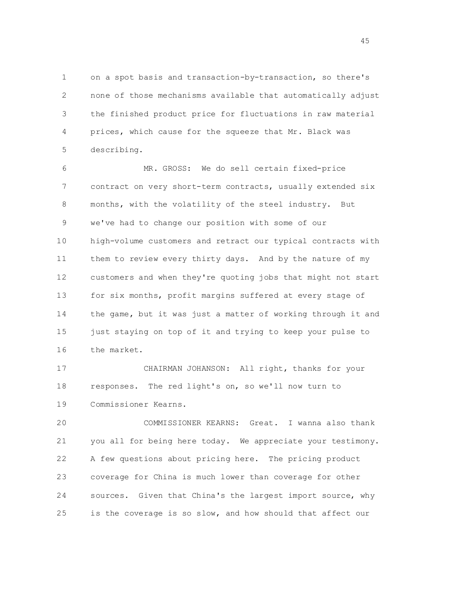1 on a spot basis and transaction-by-transaction, so there's 2 none of those mechanisms available that automatically adjust 3 the finished product price for fluctuations in raw material 4 prices, which cause for the squeeze that Mr. Black was 5 describing.

 6 MR. GROSS: We do sell certain fixed-price 7 contract on very short-term contracts, usually extended six 8 months, with the volatility of the steel industry. But 9 we've had to change our position with some of our 10 high-volume customers and retract our typical contracts with 11 them to review every thirty days. And by the nature of my 12 customers and when they're quoting jobs that might not start 13 for six months, profit margins suffered at every stage of 14 the game, but it was just a matter of working through it and 15 just staying on top of it and trying to keep your pulse to 16 the market.

 17 CHAIRMAN JOHANSON: All right, thanks for your 18 responses. The red light's on, so we'll now turn to 19 Commissioner Kearns.

 20 COMMISSIONER KEARNS: Great. I wanna also thank 21 you all for being here today. We appreciate your testimony. 22 A few questions about pricing here. The pricing product 23 coverage for China is much lower than coverage for other 24 sources. Given that China's the largest import source, why 25 is the coverage is so slow, and how should that affect our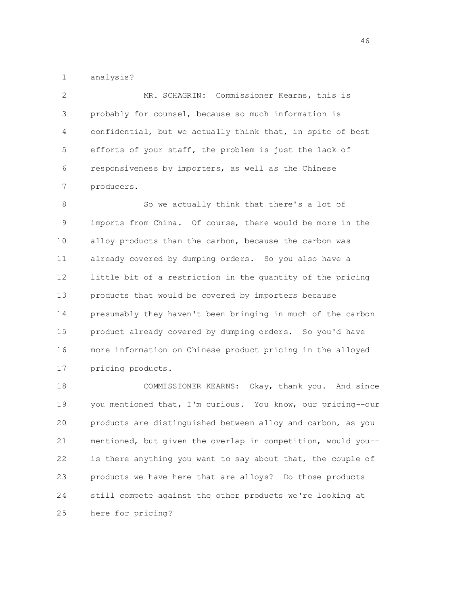1 analysis?

 2 MR. SCHAGRIN: Commissioner Kearns, this is 3 probably for counsel, because so much information is 4 confidential, but we actually think that, in spite of best 5 efforts of your staff, the problem is just the lack of 6 responsiveness by importers, as well as the Chinese 7 producers.

8 So we actually think that there's a lot of 9 imports from China. Of course, there would be more in the 10 alloy products than the carbon, because the carbon was 11 already covered by dumping orders. So you also have a 12 little bit of a restriction in the quantity of the pricing 13 products that would be covered by importers because 14 presumably they haven't been bringing in much of the carbon 15 product already covered by dumping orders. So you'd have 16 more information on Chinese product pricing in the alloyed 17 pricing products.

 18 COMMISSIONER KEARNS: Okay, thank you. And since 19 you mentioned that, I'm curious. You know, our pricing--our 20 products are distinguished between alloy and carbon, as you 21 mentioned, but given the overlap in competition, would you-- 22 is there anything you want to say about that, the couple of 23 products we have here that are alloys? Do those products 24 still compete against the other products we're looking at 25 here for pricing?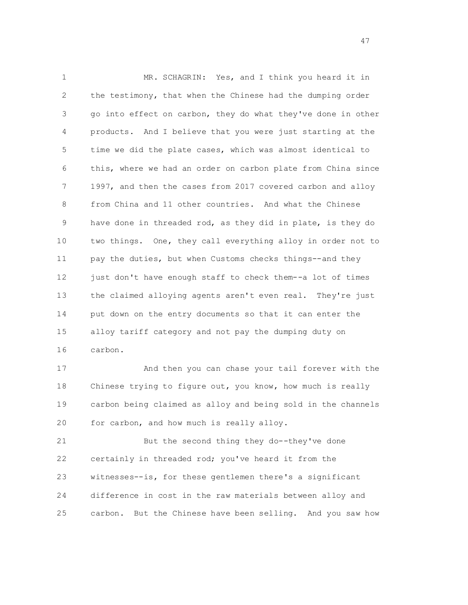1 MR. SCHAGRIN: Yes, and I think you heard it in 2 the testimony, that when the Chinese had the dumping order 3 go into effect on carbon, they do what they've done in other 4 products. And I believe that you were just starting at the 5 time we did the plate cases, which was almost identical to 6 this, where we had an order on carbon plate from China since 7 1997, and then the cases from 2017 covered carbon and alloy 8 from China and 11 other countries. And what the Chinese 9 have done in threaded rod, as they did in plate, is they do 10 two things. One, they call everything alloy in order not to 11 pay the duties, but when Customs checks things--and they 12 just don't have enough staff to check them--a lot of times 13 the claimed alloying agents aren't even real. They're just 14 put down on the entry documents so that it can enter the 15 alloy tariff category and not pay the dumping duty on 16 carbon.

 17 And then you can chase your tail forever with the 18 Chinese trying to figure out, you know, how much is really 19 carbon being claimed as alloy and being sold in the channels 20 for carbon, and how much is really alloy.

 21 But the second thing they do--they've done 22 certainly in threaded rod; you've heard it from the 23 witnesses--is, for these gentlemen there's a significant 24 difference in cost in the raw materials between alloy and 25 carbon. But the Chinese have been selling. And you saw how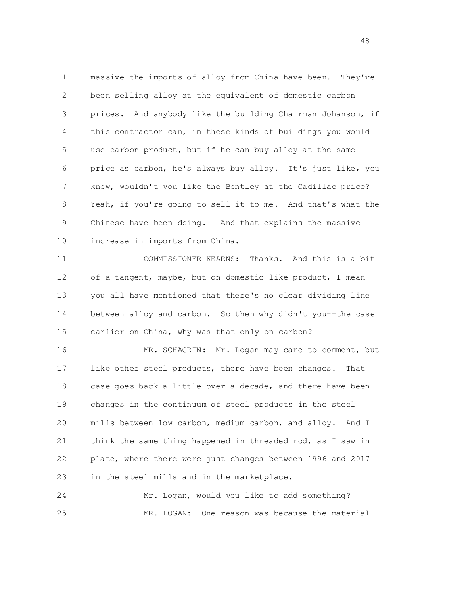1 massive the imports of alloy from China have been. They've 2 been selling alloy at the equivalent of domestic carbon 3 prices. And anybody like the building Chairman Johanson, if 4 this contractor can, in these kinds of buildings you would 5 use carbon product, but if he can buy alloy at the same 6 price as carbon, he's always buy alloy. It's just like, you 7 know, wouldn't you like the Bentley at the Cadillac price? 8 Yeah, if you're going to sell it to me. And that's what the 9 Chinese have been doing. And that explains the massive 10 increase in imports from China.

 11 COMMISSIONER KEARNS: Thanks. And this is a bit 12 of a tangent, maybe, but on domestic like product, I mean 13 you all have mentioned that there's no clear dividing line 14 between alloy and carbon. So then why didn't you--the case 15 earlier on China, why was that only on carbon?

 16 MR. SCHAGRIN: Mr. Logan may care to comment, but 17 like other steel products, there have been changes. That 18 case goes back a little over a decade, and there have been 19 changes in the continuum of steel products in the steel 20 mills between low carbon, medium carbon, and alloy. And I 21 think the same thing happened in threaded rod, as I saw in 22 plate, where there were just changes between 1996 and 2017 23 in the steel mills and in the marketplace.

 24 Mr. Logan, would you like to add something? 25 MR. LOGAN: One reason was because the material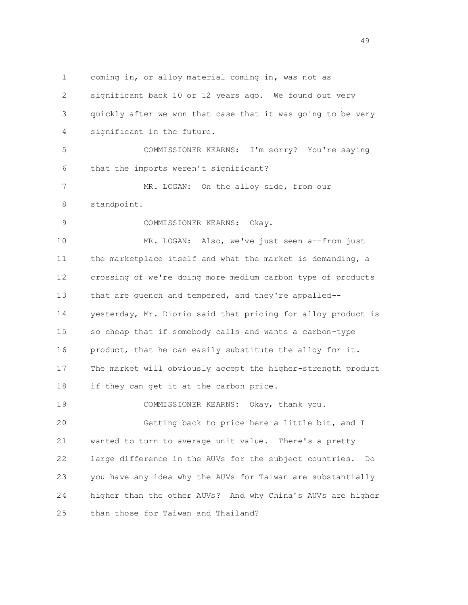1 coming in, or alloy material coming in, was not as 2 significant back 10 or 12 years ago. We found out very 3 quickly after we won that case that it was going to be very 4 significant in the future. 5 COMMISSIONER KEARNS: I'm sorry? You're saying 6 that the imports weren't significant? 7 MR. LOGAN: On the alloy side, from our 8 standpoint. 9 COMMISSIONER KEARNS: Okay. 10 MR. LOGAN: Also, we've just seen a--from just 11 the marketplace itself and what the market is demanding, a 12 crossing of we're doing more medium carbon type of products 13 that are quench and tempered, and they're appalled-- 14 yesterday, Mr. Diorio said that pricing for alloy product is 15 so cheap that if somebody calls and wants a carbon-type 16 product, that he can easily substitute the alloy for it. 17 The market will obviously accept the higher-strength product 18 if they can get it at the carbon price. 19 COMMISSIONER KEARNS: Okay, thank you. 20 Getting back to price here a little bit, and I 21 wanted to turn to average unit value. There's a pretty 22 large difference in the AUVs for the subject countries. Do 23 you have any idea why the AUVs for Taiwan are substantially 24 higher than the other AUVs? And why China's AUVs are higher 25 than those for Taiwan and Thailand?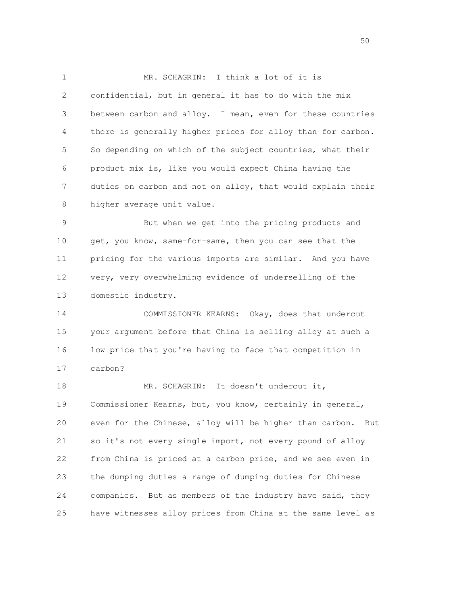1 MR. SCHAGRIN: I think a lot of it is 2 confidential, but in general it has to do with the mix 3 between carbon and alloy. I mean, even for these countries 4 there is generally higher prices for alloy than for carbon. 5 So depending on which of the subject countries, what their 6 product mix is, like you would expect China having the 7 duties on carbon and not on alloy, that would explain their 8 higher average unit value.

 9 But when we get into the pricing products and 10 get, you know, same-for-same, then you can see that the 11 pricing for the various imports are similar. And you have 12 very, very overwhelming evidence of underselling of the 13 domestic industry.

 14 COMMISSIONER KEARNS: Okay, does that undercut 15 your argument before that China is selling alloy at such a 16 low price that you're having to face that competition in 17 carbon?

18 MR. SCHAGRIN: It doesn't undercut it, 19 Commissioner Kearns, but, you know, certainly in general, 20 even for the Chinese, alloy will be higher than carbon. But 21 so it's not every single import, not every pound of alloy 22 from China is priced at a carbon price, and we see even in 23 the dumping duties a range of dumping duties for Chinese 24 companies. But as members of the industry have said, they 25 have witnesses alloy prices from China at the same level as

 $50<sub>50</sub>$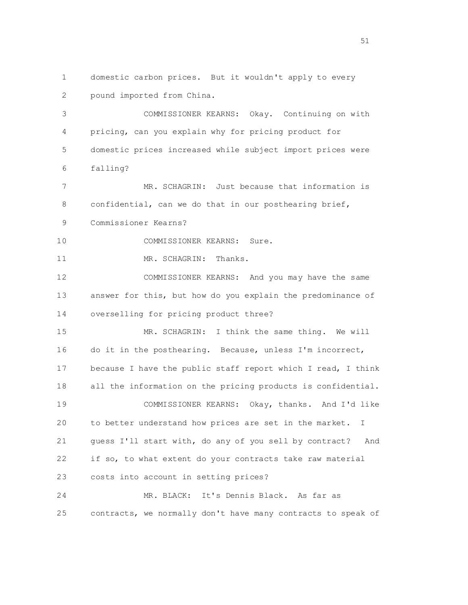1 domestic carbon prices. But it wouldn't apply to every 2 pound imported from China. 3 COMMISSIONER KEARNS: Okay. Continuing on with 4 pricing, can you explain why for pricing product for 5 domestic prices increased while subject import prices were 6 falling? 7 MR. SCHAGRIN: Just because that information is 8 confidential, can we do that in our posthearing brief, 9 Commissioner Kearns? 10 COMMISSIONER KEARNS: Sure. 11 MR. SCHAGRIN: Thanks. 12 COMMISSIONER KEARNS: And you may have the same 13 answer for this, but how do you explain the predominance of 14 overselling for pricing product three? 15 MR. SCHAGRIN: I think the same thing. We will 16 do it in the posthearing. Because, unless I'm incorrect, 17 because I have the public staff report which I read, I think 18 all the information on the pricing products is confidential. 19 COMMISSIONER KEARNS: Okay, thanks. And I'd like 20 to better understand how prices are set in the market. I 21 guess I'll start with, do any of you sell by contract? And 22 if so, to what extent do your contracts take raw material 23 costs into account in setting prices? 24 MR. BLACK: It's Dennis Black. As far as 25 contracts, we normally don't have many contracts to speak of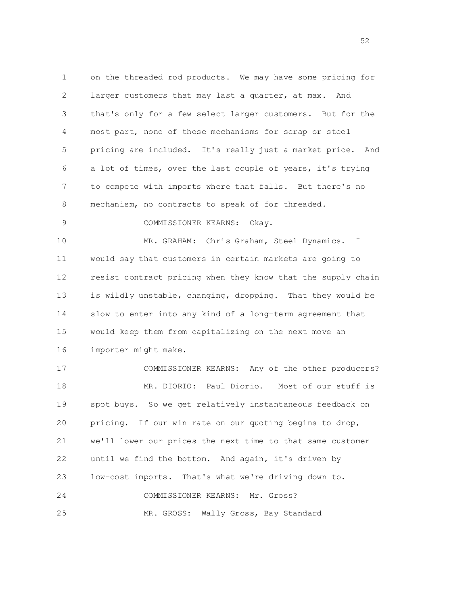1 on the threaded rod products. We may have some pricing for 2 larger customers that may last a quarter, at max. And 3 that's only for a few select larger customers. But for the 4 most part, none of those mechanisms for scrap or steel 5 pricing are included. It's really just a market price. And 6 a lot of times, over the last couple of years, it's trying 7 to compete with imports where that falls. But there's no 8 mechanism, no contracts to speak of for threaded. 9 COMMISSIONER KEARNS: Okay. 10 MR. GRAHAM: Chris Graham, Steel Dynamics. I 11 would say that customers in certain markets are going to 12 resist contract pricing when they know that the supply chain 13 is wildly unstable, changing, dropping. That they would be 14 slow to enter into any kind of a long-term agreement that 15 would keep them from capitalizing on the next move an 16 importer might make. 17 COMMISSIONER KEARNS: Any of the other producers? 18 MR. DIORIO: Paul Diorio. Most of our stuff is 19 spot buys. So we get relatively instantaneous feedback on 20 pricing. If our win rate on our quoting begins to drop, 21 we'll lower our prices the next time to that same customer 22 until we find the bottom. And again, it's driven by 23 low-cost imports. That's what we're driving down to. 24 COMMISSIONER KEARNS: Mr. Gross? 25 MR. GROSS: Wally Gross, Bay Standard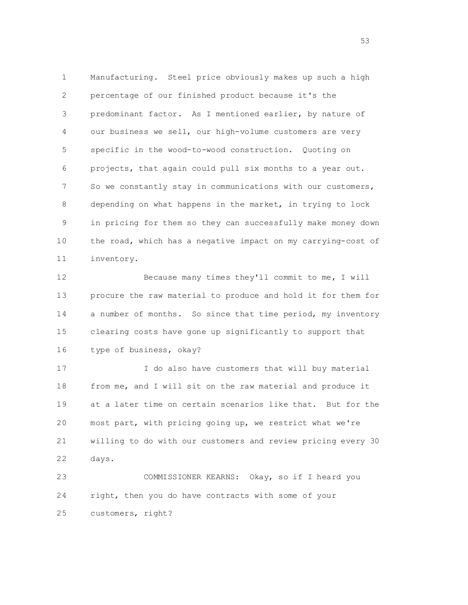1 Manufacturing. Steel price obviously makes up such a high 2 percentage of our finished product because it's the 3 predominant factor. As I mentioned earlier, by nature of 4 our business we sell, our high-volume customers are very 5 specific in the wood-to-wood construction. Quoting on 6 projects, that again could pull six months to a year out. 7 So we constantly stay in communications with our customers, 8 depending on what happens in the market, in trying to lock 9 in pricing for them so they can successfully make money down 10 the road, which has a negative impact on my carrying-cost of 11 inventory.

 12 Because many times they'll commit to me, I will 13 procure the raw material to produce and hold it for them for 14 a number of months. So since that time period, my inventory 15 clearing costs have gone up significantly to support that 16 type of business, okay?

 17 I do also have customers that will buy material 18 from me, and I will sit on the raw material and produce it 19 at a later time on certain scenarios like that. But for the 20 most part, with pricing going up, we restrict what we're 21 willing to do with our customers and review pricing every 30 22 days.

 23 COMMISSIONER KEARNS: Okay, so if I heard you 24 right, then you do have contracts with some of your 25 customers, right?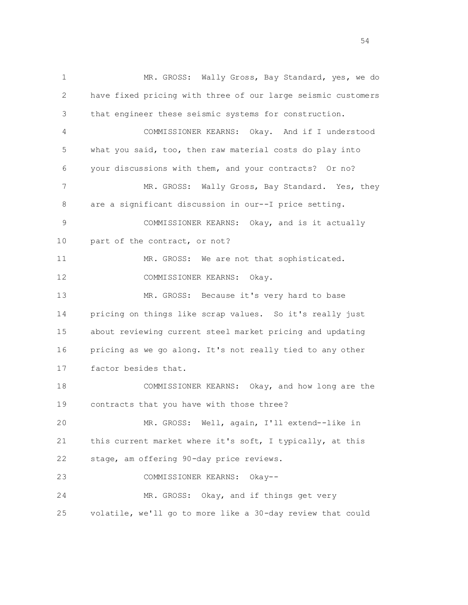1 MR. GROSS: Wally Gross, Bay Standard, yes, we do 2 have fixed pricing with three of our large seismic customers 3 that engineer these seismic systems for construction. 4 COMMISSIONER KEARNS: Okay. And if I understood 5 what you said, too, then raw material costs do play into 6 your discussions with them, and your contracts? Or no? 7 MR. GROSS: Wally Gross, Bay Standard. Yes, they 8 are a significant discussion in our--I price setting. 9 COMMISSIONER KEARNS: Okay, and is it actually 10 part of the contract, or not? 11 MR. GROSS: We are not that sophisticated. 12 COMMISSIONER KEARNS: Okay. 13 MR. GROSS: Because it's very hard to base 14 pricing on things like scrap values. So it's really just 15 about reviewing current steel market pricing and updating 16 pricing as we go along. It's not really tied to any other 17 factor besides that. 18 COMMISSIONER KEARNS: Okay, and how long are the 19 contracts that you have with those three? 20 MR. GROSS: Well, again, I'll extend--like in 21 this current market where it's soft, I typically, at this 22 stage, am offering 90-day price reviews. 23 COMMISSIONER KEARNS: Okay-- 24 MR. GROSS: Okay, and if things get very 25 volatile, we'll go to more like a 30-day review that could

 $54<sup>54</sup>$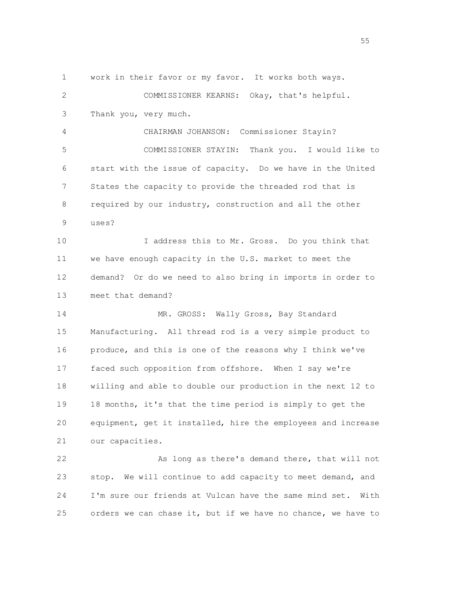2 COMMISSIONER KEARNS: Okay, that's helpful. 3 Thank you, very much. 4 CHAIRMAN JOHANSON: Commissioner Stayin? 5 COMMISSIONER STAYIN: Thank you. I would like to 6 start with the issue of capacity. Do we have in the United 7 States the capacity to provide the threaded rod that is 8 required by our industry, construction and all the other 9 uses? 10 I address this to Mr. Gross. Do you think that 11 we have enough capacity in the U.S. market to meet the 12 demand? Or do we need to also bring in imports in order to 13 meet that demand? 14 MR. GROSS: Wally Gross, Bay Standard 15 Manufacturing. All thread rod is a very simple product to 16 produce, and this is one of the reasons why I think we've 17 faced such opposition from offshore. When I say we're 18 willing and able to double our production in the next 12 to 19 18 months, it's that the time period is simply to get the 20 equipment, get it installed, hire the employees and increase 21 our capacities. 22 As long as there's demand there, that will not 23 stop. We will continue to add capacity to meet demand, and 24 I'm sure our friends at Vulcan have the same mind set. With 25 orders we can chase it, but if we have no chance, we have to

1 work in their favor or my favor. It works both ways.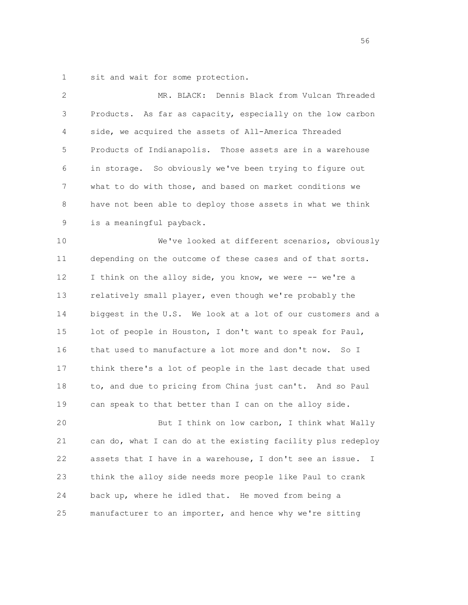1 sit and wait for some protection.

| 2  | Dennis Black from Vulcan Threaded<br>MR. BLACK:                          |
|----|--------------------------------------------------------------------------|
| 3  | Products. As far as capacity, especially on the low carbon               |
| 4  | side, we acquired the assets of All-America Threaded                     |
| 5  | Products of Indianapolis. Those assets are in a warehouse                |
| 6  | in storage. So obviously we've been trying to figure out                 |
| 7  | what to do with those, and based on market conditions we                 |
| 8  | have not been able to deploy those assets in what we think               |
| 9  | is a meaningful payback.                                                 |
| 10 | We've looked at different scenarios, obviously                           |
| 11 | depending on the outcome of these cases and of that sorts.               |
| 12 | I think on the alloy side, you know, we were -- we're a                  |
| 13 | relatively small player, even though we're probably the                  |
| 14 | biggest in the U.S. We look at a lot of our customers and a              |
| 15 | lot of people in Houston, I don't want to speak for Paul,                |
| 16 | that used to manufacture a lot more and don't now.<br>So I               |
| 17 | think there's a lot of people in the last decade that used               |
| 18 | to, and due to pricing from China just can't. And so Paul                |
| 19 | can speak to that better than I can on the alloy side.                   |
| 20 | But I think on low carbon, I think what Wally                            |
| 21 | can do, what I can do at the existing facility plus redeploy             |
| 22 | assets that I have in a warehouse, I don't see an issue.<br>$\mathbf{I}$ |
| 23 | think the alloy side needs more people like Paul to crank                |
| 24 | back up, where he idled that. He moved from being a                      |
| 25 | manufacturer to an importer, and hence why we're sitting                 |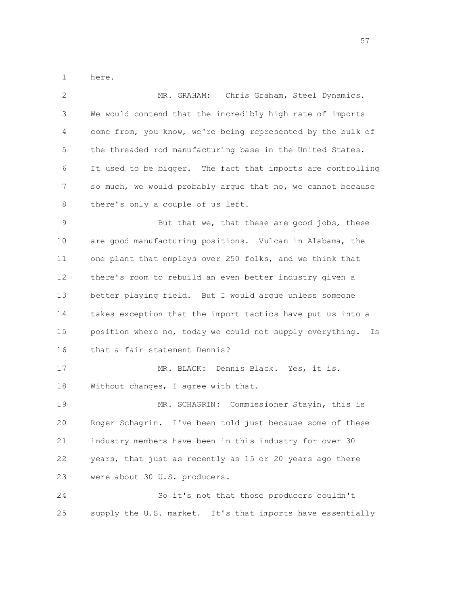1 here.

| 2           | Chris Graham, Steel Dynamics.<br>MR. GRAHAM:                   |
|-------------|----------------------------------------------------------------|
| 3           | We would contend that the incredibly high rate of imports      |
| 4           | come from, you know, we're being represented by the bulk of    |
| 5           | the threaded rod manufacturing base in the United States.      |
| 6           | It used to be bigger. The fact that imports are controlling    |
| 7           | so much, we would probably argue that no, we cannot because    |
| 8           | there's only a couple of us left.                              |
| $\mathsf 9$ | But that we, that these are good jobs, these                   |
| 10          | are good manufacturing positions. Vulcan in Alabama, the       |
| 11          | one plant that employs over 250 folks, and we think that       |
| 12          | there's room to rebuild an even better industry given a        |
| 13          | better playing field. But I would argue unless someone         |
| 14          | takes exception that the import tactics have put us into a     |
| 15          | position where no, today we could not supply everything.<br>Is |
| 16          | that a fair statement Dennis?                                  |
| 17          | MR. BLACK: Dennis Black. Yes, it is.                           |
| 18          | Without changes, I agree with that.                            |
| 19          | Commissioner Stayin, this is<br>MR. SCHAGRIN:                  |
| 20          | Roger Schagrin. I've been told just because some of these      |
| 21          | industry members have been in this industry for over 30        |
| 22          | years, that just as recently as 15 or 20 years ago there       |
| 23          | were about 30 U.S. producers.                                  |
| 24          | So it's not that those producers couldn't                      |
| 25          | supply the U.S. market. It's that imports have essentially     |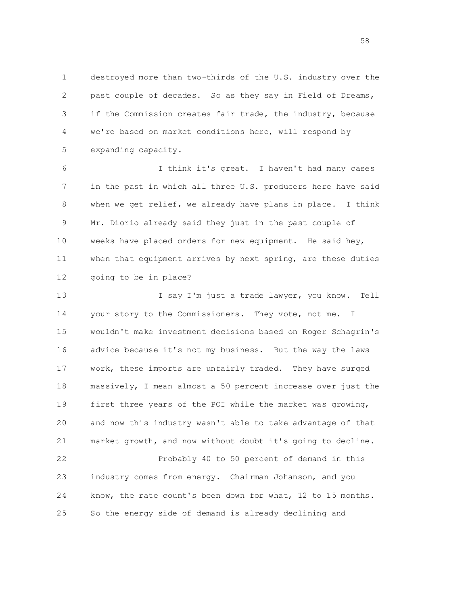1 destroyed more than two-thirds of the U.S. industry over the 2 past couple of decades. So as they say in Field of Dreams, 3 if the Commission creates fair trade, the industry, because 4 we're based on market conditions here, will respond by 5 expanding capacity.

 6 I think it's great. I haven't had many cases 7 in the past in which all three U.S. producers here have said 8 when we get relief, we already have plans in place. I think 9 Mr. Diorio already said they just in the past couple of 10 weeks have placed orders for new equipment. He said hey, 11 when that equipment arrives by next spring, are these duties 12 going to be in place?

 13 I say I'm just a trade lawyer, you know. Tell 14 your story to the Commissioners. They vote, not me. I 15 wouldn't make investment decisions based on Roger Schagrin's 16 advice because it's not my business. But the way the laws 17 work, these imports are unfairly traded. They have surged 18 massively, I mean almost a 50 percent increase over just the 19 first three years of the POI while the market was growing, 20 and now this industry wasn't able to take advantage of that 21 market growth, and now without doubt it's going to decline. 22 Probably 40 to 50 percent of demand in this 23 industry comes from energy. Chairman Johanson, and you 24 know, the rate count's been down for what, 12 to 15 months. 25 So the energy side of demand is already declining and

 $58<sub>58</sub>$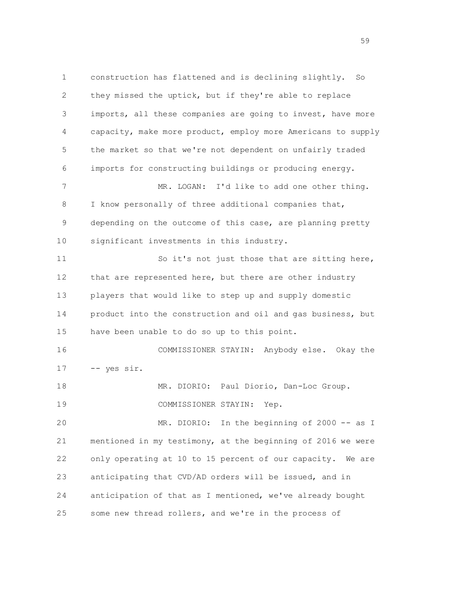1 construction has flattened and is declining slightly. So 2 they missed the uptick, but if they're able to replace 3 imports, all these companies are going to invest, have more 4 capacity, make more product, employ more Americans to supply 5 the market so that we're not dependent on unfairly traded 6 imports for constructing buildings or producing energy. 7 MR. LOGAN: I'd like to add one other thing. 8 I know personally of three additional companies that, 9 depending on the outcome of this case, are planning pretty 10 significant investments in this industry. 11 So it's not just those that are sitting here, 12 that are represented here, but there are other industry 13 players that would like to step up and supply domestic 14 product into the construction and oil and gas business, but 15 have been unable to do so up to this point. 16 COMMISSIONER STAYIN: Anybody else. Okay the 17 -- yes sir. 18 MR. DIORIO: Paul Diorio, Dan-Loc Group. 19 COMMISSIONER STAYIN: Yep. 20 MR. DIORIO: In the beginning of 2000 -- as I 21 mentioned in my testimony, at the beginning of 2016 we were 22 only operating at 10 to 15 percent of our capacity. We are 23 anticipating that CVD/AD orders will be issued, and in 24 anticipation of that as I mentioned, we've already bought 25 some new thread rollers, and we're in the process of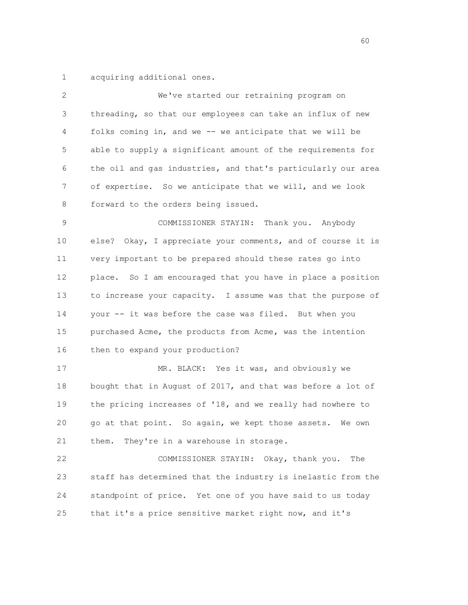1 acquiring additional ones.

| 2  | We've started our retraining program on                      |
|----|--------------------------------------------------------------|
| 3  | threading, so that our employees can take an influx of new   |
| 4  | folks coming in, and we -- we anticipate that we will be     |
| 5  | able to supply a significant amount of the requirements for  |
| 6  | the oil and gas industries, and that's particularly our area |
| 7  | of expertise. So we anticipate that we will, and we look     |
| 8  | forward to the orders being issued.                          |
| 9  | COMMISSIONER STAYIN: Thank you. Anybody                      |
| 10 | else? Okay, I appreciate your comments, and of course it is  |
| 11 | very important to be prepared should these rates go into     |
| 12 | place. So I am encouraged that you have in place a position  |
| 13 | to increase your capacity. I assume was that the purpose of  |
| 14 | your -- it was before the case was filed. But when you       |
| 15 | purchased Acme, the products from Acme, was the intention    |
| 16 | then to expand your production?                              |
| 17 | MR. BLACK: Yes it was, and obviously we                      |
| 18 | bought that in August of 2017, and that was before a lot of  |
| 19 | the pricing increases of '18, and we really had nowhere to   |
| 20 | go at that point. So again, we kept those assets. We own     |
| 21 | They're in a warehouse in storage.<br>them.                  |
| 22 | COMMISSIONER STAYIN: Okay, thank you.<br>The                 |
| 23 | staff has determined that the industry is inelastic from the |
| 24 | standpoint of price. Yet one of you have said to us today    |
| 25 | that it's a price sensitive market right now, and it's       |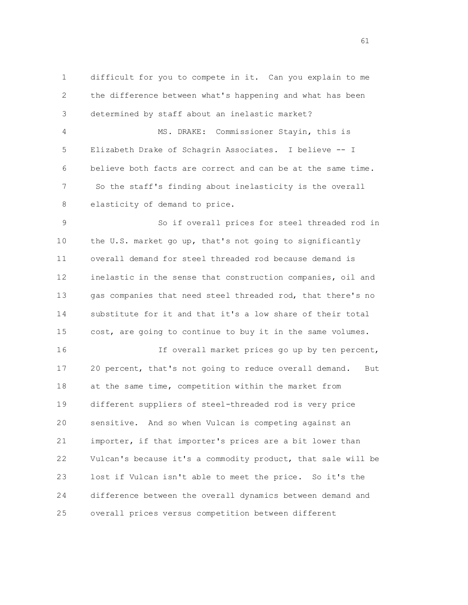1 difficult for you to compete in it. Can you explain to me 2 the difference between what's happening and what has been 3 determined by staff about an inelastic market? 4 MS. DRAKE: Commissioner Stayin, this is 5 Elizabeth Drake of Schagrin Associates. I believe -- I

 7 So the staff's finding about inelasticity is the overall 8 elasticity of demand to price.

6 believe both facts are correct and can be at the same time.

 9 So if overall prices for steel threaded rod in 10 the U.S. market go up, that's not going to significantly 11 overall demand for steel threaded rod because demand is 12 inelastic in the sense that construction companies, oil and 13 gas companies that need steel threaded rod, that there's no 14 substitute for it and that it's a low share of their total 15 cost, are going to continue to buy it in the same volumes.

 16 If overall market prices go up by ten percent, 17 20 percent, that's not going to reduce overall demand. But 18 at the same time, competition within the market from 19 different suppliers of steel-threaded rod is very price 20 sensitive. And so when Vulcan is competing against an 21 importer, if that importer's prices are a bit lower than 22 Vulcan's because it's a commodity product, that sale will be 23 lost if Vulcan isn't able to meet the price. So it's the 24 difference between the overall dynamics between demand and 25 overall prices versus competition between different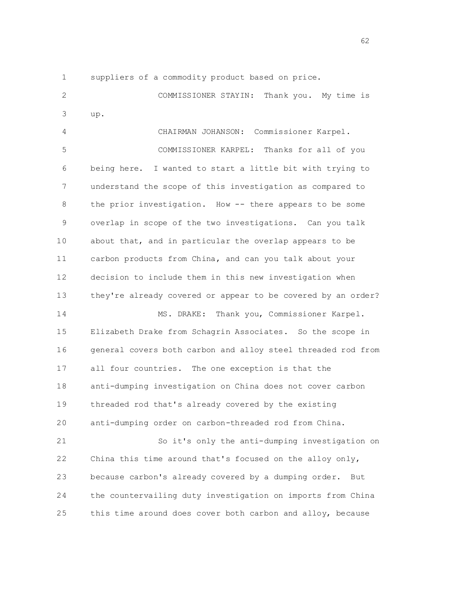1 suppliers of a commodity product based on price.

 2 COMMISSIONER STAYIN: Thank you. My time is 3 up. 4 CHAIRMAN JOHANSON: Commissioner Karpel.

 5 COMMISSIONER KARPEL: Thanks for all of you 6 being here. I wanted to start a little bit with trying to 7 understand the scope of this investigation as compared to 8 the prior investigation. How -- there appears to be some 9 overlap in scope of the two investigations. Can you talk 10 about that, and in particular the overlap appears to be 11 carbon products from China, and can you talk about your 12 decision to include them in this new investigation when 13 they're already covered or appear to be covered by an order? 14 MS. DRAKE: Thank you, Commissioner Karpel.

 15 Elizabeth Drake from Schagrin Associates. So the scope in 16 general covers both carbon and alloy steel threaded rod from 17 all four countries. The one exception is that the 18 anti-dumping investigation on China does not cover carbon 19 threaded rod that's already covered by the existing 20 anti-dumping order on carbon-threaded rod from China.

 21 So it's only the anti-dumping investigation on 22 China this time around that's focused on the alloy only, 23 because carbon's already covered by a dumping order. But 24 the countervailing duty investigation on imports from China 25 this time around does cover both carbon and alloy, because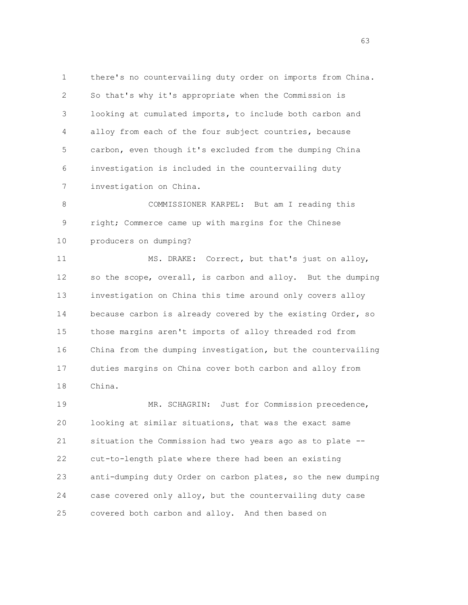1 there's no countervailing duty order on imports from China. 2 So that's why it's appropriate when the Commission is 3 looking at cumulated imports, to include both carbon and 4 alloy from each of the four subject countries, because 5 carbon, even though it's excluded from the dumping China 6 investigation is included in the countervailing duty 7 investigation on China.

 8 COMMISSIONER KARPEL: But am I reading this 9 right; Commerce came up with margins for the Chinese 10 producers on dumping?

11 MS. DRAKE: Correct, but that's just on alloy, 12 so the scope, overall, is carbon and alloy. But the dumping 13 investigation on China this time around only covers alloy 14 because carbon is already covered by the existing Order, so 15 those margins aren't imports of alloy threaded rod from 16 China from the dumping investigation, but the countervailing 17 duties margins on China cover both carbon and alloy from 18 China.

 19 MR. SCHAGRIN: Just for Commission precedence, 20 looking at similar situations, that was the exact same 21 situation the Commission had two years ago as to plate -- 22 cut-to-length plate where there had been an existing 23 anti-dumping duty Order on carbon plates, so the new dumping 24 case covered only alloy, but the countervailing duty case 25 covered both carbon and alloy. And then based on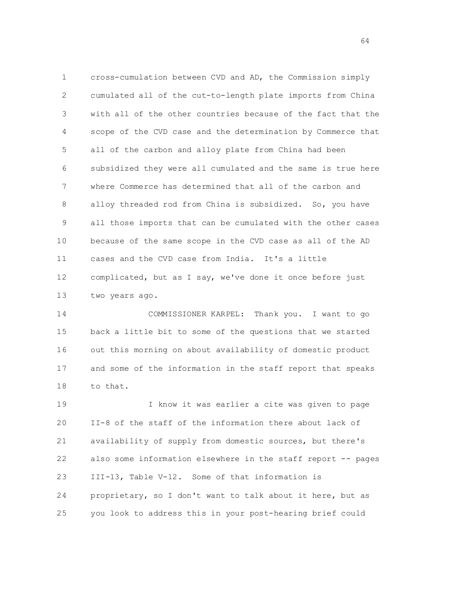1 cross-cumulation between CVD and AD, the Commission simply 2 cumulated all of the cut-to-length plate imports from China 3 with all of the other countries because of the fact that the 4 scope of the CVD case and the determination by Commerce that 5 all of the carbon and alloy plate from China had been 6 subsidized they were all cumulated and the same is true here 7 where Commerce has determined that all of the carbon and 8 alloy threaded rod from China is subsidized. So, you have 9 all those imports that can be cumulated with the other cases 10 because of the same scope in the CVD case as all of the AD 11 cases and the CVD case from India. It's a little 12 complicated, but as I say, we've done it once before just 13 two years ago.

 14 COMMISSIONER KARPEL: Thank you. I want to go 15 back a little bit to some of the questions that we started 16 out this morning on about availability of domestic product 17 and some of the information in the staff report that speaks 18 to that.

 19 I know it was earlier a cite was given to page 20 II-8 of the staff of the information there about lack of 21 availability of supply from domestic sources, but there's 22 also some information elsewhere in the staff report -- pages 23 III-13, Table V-12. Some of that information is 24 proprietary, so I don't want to talk about it here, but as 25 you look to address this in your post-hearing brief could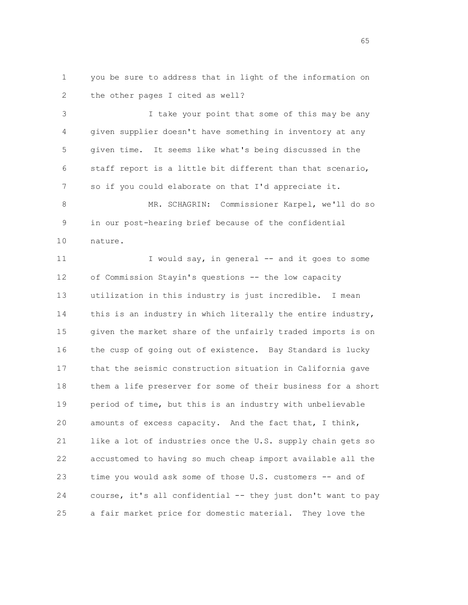1 you be sure to address that in light of the information on 2 the other pages I cited as well?

 3 I take your point that some of this may be any 4 given supplier doesn't have something in inventory at any 5 given time. It seems like what's being discussed in the 6 staff report is a little bit different than that scenario, 7 so if you could elaborate on that I'd appreciate it. 8 MR. SCHAGRIN: Commissioner Karpel, we'll do so

 9 in our post-hearing brief because of the confidential 10 nature.

11 I would say, in general -- and it goes to some 12 of Commission Stayin's questions -- the low capacity 13 utilization in this industry is just incredible. I mean 14 this is an industry in which literally the entire industry, 15 given the market share of the unfairly traded imports is on 16 the cusp of going out of existence. Bay Standard is lucky 17 that the seismic construction situation in California gave 18 them a life preserver for some of their business for a short 19 period of time, but this is an industry with unbelievable 20 amounts of excess capacity. And the fact that, I think, 21 like a lot of industries once the U.S. supply chain gets so 22 accustomed to having so much cheap import available all the 23 time you would ask some of those U.S. customers -- and of 24 course, it's all confidential -- they just don't want to pay 25 a fair market price for domestic material. They love the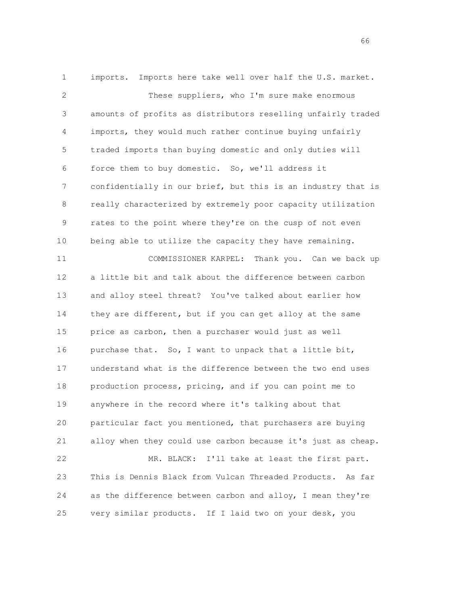1 imports. Imports here take well over half the U.S. market. 2 These suppliers, who I'm sure make enormous 3 amounts of profits as distributors reselling unfairly traded 4 imports, they would much rather continue buying unfairly 5 traded imports than buying domestic and only duties will 6 force them to buy domestic. So, we'll address it 7 confidentially in our brief, but this is an industry that is 8 really characterized by extremely poor capacity utilization 9 rates to the point where they're on the cusp of not even 10 being able to utilize the capacity they have remaining. 11 COMMISSIONER KARPEL: Thank you. Can we back up 12 a little bit and talk about the difference between carbon 13 and alloy steel threat? You've talked about earlier how 14 they are different, but if you can get alloy at the same 15 price as carbon, then a purchaser would just as well 16 purchase that. So, I want to unpack that a little bit, 17 understand what is the difference between the two end uses 18 production process, pricing, and if you can point me to 19 anywhere in the record where it's talking about that 20 particular fact you mentioned, that purchasers are buying 21 alloy when they could use carbon because it's just as cheap. 22 MR. BLACK: I'll take at least the first part. 23 This is Dennis Black from Vulcan Threaded Products. As far 24 as the difference between carbon and alloy, I mean they're

25 very similar products. If I laid two on your desk, you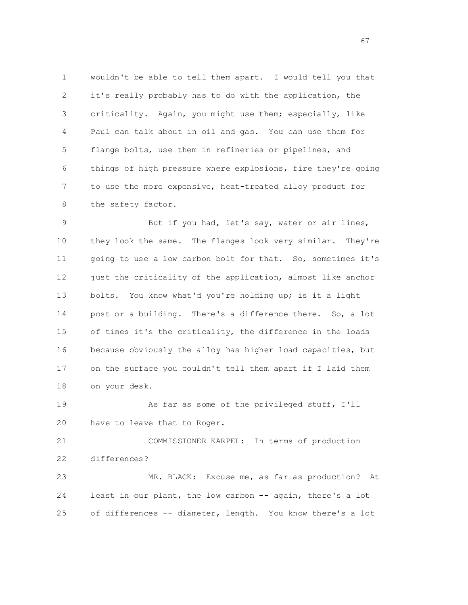1 wouldn't be able to tell them apart. I would tell you that 2 it's really probably has to do with the application, the 3 criticality. Again, you might use them; especially, like 4 Paul can talk about in oil and gas. You can use them for 5 flange bolts, use them in refineries or pipelines, and 6 things of high pressure where explosions, fire they're going 7 to use the more expensive, heat-treated alloy product for 8 the safety factor.

9 But if you had, let's say, water or air lines, 10 they look the same. The flanges look very similar. They're 11 going to use a low carbon bolt for that. So, sometimes it's 12 just the criticality of the application, almost like anchor 13 bolts. You know what'd you're holding up; is it a light 14 post or a building. There's a difference there. So, a lot 15 of times it's the criticality, the difference in the loads 16 because obviously the alloy has higher load capacities, but 17 on the surface you couldn't tell them apart if I laid them 18 on your desk.

19 As far as some of the privileged stuff, I'll 20 have to leave that to Roger.

 21 COMMISSIONER KARPEL: In terms of production 22 differences?

 23 MR. BLACK: Excuse me, as far as production? At 24 least in our plant, the low carbon -- again, there's a lot 25 of differences -- diameter, length. You know there's a lot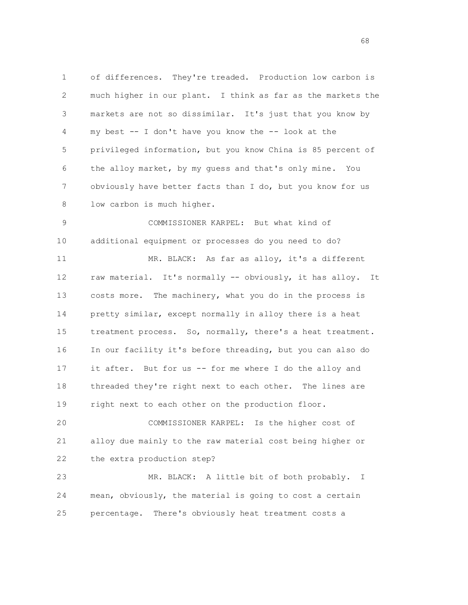1 of differences. They're treaded. Production low carbon is 2 much higher in our plant. I think as far as the markets the 3 markets are not so dissimilar. It's just that you know by 4 my best -- I don't have you know the -- look at the 5 privileged information, but you know China is 85 percent of 6 the alloy market, by my guess and that's only mine. You 7 obviously have better facts than I do, but you know for us 8 low carbon is much higher.

 9 COMMISSIONER KARPEL: But what kind of 10 additional equipment or processes do you need to do? 11 MR. BLACK: As far as alloy, it's a different 12 raw material. It's normally -- obviously, it has alloy. It 13 costs more. The machinery, what you do in the process is 14 pretty similar, except normally in alloy there is a heat 15 treatment process. So, normally, there's a heat treatment. 16 In our facility it's before threading, but you can also do 17 it after. But for us -- for me where I do the alloy and 18 threaded they're right next to each other. The lines are 19 right next to each other on the production floor.

 20 COMMISSIONER KARPEL: Is the higher cost of 21 alloy due mainly to the raw material cost being higher or 22 the extra production step?

 23 MR. BLACK: A little bit of both probably. I 24 mean, obviously, the material is going to cost a certain 25 percentage. There's obviously heat treatment costs a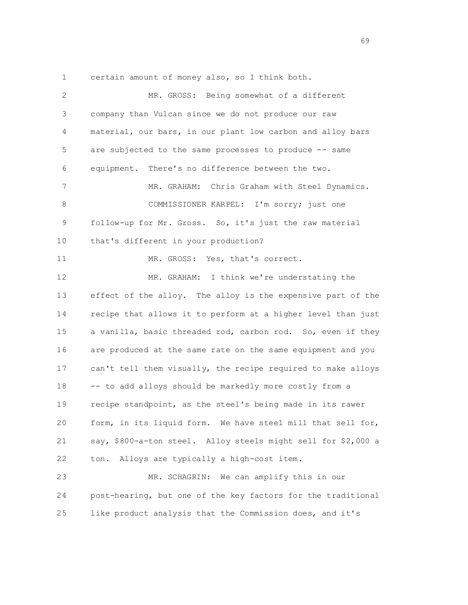1 certain amount of money also, so I think both.

| $\mathbf{2}$ | MR. GROSS: Being somewhat of a different                      |
|--------------|---------------------------------------------------------------|
| 3            | company than Vulcan since we do not produce our raw           |
| 4            | material, our bars, in our plant low carbon and alloy bars    |
| 5            | are subjected to the same processes to produce -- same        |
| 6            | equipment. There's no difference between the two.             |
| 7            | MR. GRAHAM:<br>Chris Graham with Steel Dynamics.              |
| 8            | COMMISSIONER KARPEL: I'm sorry; just one                      |
| 9            | follow-up for Mr. Gross. So, it's just the raw material       |
| 10           | that's different in your production?                          |
| 11           | MR. GROSS: Yes, that's correct.                               |
| 12           | MR. GRAHAM: I think we're understating the                    |
| 13           | effect of the alloy. The alloy is the expensive part of the   |
| 14           | recipe that allows it to perform at a higher level than just  |
| 15           | a vanilla, basic threaded rod, carbon rod. So, even if they   |
| 16           | are produced at the same rate on the same equipment and you   |
| 17           | can't tell them visually, the recipe required to make alloys  |
| 18           | -- to add alloys should be markedly more costly from a        |
| 19           | recipe standpoint, as the steel's being made in its rawer     |
| 20           | form, in its liquid form. We have steel mill that sell for,   |
| 21           | say, \$800-a-ton steel. Alloy steels might sell for \$2,000 a |
| 22           | Alloys are typically a high-cost item.<br>ton.                |
| 23           | We can amplify this in our<br>MR. SCHAGRIN:                   |
| 24           | post-hearing, but one of the key factors for the traditional  |
| 25           | like product analysis that the Commission does, and it's      |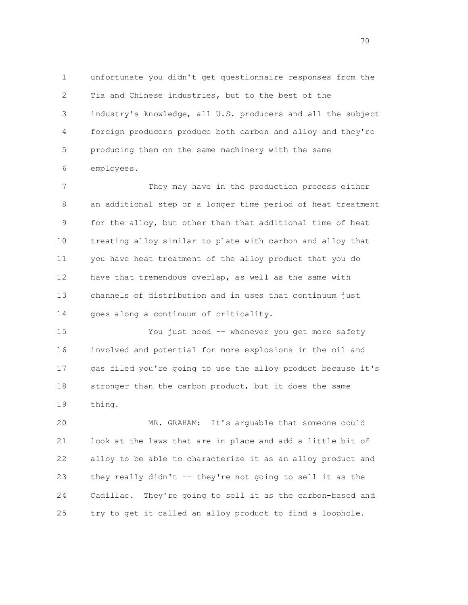1 unfortunate you didn't get questionnaire responses from the 2 Tia and Chinese industries, but to the best of the 3 industry's knowledge, all U.S. producers and all the subject 4 foreign producers produce both carbon and alloy and they're 5 producing them on the same machinery with the same 6 employees.

 7 They may have in the production process either 8 an additional step or a longer time period of heat treatment 9 for the alloy, but other than that additional time of heat 10 treating alloy similar to plate with carbon and alloy that 11 you have heat treatment of the alloy product that you do 12 have that tremendous overlap, as well as the same with 13 channels of distribution and in uses that continuum just 14 goes along a continuum of criticality.

 15 You just need -- whenever you get more safety 16 involved and potential for more explosions in the oil and 17 gas filed you're going to use the alloy product because it's 18 stronger than the carbon product, but it does the same 19 thing.

 20 MR. GRAHAM: It's arguable that someone could 21 look at the laws that are in place and add a little bit of 22 alloy to be able to characterize it as an alloy product and 23 they really didn't -- they're not going to sell it as the 24 Cadillac. They're going to sell it as the carbon-based and 25 try to get it called an alloy product to find a loophole.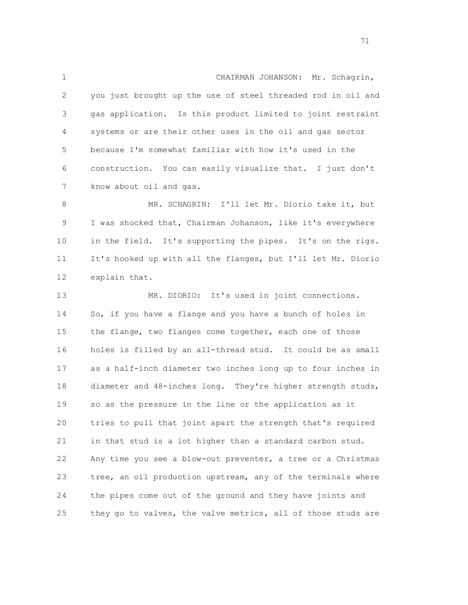1 CHAIRMAN JOHANSON: Mr. Schagrin, 2 you just brought up the use of steel threaded rod in oil and 3 gas application. Is this product limited to joint restraint 4 systems or are their other uses in the oil and gas sector 5 because I'm somewhat familiar with how it's used in the 6 construction. You can easily visualize that. I just don't 7 know about oil and gas.

 8 MR. SCHAGRIN: I'll let Mr. Diorio take it, but 9 I was shocked that, Chairman Johanson, like it's everywhere 10 in the field. It's supporting the pipes. It's on the rigs. 11 It's hooked up with all the flanges, but I'll let Mr. Diorio 12 explain that.

 13 MR. DIORIO: It's used in joint connections. 14 So, if you have a flange and you have a bunch of holes in 15 the flange, two flanges come together, each one of those 16 holes is filled by an all-thread stud. It could be as small 17 as a half-inch diameter two inches long up to four inches in 18 diameter and 48-inches long. They're higher strength studs, 19 so as the pressure in the line or the application as it 20 tries to pull that joint apart the strength that's required 21 in that stud is a lot higher than a standard carbon stud. 22 Any time you see a blow-out preventer, a tree or a Christmas 23 tree, an oil production upstream, any of the terminals where 24 the pipes come out of the ground and they have joints and 25 they go to valves, the valve metrics, all of those studs are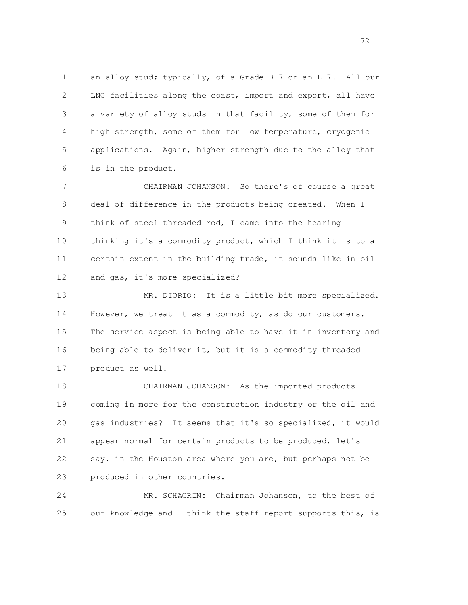1 an alloy stud; typically, of a Grade B-7 or an L-7. All our 2 LNG facilities along the coast, import and export, all have 3 a variety of alloy studs in that facility, some of them for 4 high strength, some of them for low temperature, cryogenic 5 applications. Again, higher strength due to the alloy that 6 is in the product.

 7 CHAIRMAN JOHANSON: So there's of course a great 8 deal of difference in the products being created. When I 9 think of steel threaded rod, I came into the hearing 10 thinking it's a commodity product, which I think it is to a 11 certain extent in the building trade, it sounds like in oil 12 and gas, it's more specialized?

 13 MR. DIORIO: It is a little bit more specialized. 14 However, we treat it as a commodity, as do our customers. 15 The service aspect is being able to have it in inventory and 16 being able to deliver it, but it is a commodity threaded 17 product as well.

 18 CHAIRMAN JOHANSON: As the imported products 19 coming in more for the construction industry or the oil and 20 gas industries? It seems that it's so specialized, it would 21 appear normal for certain products to be produced, let's 22 say, in the Houston area where you are, but perhaps not be 23 produced in other countries.

 24 MR. SCHAGRIN: Chairman Johanson, to the best of 25 our knowledge and I think the staff report supports this, is

72 and 2012 and 2012 and 2012 and 2012 and 2012 and 2012 and 2012 and 2012 and 2012 and 2012 and 201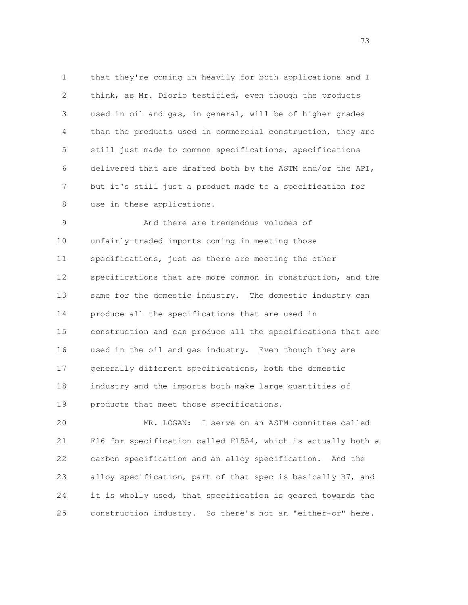1 that they're coming in heavily for both applications and I 2 think, as Mr. Diorio testified, even though the products 3 used in oil and gas, in general, will be of higher grades 4 than the products used in commercial construction, they are 5 still just made to common specifications, specifications 6 delivered that are drafted both by the ASTM and/or the API, 7 but it's still just a product made to a specification for 8 use in these applications.

 9 And there are tremendous volumes of 10 unfairly-traded imports coming in meeting those 11 specifications, just as there are meeting the other 12 specifications that are more common in construction, and the 13 same for the domestic industry. The domestic industry can 14 produce all the specifications that are used in 15 construction and can produce all the specifications that are 16 used in the oil and gas industry. Even though they are 17 generally different specifications, both the domestic 18 industry and the imports both make large quantities of 19 products that meet those specifications.

 20 MR. LOGAN: I serve on an ASTM committee called 21 F16 for specification called F1554, which is actually both a 22 carbon specification and an alloy specification. And the 23 alloy specification, part of that spec is basically B7, and 24 it is wholly used, that specification is geared towards the 25 construction industry. So there's not an "either-or" here.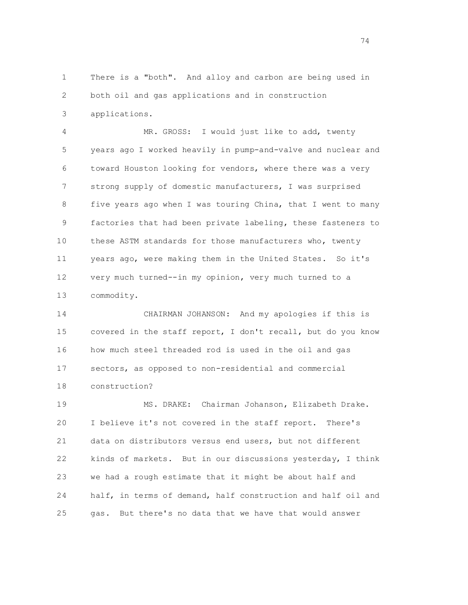1 There is a "both". And alloy and carbon are being used in 2 both oil and gas applications and in construction 3 applications.

 4 MR. GROSS: I would just like to add, twenty 5 years ago I worked heavily in pump-and-valve and nuclear and 6 toward Houston looking for vendors, where there was a very 7 strong supply of domestic manufacturers, I was surprised 8 five years ago when I was touring China, that I went to many 9 factories that had been private labeling, these fasteners to 10 these ASTM standards for those manufacturers who, twenty 11 years ago, were making them in the United States. So it's 12 very much turned--in my opinion, very much turned to a 13 commodity.

 14 CHAIRMAN JOHANSON: And my apologies if this is 15 covered in the staff report, I don't recall, but do you know 16 how much steel threaded rod is used in the oil and gas 17 sectors, as opposed to non-residential and commercial 18 construction?

 19 MS. DRAKE: Chairman Johanson, Elizabeth Drake. 20 I believe it's not covered in the staff report. There's 21 data on distributors versus end users, but not different 22 kinds of markets. But in our discussions yesterday, I think 23 we had a rough estimate that it might be about half and 24 half, in terms of demand, half construction and half oil and 25 gas. But there's no data that we have that would answer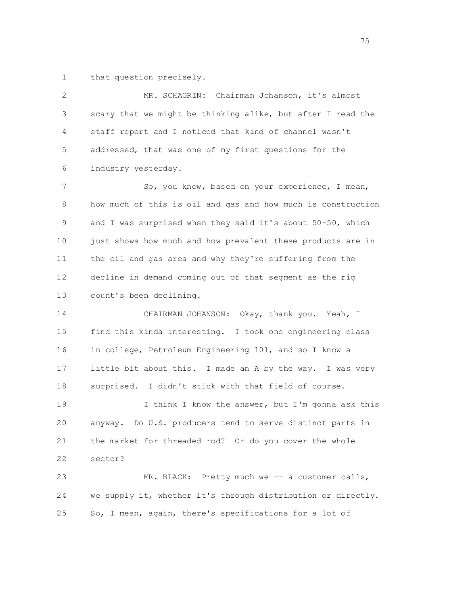1 that question precisely.

 2 MR. SCHAGRIN: Chairman Johanson, it's almost 3 scary that we might be thinking alike, but after I read the 4 staff report and I noticed that kind of channel wasn't 5 addressed, that was one of my first questions for the 6 industry yesterday. 7 So, you know, based on your experience, I mean, 8 how much of this is oil and gas and how much is construction 9 and I was surprised when they said it's about 50-50, which 10 just shows how much and how prevalent these products are in 11 the oil and gas area and why they're suffering from the 12 decline in demand coming out of that segment as the rig 13 count's been declining. 14 CHAIRMAN JOHANSON: Okay, thank you. Yeah, I 15 find this kinda interesting. I took one engineering class 16 in college, Petroleum Engineering 101, and so I know a 17 little bit about this. I made an A by the way. I was very 18 surprised. I didn't stick with that field of course. 19 19 I think I know the answer, but I'm gonna ask this 20 anyway. Do U.S. producers tend to serve distinct parts in 21 the market for threaded rod? Or do you cover the whole 22 sector? 23 MR. BLACK: Pretty much we -- a customer calls, 24 we supply it, whether it's through distribution or directly.

25 So, I mean, again, there's specifications for a lot of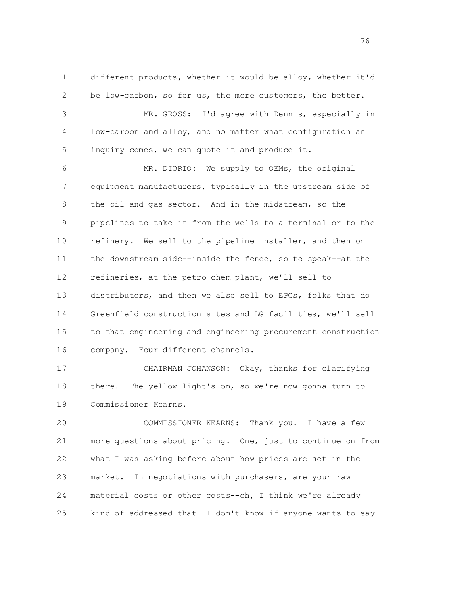1 different products, whether it would be alloy, whether it'd 2 be low-carbon, so for us, the more customers, the better. 3 MR. GROSS: I'd agree with Dennis, especially in 4 low-carbon and alloy, and no matter what configuration an 5 inquiry comes, we can quote it and produce it. 6 MR. DIORIO: We supply to OEMs, the original 7 equipment manufacturers, typically in the upstream side of

 8 the oil and gas sector. And in the midstream, so the 9 pipelines to take it from the wells to a terminal or to the 10 refinery. We sell to the pipeline installer, and then on 11 the downstream side--inside the fence, so to speak--at the 12 refineries, at the petro-chem plant, we'll sell to 13 distributors, and then we also sell to EPCs, folks that do 14 Greenfield construction sites and LG facilities, we'll sell 15 to that engineering and engineering procurement construction 16 company. Four different channels.

 17 CHAIRMAN JOHANSON: Okay, thanks for clarifying 18 there. The yellow light's on, so we're now gonna turn to 19 Commissioner Kearns.

 20 COMMISSIONER KEARNS: Thank you. I have a few 21 more questions about pricing. One, just to continue on from 22 what I was asking before about how prices are set in the 23 market. In negotiations with purchasers, are your raw 24 material costs or other costs--oh, I think we're already 25 kind of addressed that--I don't know if anyone wants to say

последници представителници и представителници и представителници и представителници и представителници и пред<br>В 16 марта 16 марта 16 марта 16 марта 16 марта 16 марта 16 марта 16 марта 16 марта 16 марта 16 марта 16 марта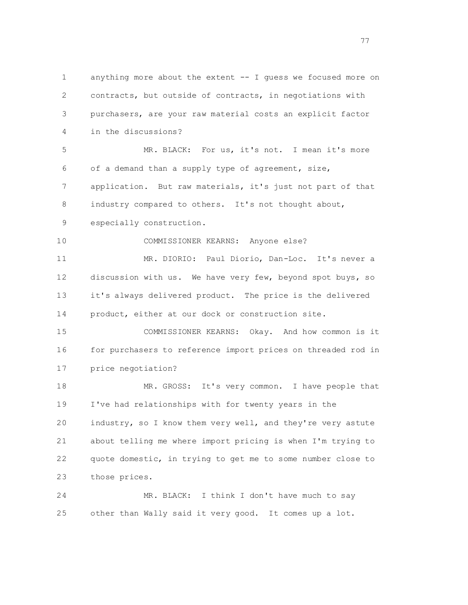1 anything more about the extent -- I guess we focused more on 2 contracts, but outside of contracts, in negotiations with 3 purchasers, are your raw material costs an explicit factor 4 in the discussions? 5 MR. BLACK: For us, it's not. I mean it's more 6 of a demand than a supply type of agreement, size, 7 application. But raw materials, it's just not part of that 8 industry compared to others. It's not thought about, 9 especially construction. 10 COMMISSIONER KEARNS: Anyone else? 11 MR. DIORIO: Paul Diorio, Dan-Loc. It's never a 12 discussion with us. We have very few, beyond spot buys, so 13 it's always delivered product. The price is the delivered 14 product, either at our dock or construction site. 15 COMMISSIONER KEARNS: Okay. And how common is it 16 for purchasers to reference import prices on threaded rod in 17 price negotiation? 18 MR. GROSS: It's very common. I have people that 19 I've had relationships with for twenty years in the 20 industry, so I know them very well, and they're very astute 21 about telling me where import pricing is when I'm trying to 22 quote domestic, in trying to get me to some number close to 23 those prices. 24 MR. BLACK: I think I don't have much to say 25 other than Wally said it very good. It comes up a lot.

ти и последници се представа на селата на 1977 година, се представа на 1977 година, се представа на 1977 годин<br>В 1972 година од селата на 1972 година, селата на 1982 година, селата на 1982 година, селата на 1983 година, с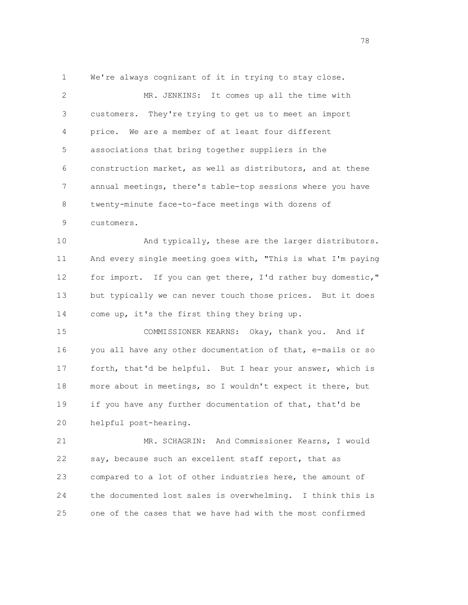1 We're always cognizant of it in trying to stay close.

 2 MR. JENKINS: It comes up all the time with 3 customers. They're trying to get us to meet an import 4 price. We are a member of at least four different 5 associations that bring together suppliers in the 6 construction market, as well as distributors, and at these 7 annual meetings, there's table-top sessions where you have 8 twenty-minute face-to-face meetings with dozens of 9 customers.

 10 And typically, these are the larger distributors. 11 And every single meeting goes with, "This is what I'm paying 12 for import. If you can get there, I'd rather buy domestic," 13 but typically we can never touch those prices. But it does 14 come up, it's the first thing they bring up.

 15 COMMISSIONER KEARNS: Okay, thank you. And if 16 you all have any other documentation of that, e-mails or so 17 forth, that'd be helpful. But I hear your answer, which is 18 more about in meetings, so I wouldn't expect it there, but 19 if you have any further documentation of that, that'd be 20 helpful post-hearing.

 21 MR. SCHAGRIN: And Commissioner Kearns, I would 22 say, because such an excellent staff report, that as 23 compared to a lot of other industries here, the amount of 24 the documented lost sales is overwhelming. I think this is 25 one of the cases that we have had with the most confirmed

78 and 2012 and 2013 and 2014 and 2014 and 2014 and 2014 and 2014 and 2014 and 2014 and 2014 and 2014 and 201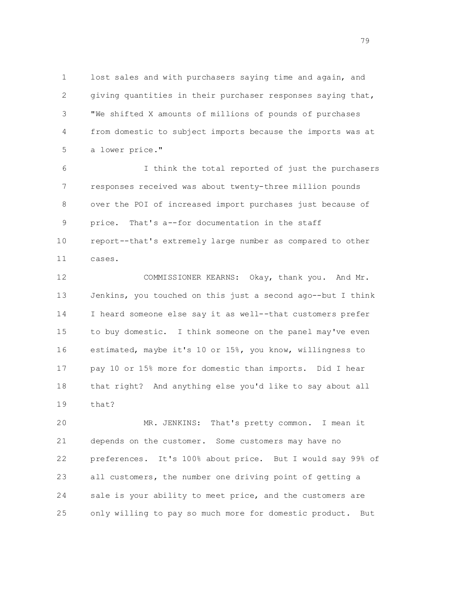1 lost sales and with purchasers saying time and again, and 2 giving quantities in their purchaser responses saying that, 3 "We shifted X amounts of millions of pounds of purchases 4 from domestic to subject imports because the imports was at 5 a lower price."

 6 I think the total reported of just the purchasers 7 responses received was about twenty-three million pounds 8 over the POI of increased import purchases just because of 9 price. That's a--for documentation in the staff 10 report--that's extremely large number as compared to other 11 cases.

 12 COMMISSIONER KEARNS: Okay, thank you. And Mr. 13 Jenkins, you touched on this just a second ago--but I think 14 I heard someone else say it as well--that customers prefer 15 to buy domestic. I think someone on the panel may've even 16 estimated, maybe it's 10 or 15%, you know, willingness to 17 pay 10 or 15% more for domestic than imports. Did I hear 18 that right? And anything else you'd like to say about all 19 that?

 20 MR. JENKINS: That's pretty common. I mean it 21 depends on the customer. Some customers may have no 22 preferences. It's 100% about price. But I would say 99% of 23 all customers, the number one driving point of getting a 24 sale is your ability to meet price, and the customers are 25 only willing to pay so much more for domestic product. But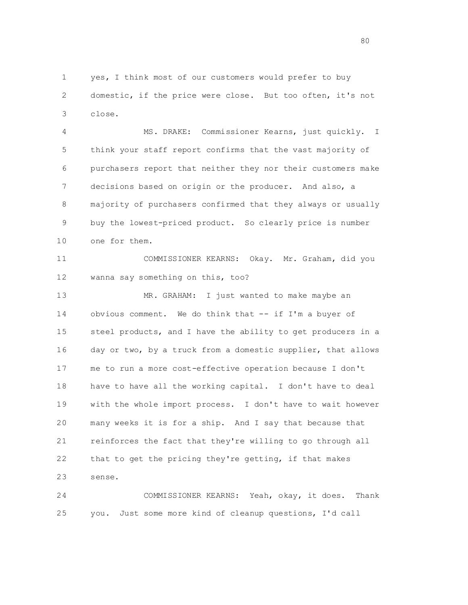1 yes, I think most of our customers would prefer to buy 2 domestic, if the price were close. But too often, it's not 3 close.

 4 MS. DRAKE: Commissioner Kearns, just quickly. I 5 think your staff report confirms that the vast majority of 6 purchasers report that neither they nor their customers make 7 decisions based on origin or the producer. And also, a 8 majority of purchasers confirmed that they always or usually 9 buy the lowest-priced product. So clearly price is number 10 one for them.

 11 COMMISSIONER KEARNS: Okay. Mr. Graham, did you 12 wanna say something on this, too?

 13 MR. GRAHAM: I just wanted to make maybe an 14 obvious comment. We do think that -- if I'm a buyer of 15 steel products, and I have the ability to get producers in a 16 day or two, by a truck from a domestic supplier, that allows 17 me to run a more cost-effective operation because I don't 18 have to have all the working capital. I don't have to deal 19 with the whole import process. I don't have to wait however 20 many weeks it is for a ship. And I say that because that 21 reinforces the fact that they're willing to go through all 22 that to get the pricing they're getting, if that makes 23 sense.

 24 COMMISSIONER KEARNS: Yeah, okay, it does. Thank 25 you. Just some more kind of cleanup questions, I'd call

 $80<sub>2</sub>$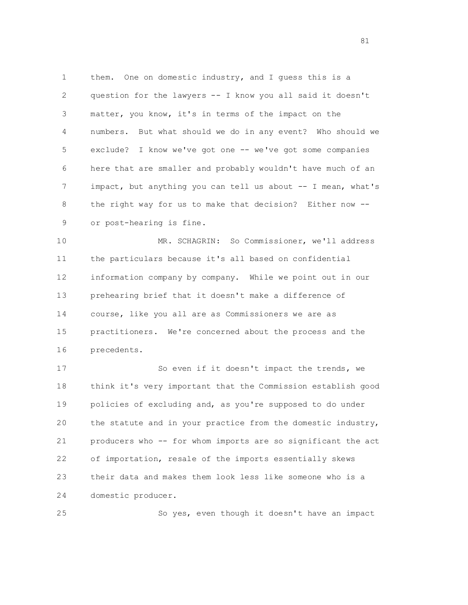1 them. One on domestic industry, and I guess this is a 2 question for the lawyers -- I know you all said it doesn't 3 matter, you know, it's in terms of the impact on the 4 numbers. But what should we do in any event? Who should we 5 exclude? I know we've got one -- we've got some companies 6 here that are smaller and probably wouldn't have much of an 7 impact, but anything you can tell us about -- I mean, what's 8 the right way for us to make that decision? Either now -- 9 or post-hearing is fine.

 10 MR. SCHAGRIN: So Commissioner, we'll address 11 the particulars because it's all based on confidential 12 information company by company. While we point out in our 13 prehearing brief that it doesn't make a difference of 14 course, like you all are as Commissioners we are as 15 practitioners. We're concerned about the process and the 16 precedents.

 17 So even if it doesn't impact the trends, we 18 think it's very important that the Commission establish good 19 policies of excluding and, as you're supposed to do under 20 the statute and in your practice from the domestic industry, 21 producers who -- for whom imports are so significant the act 22 of importation, resale of the imports essentially skews 23 their data and makes them look less like someone who is a 24 domestic producer.

25 So yes, even though it doesn't have an impact

81 and the state of the state of the state of the state of the state of the state of the state of the state of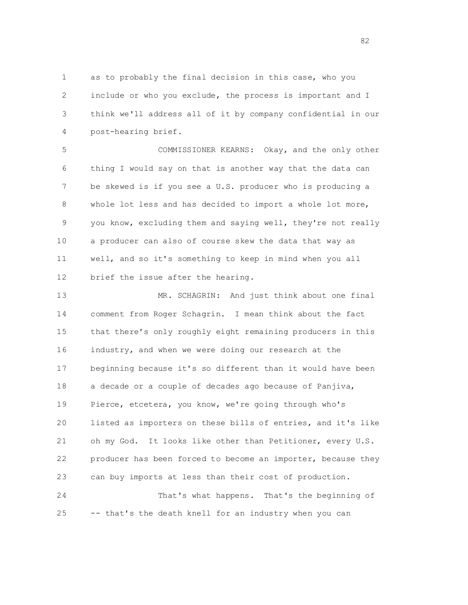1 as to probably the final decision in this case, who you 2 include or who you exclude, the process is important and I 3 think we'll address all of it by company confidential in our 4 post-hearing brief.

 5 COMMISSIONER KEARNS: Okay, and the only other 6 thing I would say on that is another way that the data can 7 be skewed is if you see a U.S. producer who is producing a 8 whole lot less and has decided to import a whole lot more, 9 you know, excluding them and saying well, they're not really 10 a producer can also of course skew the data that way as 11 well, and so it's something to keep in mind when you all 12 brief the issue after the hearing.

 13 MR. SCHAGRIN: And just think about one final 14 comment from Roger Schagrin. I mean think about the fact 15 that there's only roughly eight remaining producers in this 16 industry, and when we were doing our research at the 17 beginning because it's so different than it would have been 18 a decade or a couple of decades ago because of Panjiva, 19 Pierce, etcetera, you know, we're going through who's 20 listed as importers on these bills of entries, and it's like 21 oh my God. It looks like other than Petitioner, every U.S. 22 producer has been forced to become an importer, because they 23 can buy imports at less than their cost of production. 24 That's what happens. That's the beginning of 25 -- that's the death knell for an industry when you can

82 and 2012 and 2012 and 2012 and 2012 and 2012 and 2012 and 2012 and 2012 and 2012 and 2012 and 201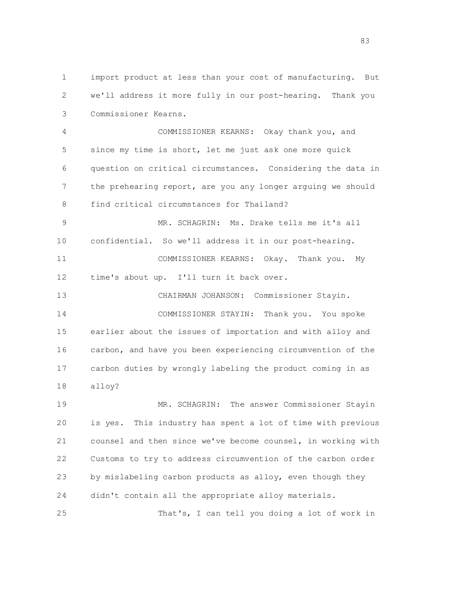1 import product at less than your cost of manufacturing. But 2 we'll address it more fully in our post-hearing. Thank you 3 Commissioner Kearns.

 4 COMMISSIONER KEARNS: Okay thank you, and 5 since my time is short, let me just ask one more quick 6 question on critical circumstances. Considering the data in 7 the prehearing report, are you any longer arguing we should 8 find critical circumstances for Thailand?

 9 MR. SCHAGRIN: Ms. Drake tells me it's all 10 confidential. So we'll address it in our post-hearing. 11 COMMISSIONER KEARNS: Okay. Thank you. My

12 time's about up. I'll turn it back over.

 13 CHAIRMAN JOHANSON: Commissioner Stayin. 14 COMMISSIONER STAYIN: Thank you. You spoke 15 earlier about the issues of importation and with alloy and 16 carbon, and have you been experiencing circumvention of the 17 carbon duties by wrongly labeling the product coming in as 18 alloy?

 19 MR. SCHAGRIN: The answer Commissioner Stayin 20 is yes. This industry has spent a lot of time with previous 21 counsel and then since we've become counsel, in working with 22 Customs to try to address circumvention of the carbon order 23 by mislabeling carbon products as alloy, even though they 24 didn't contain all the appropriate alloy materials.

25 That's, I can tell you doing a lot of work in

e e seu a construída de 1980, e a construída de 1980, e a construída de 1980, e a construída de 1980, e a cons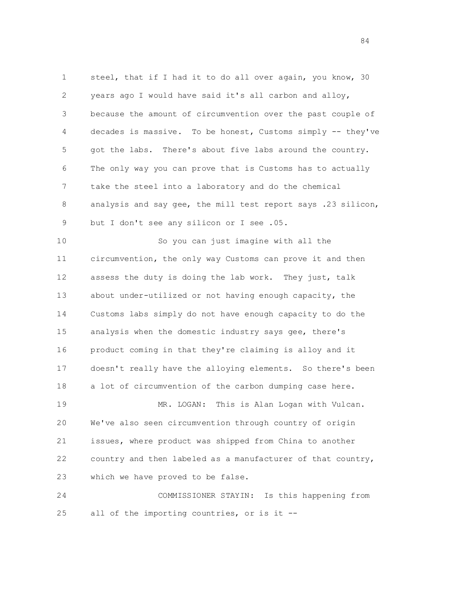1 steel, that if I had it to do all over again, you know, 30 2 years ago I would have said it's all carbon and alloy, 3 because the amount of circumvention over the past couple of 4 decades is massive. To be honest, Customs simply -- they've 5 got the labs. There's about five labs around the country. 6 The only way you can prove that is Customs has to actually 7 take the steel into a laboratory and do the chemical 8 analysis and say gee, the mill test report says .23 silicon, 9 but I don't see any silicon or I see .05. 10 So you can just imagine with all the

 11 circumvention, the only way Customs can prove it and then 12 assess the duty is doing the lab work. They just, talk 13 about under-utilized or not having enough capacity, the 14 Customs labs simply do not have enough capacity to do the 15 analysis when the domestic industry says gee, there's 16 product coming in that they're claiming is alloy and it 17 doesn't really have the alloying elements. So there's been 18 a lot of circumvention of the carbon dumping case here. 19 MR. LOGAN: This is Alan Logan with Vulcan. 20 We've also seen circumvention through country of origin 21 issues, where product was shipped from China to another 22 country and then labeled as a manufacturer of that country, 23 which we have proved to be false.

 24 COMMISSIONER STAYIN: Is this happening from 25 all of the importing countries, or is it --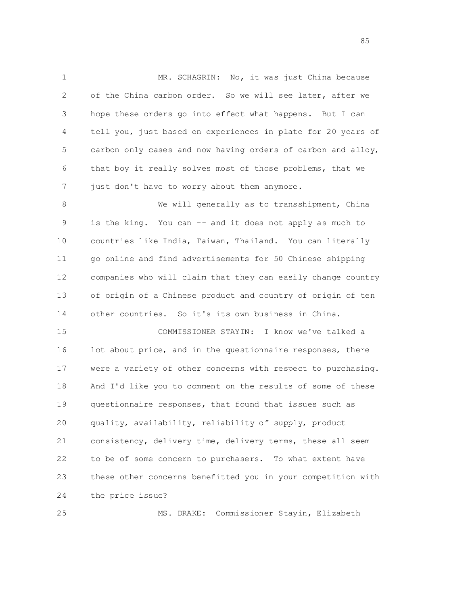1 MR. SCHAGRIN: No, it was just China because 2 of the China carbon order. So we will see later, after we 3 hope these orders go into effect what happens. But I can 4 tell you, just based on experiences in plate for 20 years of 5 carbon only cases and now having orders of carbon and alloy, 6 that boy it really solves most of those problems, that we 7 just don't have to worry about them anymore. 8 We will generally as to transshipment, China 9 is the king. You can -- and it does not apply as much to

 10 countries like India, Taiwan, Thailand. You can literally 11 go online and find advertisements for 50 Chinese shipping 12 companies who will claim that they can easily change country 13 of origin of a Chinese product and country of origin of ten 14 other countries. So it's its own business in China.

 15 COMMISSIONER STAYIN: I know we've talked a 16 lot about price, and in the questionnaire responses, there 17 were a variety of other concerns with respect to purchasing. 18 And I'd like you to comment on the results of some of these 19 questionnaire responses, that found that issues such as 20 quality, availability, reliability of supply, product 21 consistency, delivery time, delivery terms, these all seem 22 to be of some concern to purchasers. To what extent have 23 these other concerns benefitted you in your competition with 24 the price issue?

25 MS. DRAKE: Commissioner Stayin, Elizabeth

e de la construcción de la construcción de la construcción de la construcción de la construcción de la construcción<br>En la construcción de la construcción de la construcción de la construcción de la construcción de la const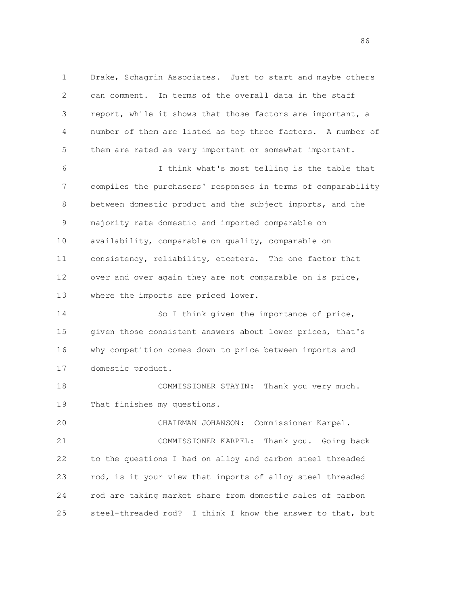1 Drake, Schagrin Associates. Just to start and maybe others 2 can comment. In terms of the overall data in the staff 3 report, while it shows that those factors are important, a 4 number of them are listed as top three factors. A number of 5 them are rated as very important or somewhat important. 6 I think what's most telling is the table that 7 compiles the purchasers' responses in terms of comparability 8 between domestic product and the subject imports, and the 9 majority rate domestic and imported comparable on 10 availability, comparable on quality, comparable on 11 consistency, reliability, etcetera. The one factor that 12 over and over again they are not comparable on is price, 13 where the imports are priced lower. 14 So I think given the importance of price, 15 given those consistent answers about lower prices, that's 16 why competition comes down to price between imports and 17 domestic product. 18 COMMISSIONER STAYIN: Thank you very much. 19 That finishes my questions. 20 CHAIRMAN JOHANSON: Commissioner Karpel. 21 COMMISSIONER KARPEL: Thank you. Going back 22 to the questions I had on alloy and carbon steel threaded 23 rod, is it your view that imports of alloy steel threaded 24 rod are taking market share from domestic sales of carbon 25 steel-threaded rod? I think I know the answer to that, but

e de la construcción de la construcción de la construcción de la construcción de la construcción de la construcción<br>En la construcción de la construcción de la construcción de la construcción de la construcción de la const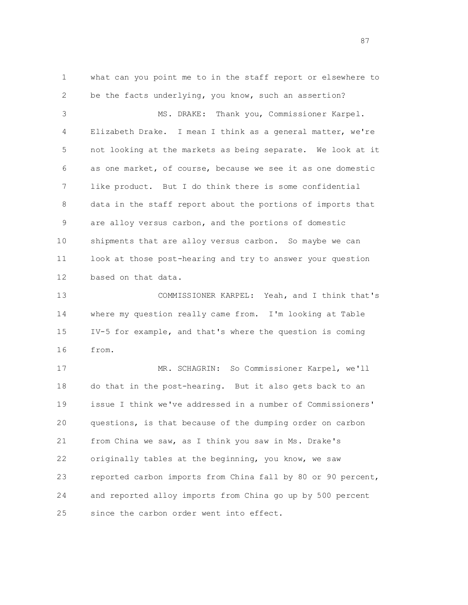1 what can you point me to in the staff report or elsewhere to 2 be the facts underlying, you know, such an assertion? 3 MS. DRAKE: Thank you, Commissioner Karpel. 4 Elizabeth Drake. I mean I think as a general matter, we're 5 not looking at the markets as being separate. We look at it 6 as one market, of course, because we see it as one domestic 7 like product. But I do think there is some confidential 8 data in the staff report about the portions of imports that 9 are alloy versus carbon, and the portions of domestic 10 shipments that are alloy versus carbon. So maybe we can 11 look at those post-hearing and try to answer your question 12 based on that data. 13 COMMISSIONER KARPEL: Yeah, and I think that's 14 where my question really came from. I'm looking at Table 15 IV-5 for example, and that's where the question is coming 16 from. 17 MR. SCHAGRIN: So Commissioner Karpel, we'll 18 do that in the post-hearing. But it also gets back to an 19 issue I think we've addressed in a number of Commissioners' 20 questions, is that because of the dumping order on carbon 21 from China we saw, as I think you saw in Ms. Drake's 22 originally tables at the beginning, you know, we saw 23 reported carbon imports from China fall by 80 or 90 percent, 24 and reported alloy imports from China go up by 500 percent 25 since the carbon order went into effect.

87 and 2012 and 2012 and 2012 and 2012 and 2012 and 2012 and 2012 and 2012 and 2012 and 2012 and 201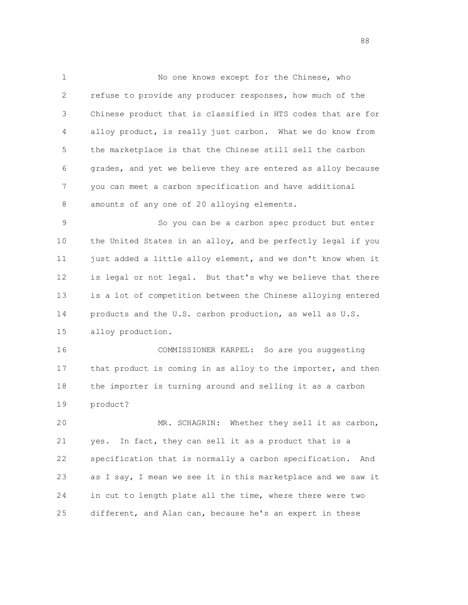1 No one knows except for the Chinese, who 2 refuse to provide any producer responses, how much of the 3 Chinese product that is classified in HTS codes that are for 4 alloy product, is really just carbon. What we do know from 5 the marketplace is that the Chinese still sell the carbon 6 grades, and yet we believe they are entered as alloy because 7 you can meet a carbon specification and have additional 8 amounts of any one of 20 alloying elements.

 9 So you can be a carbon spec product but enter 10 the United States in an alloy, and be perfectly legal if you 11 just added a little alloy element, and we don't know when it 12 is legal or not legal. But that's why we believe that there 13 is a lot of competition between the Chinese alloying entered 14 products and the U.S. carbon production, as well as U.S. 15 alloy production.

 16 COMMISSIONER KARPEL: So are you suggesting 17 that product is coming in as alloy to the importer, and then 18 the importer is turning around and selling it as a carbon 19 product?

 20 MR. SCHAGRIN: Whether they sell it as carbon, 21 yes. In fact, they can sell it as a product that is a 22 specification that is normally a carbon specification. And 23 as I say, I mean we see it in this marketplace and we saw it 24 in cut to length plate all the time, where there were two 25 different, and Alan can, because he's an expert in these

e e seu a constante de la constante de la constante de la constante de la constante de la constante de la cons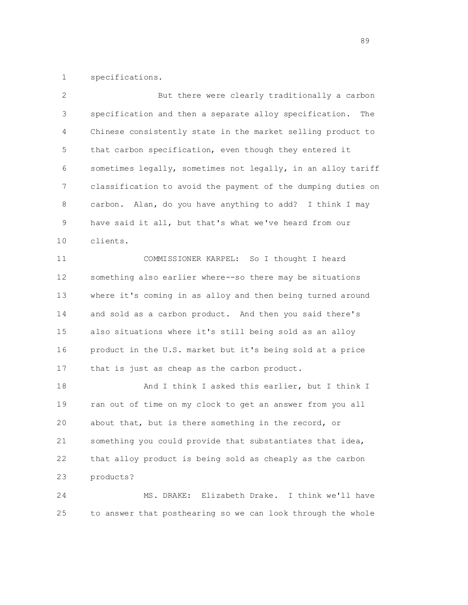1 specifications.

| 2  | But there were clearly traditionally a carbon                 |
|----|---------------------------------------------------------------|
| 3  | specification and then a separate alloy specification.<br>The |
| 4  | Chinese consistently state in the market selling product to   |
| 5  | that carbon specification, even though they entered it        |
| 6  | sometimes legally, sometimes not legally, in an alloy tariff  |
| 7  | classification to avoid the payment of the dumping duties on  |
| 8  | carbon. Alan, do you have anything to add? I think I may      |
| 9  | have said it all, but that's what we've heard from our        |
| 10 | clients.                                                      |
| 11 | COMMISSIONER KARPEL: So I thought I heard                     |
| 12 | something also earlier where--so there may be situations      |
| 13 | where it's coming in as alloy and then being turned around    |
| 14 | and sold as a carbon product. And then you said there's       |
| 15 | also situations where it's still being sold as an alloy       |
| 16 | product in the U.S. market but it's being sold at a price     |
| 17 | that is just as cheap as the carbon product.                  |
| 18 | And I think I asked this earlier, but I think I               |
| 19 | ran out of time on my clock to get an answer from you all     |
| 20 | about that, but is there something in the record, or          |
| 21 | something you could provide that substantiates that idea,     |
| 22 | that alloy product is being sold as cheaply as the carbon     |
| 23 | products?                                                     |
| 24 | Elizabeth Drake. I think we'll have<br>MS. DRAKE:             |
| 25 | to answer that posthearing so we can look through the whole   |

89 and 2012 and 2012 and 2012 and 2012 and 2012 and 2012 and 2012 and 2012 and 2012 and 2012 and 201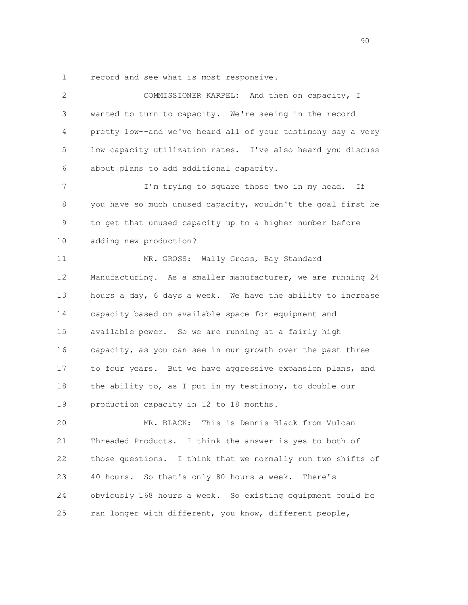1 record and see what is most responsive.

| 2  | COMMISSIONER KARPEL: And then on capacity, I                 |
|----|--------------------------------------------------------------|
| 3  | wanted to turn to capacity. We're seeing in the record       |
| 4  | pretty low--and we've heard all of your testimony say a very |
| 5  | low capacity utilization rates. I've also heard you discuss  |
| 6  | about plans to add additional capacity.                      |
| 7  | I'm trying to square those two in my head. If                |
| 8  | you have so much unused capacity, wouldn't the goal first be |
| 9  | to get that unused capacity up to a higher number before     |
| 10 | adding new production?                                       |
| 11 | MR. GROSS: Wally Gross, Bay Standard                         |
| 12 | Manufacturing. As a smaller manufacturer, we are running 24  |
| 13 | hours a day, 6 days a week. We have the ability to increase  |
| 14 | capacity based on available space for equipment and          |
| 15 | available power. So we are running at a fairly high          |
| 16 | capacity, as you can see in our growth over the past three   |
| 17 | to four years. But we have aggressive expansion plans, and   |
| 18 | the ability to, as I put in my testimony, to double our      |
| 19 | production capacity in 12 to 18 months.                      |
| 20 | This is Dennis Black from Vulcan<br>MR. BLACK:               |
| 21 | Threaded Products. I think the answer is yes to both of      |
| 22 | those questions. I think that we normally run two shifts of  |
| 23 | 40 hours. So that's only 80 hours a week.<br>There's         |
| 24 | obviously 168 hours a week. So existing equipment could be   |
| 25 | ran longer with different, you know, different people,       |
|    |                                                              |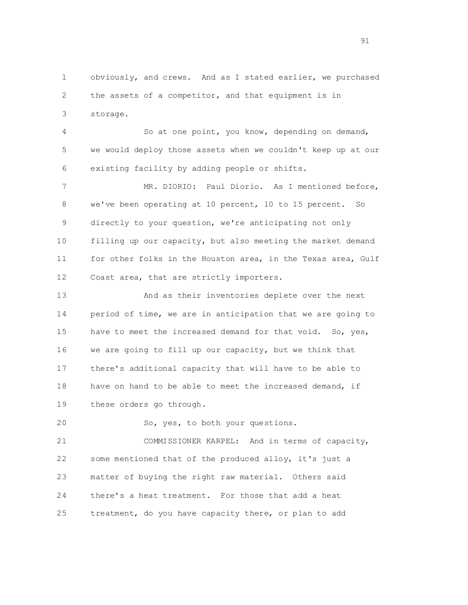1 obviously, and crews. And as I stated earlier, we purchased 2 the assets of a competitor, and that equipment is in 3 storage.

 4 So at one point, you know, depending on demand, 5 we would deploy those assets when we couldn't keep up at our 6 existing facility by adding people or shifts.

 7 MR. DIORIO: Paul Diorio. As I mentioned before, 8 we've been operating at 10 percent, 10 to 15 percent. So 9 directly to your question, we're anticipating not only 10 filling up our capacity, but also meeting the market demand 11 for other folks in the Houston area, in the Texas area, Gulf 12 Coast area, that are strictly importers.

 13 And as their inventories deplete over the next 14 period of time, we are in anticipation that we are going to 15 have to meet the increased demand for that void. So, yes, 16 we are going to fill up our capacity, but we think that 17 there's additional capacity that will have to be able to 18 have on hand to be able to meet the increased demand, if 19 these orders go through.

20 So, yes, to both your questions.

 21 COMMISSIONER KARPEL: And in terms of capacity, 22 some mentioned that of the produced alloy, it's just a 23 matter of buying the right raw material. Others said 24 there's a heat treatment. For those that add a heat 25 treatment, do you have capacity there, or plan to add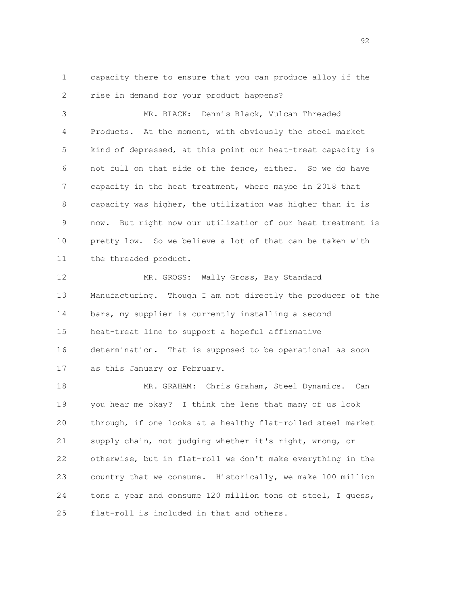1 capacity there to ensure that you can produce alloy if the 2 rise in demand for your product happens?

 3 MR. BLACK: Dennis Black, Vulcan Threaded 4 Products. At the moment, with obviously the steel market 5 kind of depressed, at this point our heat-treat capacity is 6 not full on that side of the fence, either. So we do have 7 capacity in the heat treatment, where maybe in 2018 that 8 capacity was higher, the utilization was higher than it is 9 now. But right now our utilization of our heat treatment is 10 pretty low. So we believe a lot of that can be taken with 11 the threaded product.

12 MR. GROSS: Wally Gross, Bay Standard 13 Manufacturing. Though I am not directly the producer of the 14 bars, my supplier is currently installing a second 15 heat-treat line to support a hopeful affirmative 16 determination. That is supposed to be operational as soon 17 as this January or February.

 18 MR. GRAHAM: Chris Graham, Steel Dynamics. Can 19 you hear me okay? I think the lens that many of us look 20 through, if one looks at a healthy flat-rolled steel market 21 supply chain, not judging whether it's right, wrong, or 22 otherwise, but in flat-roll we don't make everything in the 23 country that we consume. Historically, we make 100 million 24 tons a year and consume 120 million tons of steel, I guess, 25 flat-roll is included in that and others.

92 and 2012 and 2012 and 2012 and 2012 and 2012 and 2012 and 2012 and 2012 and 2012 and 2012 and 201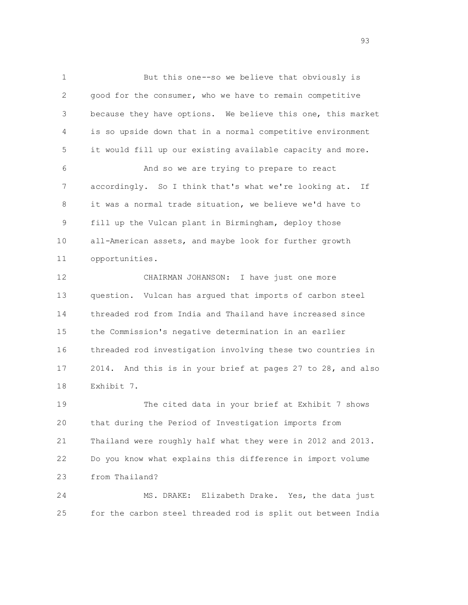1 But this one--so we believe that obviously is 2 good for the consumer, who we have to remain competitive 3 because they have options. We believe this one, this market 4 is so upside down that in a normal competitive environment 5 it would fill up our existing available capacity and more. 6 And so we are trying to prepare to react 7 accordingly. So I think that's what we're looking at. If 8 it was a normal trade situation, we believe we'd have to 9 fill up the Vulcan plant in Birmingham, deploy those 10 all-American assets, and maybe look for further growth 11 opportunities. 12 CHAIRMAN JOHANSON: I have just one more 13 question. Vulcan has argued that imports of carbon steel 14 threaded rod from India and Thailand have increased since 15 the Commission's negative determination in an earlier 16 threaded rod investigation involving these two countries in 17 2014. And this is in your brief at pages 27 to 28, and also 18 Exhibit 7. 19 The cited data in your brief at Exhibit 7 shows

 20 that during the Period of Investigation imports from 21 Thailand were roughly half what they were in 2012 and 2013. 22 Do you know what explains this difference in import volume 23 from Thailand?

 24 MS. DRAKE: Elizabeth Drake. Yes, the data just 25 for the carbon steel threaded rod is split out between India

93 and 2012 and 2013 and 2014 and 2014 and 2014 and 2014 and 2014 and 2014 and 2014 and 2014 and 2014 and 201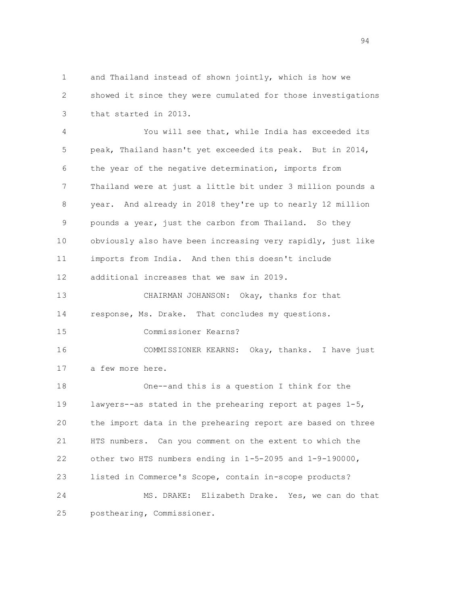1 and Thailand instead of shown jointly, which is how we 2 showed it since they were cumulated for those investigations 3 that started in 2013.

 4 You will see that, while India has exceeded its 5 peak, Thailand hasn't yet exceeded its peak. But in 2014, 6 the year of the negative determination, imports from 7 Thailand were at just a little bit under 3 million pounds a 8 year. And already in 2018 they're up to nearly 12 million 9 pounds a year, just the carbon from Thailand. So they 10 obviously also have been increasing very rapidly, just like 11 imports from India. And then this doesn't include 12 additional increases that we saw in 2019. 13 CHAIRMAN JOHANSON: Okay, thanks for that 14 response, Ms. Drake. That concludes my questions. 15 Commissioner Kearns? 16 COMMISSIONER KEARNS: Okay, thanks. I have just 17 a few more here. 18 One--and this is a question I think for the 19 lawyers--as stated in the prehearing report at pages 1-5, 20 the import data in the prehearing report are based on three 21 HTS numbers. Can you comment on the extent to which the 22 other two HTS numbers ending in 1-5-2095 and 1-9-190000, 23 listed in Commerce's Scope, contain in-scope products? 24 MS. DRAKE: Elizabeth Drake. Yes, we can do that 25 posthearing, Commissioner.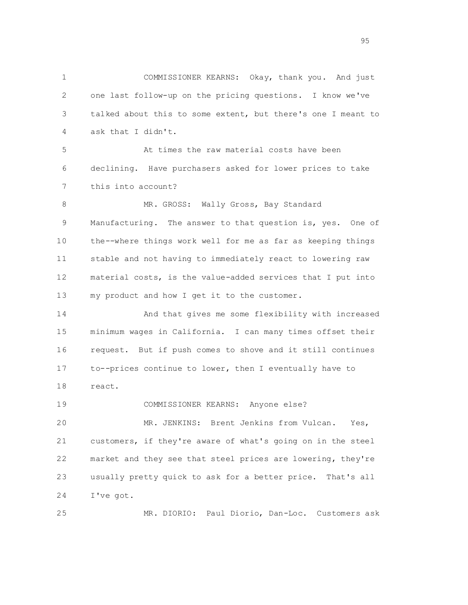1 COMMISSIONER KEARNS: Okay, thank you. And just 2 one last follow-up on the pricing questions. I know we've 3 talked about this to some extent, but there's one I meant to 4 ask that I didn't. 5 At times the raw material costs have been 6 declining. Have purchasers asked for lower prices to take 7 this into account? 8 MR. GROSS: Wally Gross, Bay Standard 9 Manufacturing. The answer to that question is, yes. One of 10 the--where things work well for me as far as keeping things 11 stable and not having to immediately react to lowering raw 12 material costs, is the value-added services that I put into 13 my product and how I get it to the customer. 14 And that gives me some flexibility with increased 15 minimum wages in California. I can many times offset their 16 request. But if push comes to shove and it still continues 17 to--prices continue to lower, then I eventually have to 18 react. 19 COMMISSIONER KEARNS: Anyone else? 20 MR. JENKINS: Brent Jenkins from Vulcan. Yes, 21 customers, if they're aware of what's going on in the steel 22 market and they see that steel prices are lowering, they're 23 usually pretty quick to ask for a better price. That's all

24 I've got.

25 MR. DIORIO: Paul Diorio, Dan-Loc. Customers ask

en 1995 en 1996 en 1996 en 1997 en 1998 en 1998 en 1998 en 1999 en 1999 en 1999 en 1999 en 1999 en 1999 en 19<br>De grote en 1999 en 1999 en 1999 en 1999 en 1999 en 1999 en 1999 en 1999 en 1999 en 1999 en 1999 en 1999 en 19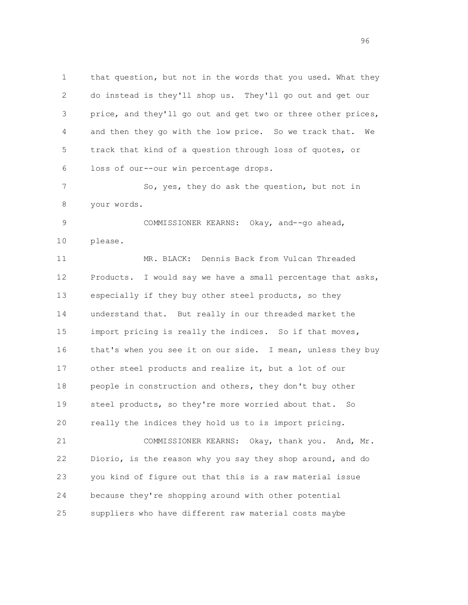1 that question, but not in the words that you used. What they 2 do instead is they'll shop us. They'll go out and get our 3 price, and they'll go out and get two or three other prices, 4 and then they go with the low price. So we track that. We 5 track that kind of a question through loss of quotes, or 6 loss of our--our win percentage drops. 7 So, yes, they do ask the question, but not in 8 your words. 9 COMMISSIONER KEARNS: Okay, and--go ahead, 10 please. 11 MR. BLACK: Dennis Back from Vulcan Threaded 12 Products. I would say we have a small percentage that asks, 13 especially if they buy other steel products, so they 14 understand that. But really in our threaded market the 15 import pricing is really the indices. So if that moves, 16 that's when you see it on our side. I mean, unless they buy 17 other steel products and realize it, but a lot of our 18 people in construction and others, they don't buy other 19 steel products, so they're more worried about that. So 20 really the indices they hold us to is import pricing. 21 COMMISSIONER KEARNS: Okay, thank you. And, Mr. 22 Diorio, is the reason why you say they shop around, and do 23 you kind of figure out that this is a raw material issue 24 because they're shopping around with other potential

25 suppliers who have different raw material costs maybe

96 - Paul Britain, actris and a construction of the construction of the construction of the construction of th<br>Distribution of the construction of the construction of the construction of the construction of the constructio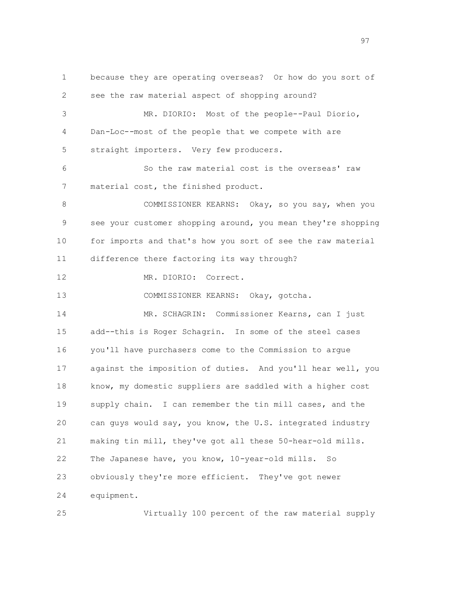1 because they are operating overseas? Or how do you sort of 2 see the raw material aspect of shopping around? 3 MR. DIORIO: Most of the people--Paul Diorio, 4 Dan-Loc--most of the people that we compete with are 5 straight importers. Very few producers. 6 So the raw material cost is the overseas' raw 7 material cost, the finished product. 8 COMMISSIONER KEARNS: Okay, so you say, when you 9 see your customer shopping around, you mean they're shopping 10 for imports and that's how you sort of see the raw material 11 difference there factoring its way through? 12 MR. DIORIO: Correct. 13 COMMISSIONER KEARNS: Okay, gotcha. 14 MR. SCHAGRIN: Commissioner Kearns, can I just 15 add--this is Roger Schagrin. In some of the steel cases 16 you'll have purchasers come to the Commission to argue 17 against the imposition of duties. And you'll hear well, you 18 know, my domestic suppliers are saddled with a higher cost 19 supply chain. I can remember the tin mill cases, and the 20 can guys would say, you know, the U.S. integrated industry 21 making tin mill, they've got all these 50-hear-old mills. 22 The Japanese have, you know, 10-year-old mills. So 23 obviously they're more efficient. They've got newer 24 equipment.

25 Virtually 100 percent of the raw material supply

97 and 2012 and 2012 and 2012 and 2012 and 2012 and 2012 and 2012 and 2012 and 2012 and 2012 and 201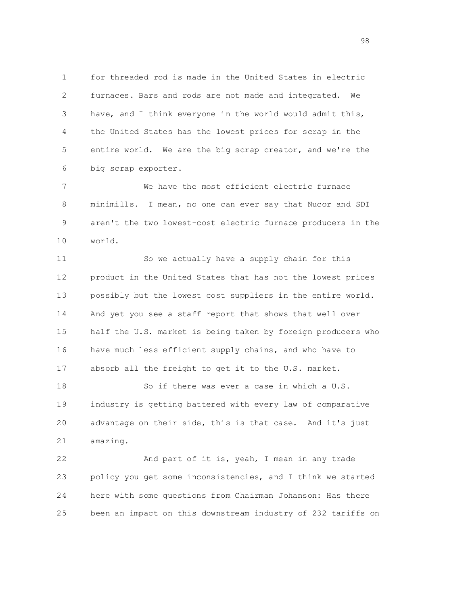1 for threaded rod is made in the United States in electric 2 furnaces. Bars and rods are not made and integrated. We 3 have, and I think everyone in the world would admit this, 4 the United States has the lowest prices for scrap in the 5 entire world. We are the big scrap creator, and we're the 6 big scrap exporter.

 7 We have the most efficient electric furnace 8 minimills. I mean, no one can ever say that Nucor and SDI 9 aren't the two lowest-cost electric furnace producers in the 10 world.

 11 So we actually have a supply chain for this 12 product in the United States that has not the lowest prices 13 possibly but the lowest cost suppliers in the entire world. 14 And yet you see a staff report that shows that well over 15 half the U.S. market is being taken by foreign producers who 16 have much less efficient supply chains, and who have to 17 absorb all the freight to get it to the U.S. market.

 18 So if there was ever a case in which a U.S. 19 industry is getting battered with every law of comparative 20 advantage on their side, this is that case. And it's just 21 amazing.

 22 And part of it is, yeah, I mean in any trade 23 policy you get some inconsistencies, and I think we started 24 here with some questions from Chairman Johanson: Has there 25 been an impact on this downstream industry of 232 tariffs on

98 - Paul Britain, actriz et al. (1992)<br>1980 - Paul Britain, actriz et al. (1992)<br>1980 - Paul Britain, actriz et al. (1992)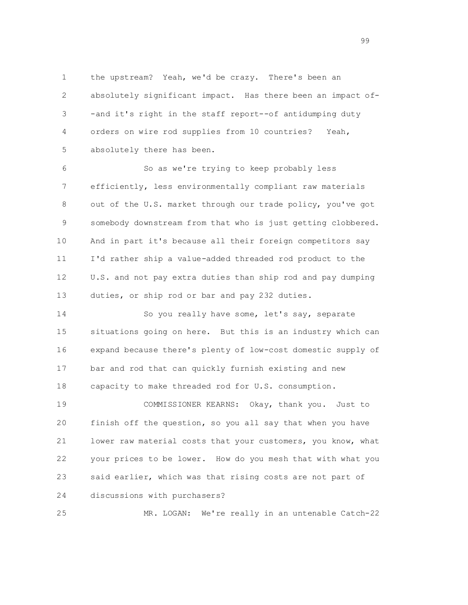1 the upstream? Yeah, we'd be crazy. There's been an 2 absolutely significant impact. Has there been an impact of- 3 -and it's right in the staff report--of antidumping duty 4 orders on wire rod supplies from 10 countries? Yeah, 5 absolutely there has been.

 6 So as we're trying to keep probably less 7 efficiently, less environmentally compliant raw materials 8 out of the U.S. market through our trade policy, you've got 9 somebody downstream from that who is just getting clobbered. 10 And in part it's because all their foreign competitors say 11 I'd rather ship a value-added threaded rod product to the 12 U.S. and not pay extra duties than ship rod and pay dumping 13 duties, or ship rod or bar and pay 232 duties.

 14 So you really have some, let's say, separate 15 situations going on here. But this is an industry which can 16 expand because there's plenty of low-cost domestic supply of 17 bar and rod that can quickly furnish existing and new 18 capacity to make threaded rod for U.S. consumption.

 19 COMMISSIONER KEARNS: Okay, thank you. Just to 20 finish off the question, so you all say that when you have 21 lower raw material costs that your customers, you know, what 22 your prices to be lower. How do you mesh that with what you 23 said earlier, which was that rising costs are not part of 24 discussions with purchasers?

25 MR. LOGAN: We're really in an untenable Catch-22

99 and 2012 and 2012 and 2012 and 2012 and 2012 and 2012 and 2012 and 2012 and 2012 and 2012 and 201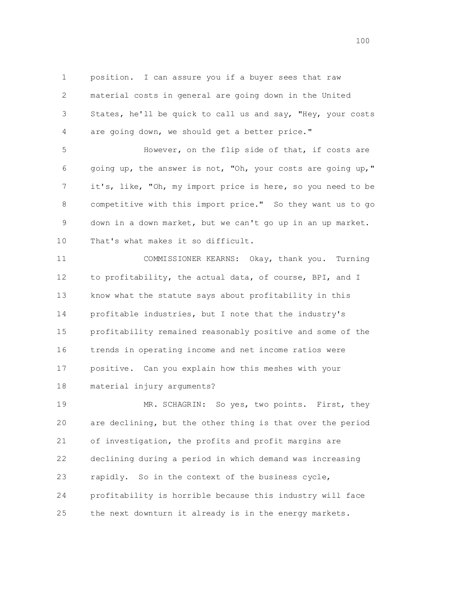1 position. I can assure you if a buyer sees that raw 2 material costs in general are going down in the United 3 States, he'll be quick to call us and say, "Hey, your costs 4 are going down, we should get a better price."

 5 However, on the flip side of that, if costs are 6 going up, the answer is not, "Oh, your costs are going up," 7 it's, like, "Oh, my import price is here, so you need to be 8 competitive with this import price." So they want us to go 9 down in a down market, but we can't go up in an up market. 10 That's what makes it so difficult.

 11 COMMISSIONER KEARNS: Okay, thank you. Turning 12 to profitability, the actual data, of course, BPI, and I 13 know what the statute says about profitability in this 14 profitable industries, but I note that the industry's 15 profitability remained reasonably positive and some of the 16 trends in operating income and net income ratios were 17 positive. Can you explain how this meshes with your 18 material injury arguments?

 19 MR. SCHAGRIN: So yes, two points. First, they 20 are declining, but the other thing is that over the period 21 of investigation, the profits and profit margins are 22 declining during a period in which demand was increasing 23 rapidly. So in the context of the business cycle, 24 profitability is horrible because this industry will face 25 the next downturn it already is in the energy markets.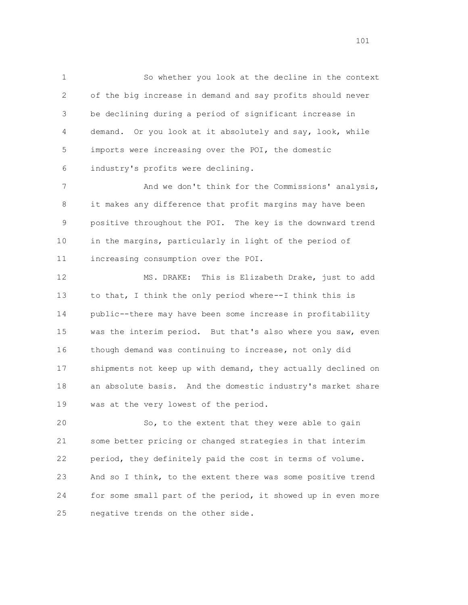1 So whether you look at the decline in the context 2 of the big increase in demand and say profits should never 3 be declining during a period of significant increase in 4 demand. Or you look at it absolutely and say, look, while 5 imports were increasing over the POI, the domestic 6 industry's profits were declining.

 7 And we don't think for the Commissions' analysis, 8 it makes any difference that profit margins may have been 9 positive throughout the POI. The key is the downward trend 10 in the margins, particularly in light of the period of 11 increasing consumption over the POI.

 12 MS. DRAKE: This is Elizabeth Drake, just to add 13 to that, I think the only period where--I think this is 14 public--there may have been some increase in profitability 15 was the interim period. But that's also where you saw, even 16 though demand was continuing to increase, not only did 17 shipments not keep up with demand, they actually declined on 18 an absolute basis. And the domestic industry's market share 19 was at the very lowest of the period.

 20 So, to the extent that they were able to gain 21 some better pricing or changed strategies in that interim 22 period, they definitely paid the cost in terms of volume. 23 And so I think, to the extent there was some positive trend 24 for some small part of the period, it showed up in even more 25 negative trends on the other side.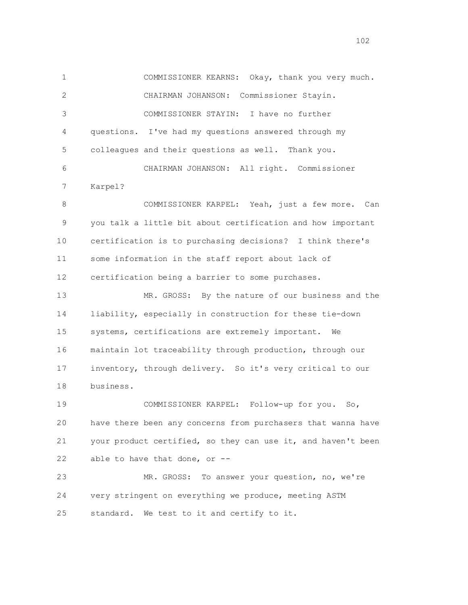1 COMMISSIONER KEARNS: Okay, thank you very much. 2 CHAIRMAN JOHANSON: Commissioner Stayin. 3 COMMISSIONER STAYIN: I have no further 4 questions. I've had my questions answered through my 5 colleagues and their questions as well. Thank you. 6 CHAIRMAN JOHANSON: All right. Commissioner 7 Karpel? 8 COMMISSIONER KARPEL: Yeah, just a few more. Can 9 you talk a little bit about certification and how important 10 certification is to purchasing decisions? I think there's 11 some information in the staff report about lack of 12 certification being a barrier to some purchases. 13 MR. GROSS: By the nature of our business and the 14 liability, especially in construction for these tie-down 15 systems, certifications are extremely important. We 16 maintain lot traceability through production, through our 17 inventory, through delivery. So it's very critical to our 18 business. 19 COMMISSIONER KARPEL: Follow-up for you. So, 20 have there been any concerns from purchasers that wanna have 21 your product certified, so they can use it, and haven't been 22 able to have that done, or -- 23 MR. GROSS: To answer your question, no, we're 24 very stringent on everything we produce, meeting ASTM 25 standard. We test to it and certify to it.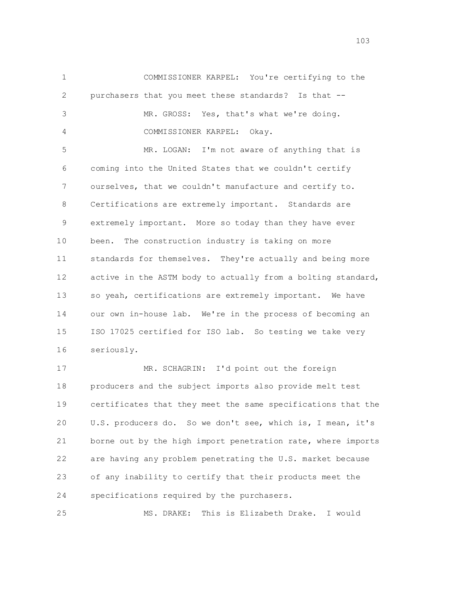1 COMMISSIONER KARPEL: You're certifying to the 2 purchasers that you meet these standards? Is that -- 3 MR. GROSS: Yes, that's what we're doing. 4 COMMISSIONER KARPEL: Okay. 5 MR. LOGAN: I'm not aware of anything that is 6 coming into the United States that we couldn't certify 7 ourselves, that we couldn't manufacture and certify to. 8 Certifications are extremely important. Standards are 9 extremely important. More so today than they have ever 10 been. The construction industry is taking on more 11 standards for themselves. They're actually and being more 12 active in the ASTM body to actually from a bolting standard,

 13 so yeah, certifications are extremely important. We have 14 our own in-house lab. We're in the process of becoming an 15 ISO 17025 certified for ISO lab. So testing we take very 16 seriously.

 17 MR. SCHAGRIN: I'd point out the foreign 18 producers and the subject imports also provide melt test 19 certificates that they meet the same specifications that the 20 U.S. producers do. So we don't see, which is, I mean, it's 21 borne out by the high import penetration rate, where imports 22 are having any problem penetrating the U.S. market because 23 of any inability to certify that their products meet the 24 specifications required by the purchasers.

25 MS. DRAKE: This is Elizabeth Drake. I would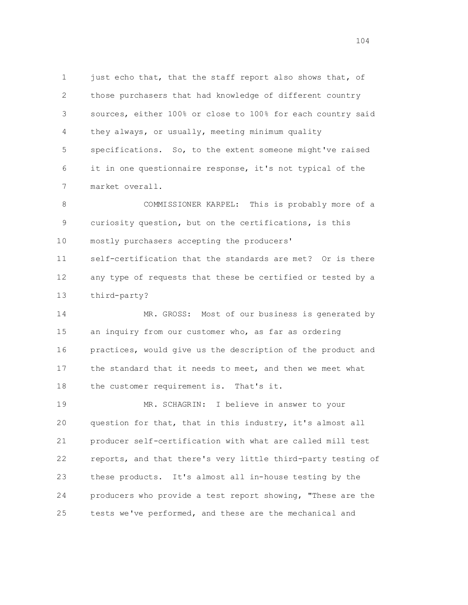1 just echo that, that the staff report also shows that, of 2 those purchasers that had knowledge of different country 3 sources, either 100% or close to 100% for each country said 4 they always, or usually, meeting minimum quality 5 specifications. So, to the extent someone might've raised 6 it in one questionnaire response, it's not typical of the 7 market overall.

 8 COMMISSIONER KARPEL: This is probably more of a 9 curiosity question, but on the certifications, is this 10 mostly purchasers accepting the producers' 11 self-certification that the standards are met? Or is there 12 any type of requests that these be certified or tested by a 13 third-party?

 14 MR. GROSS: Most of our business is generated by 15 an inquiry from our customer who, as far as ordering 16 practices, would give us the description of the product and 17 the standard that it needs to meet, and then we meet what 18 the customer requirement is. That's it.

 19 MR. SCHAGRIN: I believe in answer to your 20 question for that, that in this industry, it's almost all 21 producer self-certification with what are called mill test 22 reports, and that there's very little third-party testing of 23 these products. It's almost all in-house testing by the 24 producers who provide a test report showing, "These are the 25 tests we've performed, and these are the mechanical and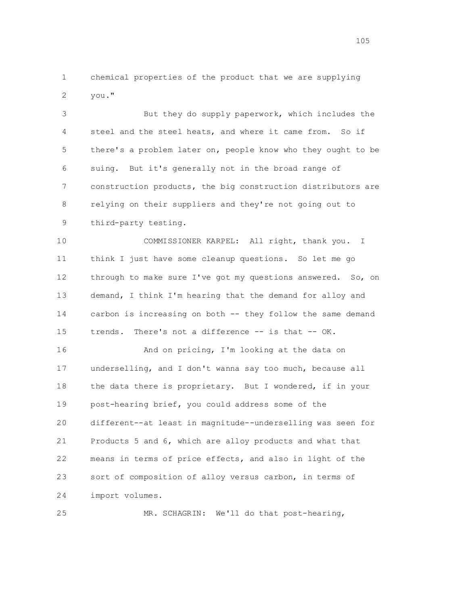1 chemical properties of the product that we are supplying 2 you."

 3 But they do supply paperwork, which includes the 4 steel and the steel heats, and where it came from. So if 5 there's a problem later on, people know who they ought to be 6 suing. But it's generally not in the broad range of 7 construction products, the big construction distributors are 8 relying on their suppliers and they're not going out to 9 third-party testing.

 10 COMMISSIONER KARPEL: All right, thank you. I 11 think I just have some cleanup questions. So let me go 12 through to make sure I've got my questions answered. So, on 13 demand, I think I'm hearing that the demand for alloy and 14 carbon is increasing on both -- they follow the same demand 15 trends. There's not a difference -- is that -- OK.

 16 And on pricing, I'm looking at the data on 17 underselling, and I don't wanna say too much, because all 18 the data there is proprietary. But I wondered, if in your 19 post-hearing brief, you could address some of the 20 different--at least in magnitude--underselling was seen for 21 Products 5 and 6, which are alloy products and what that 22 means in terms of price effects, and also in light of the 23 sort of composition of alloy versus carbon, in terms of 24 import volumes.

25 MR. SCHAGRIN: We'll do that post-hearing,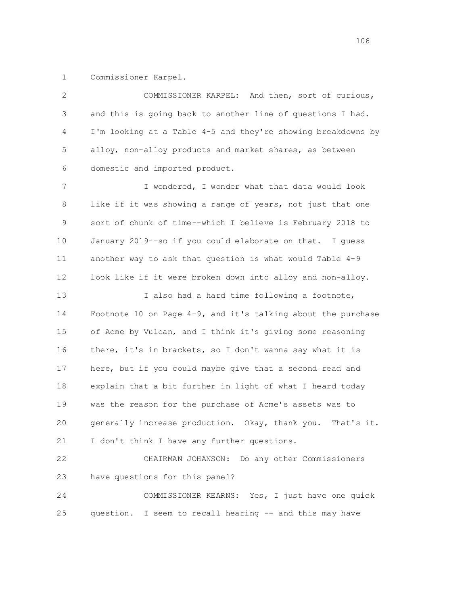1 Commissioner Karpel.

| 2  | COMMISSIONER KARPEL: And then, sort of curious,               |
|----|---------------------------------------------------------------|
| 3  | and this is going back to another line of questions I had.    |
| 4  | I'm looking at a Table 4-5 and they're showing breakdowns by  |
| 5  | alloy, non-alloy products and market shares, as between       |
| 6  | domestic and imported product.                                |
| 7  | I wondered, I wonder what that data would look                |
| 8  | like if it was showing a range of years, not just that one    |
| 9  | sort of chunk of time--which I believe is February 2018 to    |
| 10 | January 2019--so if you could elaborate on that. I guess      |
| 11 | another way to ask that question is what would Table 4-9      |
| 12 | look like if it were broken down into alloy and non-alloy.    |
| 13 | I also had a hard time following a footnote,                  |
| 14 | Footnote 10 on Page 4-9, and it's talking about the purchase  |
| 15 | of Acme by Vulcan, and I think it's giving some reasoning     |
| 16 | there, it's in brackets, so I don't wanna say what it is      |
| 17 | here, but if you could maybe give that a second read and      |
| 18 | explain that a bit further in light of what I heard today     |
| 19 | was the reason for the purchase of Acme's assets was to       |
| 20 | generally increase production. Okay, thank you.<br>That's it. |
| 21 | I don't think I have any further questions.                   |
| 22 | Do any other Commissioners<br>CHAIRMAN JOHANSON:              |
| 23 | have questions for this panel?                                |
| 24 | COMMISSIONER KEARNS: Yes, I just have one quick               |
| 25 | question. I seem to recall hearing -- and this may have       |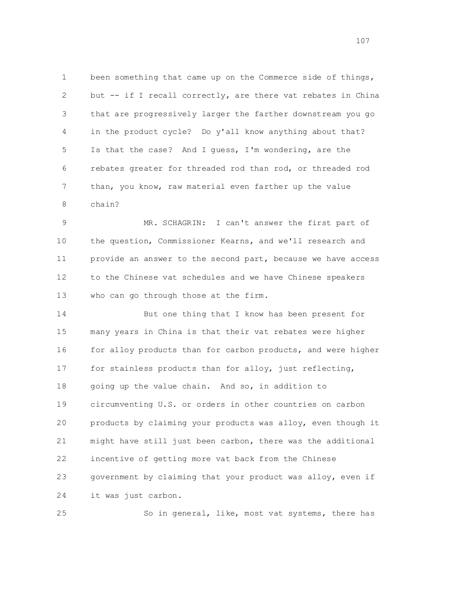1 been something that came up on the Commerce side of things, 2 but -- if I recall correctly, are there vat rebates in China 3 that are progressively larger the farther downstream you go 4 in the product cycle? Do y'all know anything about that? 5 Is that the case? And I guess, I'm wondering, are the 6 rebates greater for threaded rod than rod, or threaded rod 7 than, you know, raw material even farther up the value 8 chain?

 9 MR. SCHAGRIN: I can't answer the first part of 10 the question, Commissioner Kearns, and we'll research and 11 provide an answer to the second part, because we have access 12 to the Chinese vat schedules and we have Chinese speakers 13 who can go through those at the firm.

 14 But one thing that I know has been present for 15 many years in China is that their vat rebates were higher 16 for alloy products than for carbon products, and were higher 17 for stainless products than for alloy, just reflecting, 18 going up the value chain. And so, in addition to 19 circumventing U.S. or orders in other countries on carbon 20 products by claiming your products was alloy, even though it 21 might have still just been carbon, there was the additional 22 incentive of getting more vat back from the Chinese 23 government by claiming that your product was alloy, even if 24 it was just carbon.

25 So in general, like, most vat systems, there has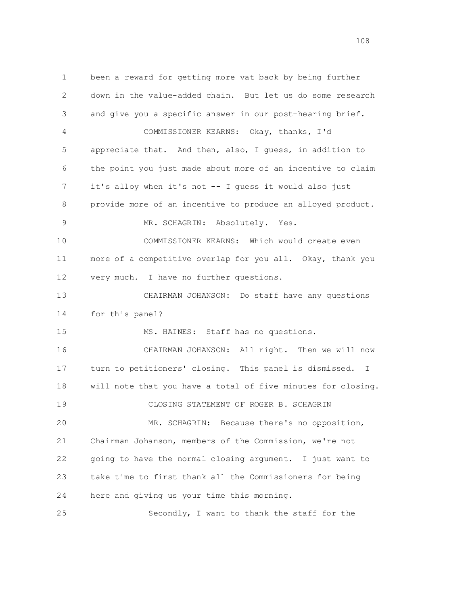1 been a reward for getting more vat back by being further 2 down in the value-added chain. But let us do some research 3 and give you a specific answer in our post-hearing brief. 4 COMMISSIONER KEARNS: Okay, thanks, I'd 5 appreciate that. And then, also, I guess, in addition to 6 the point you just made about more of an incentive to claim 7 it's alloy when it's not -- I guess it would also just 8 provide more of an incentive to produce an alloyed product. 9 MR. SCHAGRIN: Absolutely. Yes. 10 COMMISSIONER KEARNS: Which would create even 11 more of a competitive overlap for you all. Okay, thank you 12 very much. I have no further questions. 13 CHAIRMAN JOHANSON: Do staff have any questions 14 for this panel? 15 MS. HAINES: Staff has no questions. 16 CHAIRMAN JOHANSON: All right. Then we will now 17 turn to petitioners' closing. This panel is dismissed. I 18 will note that you have a total of five minutes for closing. 19 CLOSING STATEMENT OF ROGER B. SCHAGRIN 20 MR. SCHAGRIN: Because there's no opposition, 21 Chairman Johanson, members of the Commission, we're not 22 going to have the normal closing argument. I just want to 23 take time to first thank all the Commissioners for being 24 here and giving us your time this morning. 25 Secondly, I want to thank the staff for the

108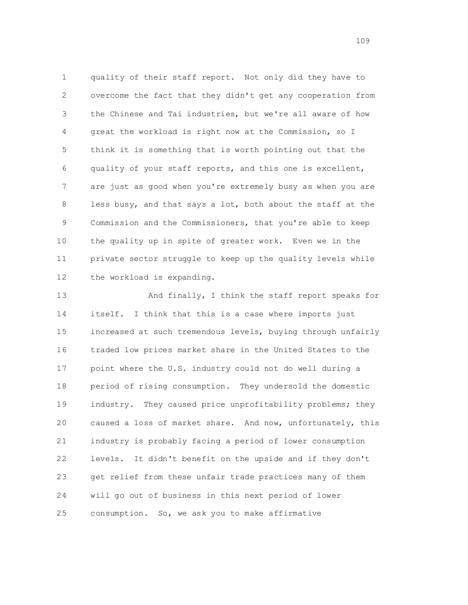1 quality of their staff report. Not only did they have to 2 overcome the fact that they didn't get any cooperation from 3 the Chinese and Tai industries, but we're all aware of how 4 great the workload is right now at the Commission, so I 5 think it is something that is worth pointing out that the 6 quality of your staff reports, and this one is excellent, 7 are just as good when you're extremely busy as when you are 8 less busy, and that says a lot, both about the staff at the 9 Commission and the Commissioners, that you're able to keep 10 the quality up in spite of greater work. Even we in the 11 private sector struggle to keep up the quality levels while 12 the workload is expanding.

 13 And finally, I think the staff report speaks for 14 itself. I think that this is a case where imports just 15 increased at such tremendous levels, buying through unfairly 16 traded low prices market share in the United States to the 17 point where the U.S. industry could not do well during a 18 period of rising consumption. They undersold the domestic 19 industry. They caused price unprofitability problems; they 20 caused a loss of market share. And now, unfortunately, this 21 industry is probably facing a period of lower consumption 22 levels. It didn't benefit on the upside and if they don't 23 get relief from these unfair trade practices many of them 24 will go out of business in this next period of lower 25 consumption. So, we ask you to make affirmative

109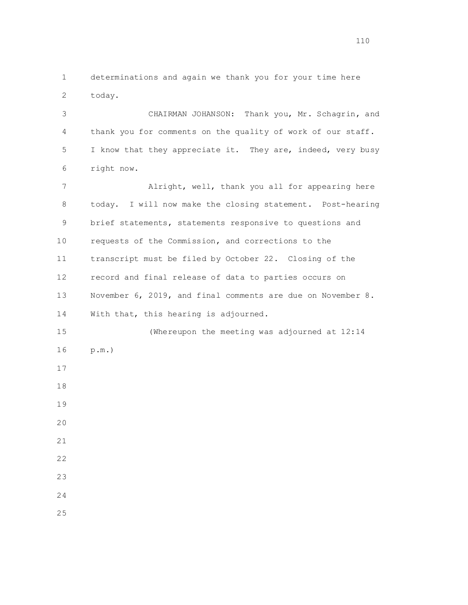1 determinations and again we thank you for your time here 2 today.

 3 CHAIRMAN JOHANSON: Thank you, Mr. Schagrin, and 4 thank you for comments on the quality of work of our staff. 5 I know that they appreciate it. They are, indeed, very busy 6 right now.

 7 Alright, well, thank you all for appearing here 8 today. I will now make the closing statement. Post-hearing 9 brief statements, statements responsive to questions and 10 requests of the Commission, and corrections to the 11 transcript must be filed by October 22. Closing of the 12 record and final release of data to parties occurs on 13 November 6, 2019, and final comments are due on November 8. 14 With that, this hearing is adjourned. 15 (Whereupon the meeting was adjourned at 12:14 16 p.m.) 17 18 19 20 21 22 23 24 25

110